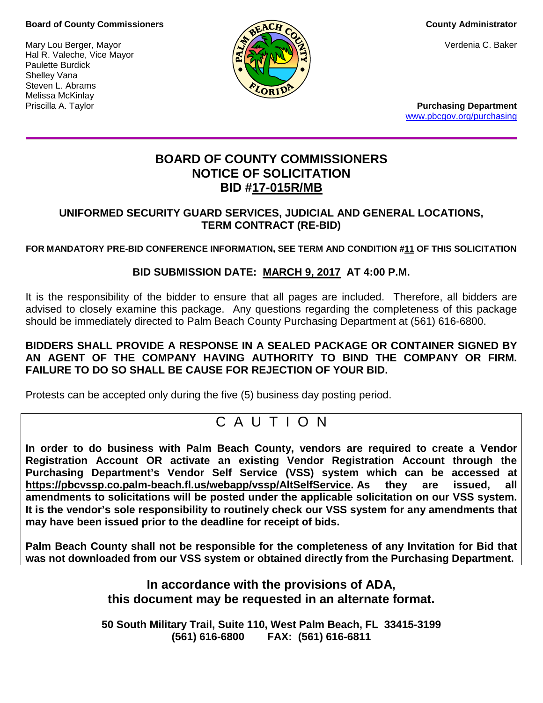### **Board of County Commissioners County Administrator County Administrator**

Mary Lou Berger, Mayor **Verdenia C. Baker** (State of the Verdenia C. Baker) Hal R. Valeche, Vice Mayor Paulette Burdick Shelley Vana Steven L. Abrams Melissa McKinlay



Priscilla A. Taylor **Purchasing Department** [www.pbcgov.org/purchasing](http://www.pbcgov.org/purchasing)

# **BOARD OF COUNTY COMMISSIONERS NOTICE OF SOLICITATION BID #17-015R/MB**

# **UNIFORMED SECURITY GUARD SERVICES, JUDICIAL AND GENERAL LOCATIONS, TERM CONTRACT (RE-BID)**

# **FOR MANDATORY PRE-BID CONFERENCE INFORMATION, SEE TERM AND CONDITION #11 OF THIS SOLICITATION**

# **BID SUBMISSION DATE: MARCH 9, 2017 AT 4:00 P.M.**

It is the responsibility of the bidder to ensure that all pages are included. Therefore, all bidders are advised to closely examine this package. Any questions regarding the completeness of this package should be immediately directed to Palm Beach County Purchasing Department at (561) 616-6800.

# **BIDDERS SHALL PROVIDE A RESPONSE IN A SEALED PACKAGE OR CONTAINER SIGNED BY AN AGENT OF THE COMPANY HAVING AUTHORITY TO BIND THE COMPANY OR FIRM. FAILURE TO DO SO SHALL BE CAUSE FOR REJECTION OF YOUR BID.**

Protests can be accepted only during the five (5) business day posting period.

# C A U T I O N

**In order to do business with Palm Beach County, vendors are required to create a Vendor Registration Account OR activate an existing Vendor Registration Account through the Purchasing Department's Vendor Self Service (VSS) system which can be accessed at [https://pbcvssp.co.palm-beach.fl.us/webapp/vssp/AltSelfService.](https://pbcvssp.co.palm-beach.fl.us/webapp/vssp/AltSelfService) As they are issued, all amendments to solicitations will be posted under the applicable solicitation on our VSS system. It is the vendor's sole responsibility to routinely check our VSS system for any amendments that may have been issued prior to the deadline for receipt of bids.**

**Palm Beach County shall not be responsible for the completeness of any Invitation for Bid that was not downloaded from our VSS system or obtained directly from the Purchasing Department.**

> **In accordance with the provisions of ADA, this document may be requested in an alternate format.**

**50 South Military Trail, Suite 110, West Palm Beach, FL 33415-3199 (561) 616-6800 FAX: (561) 616-6811**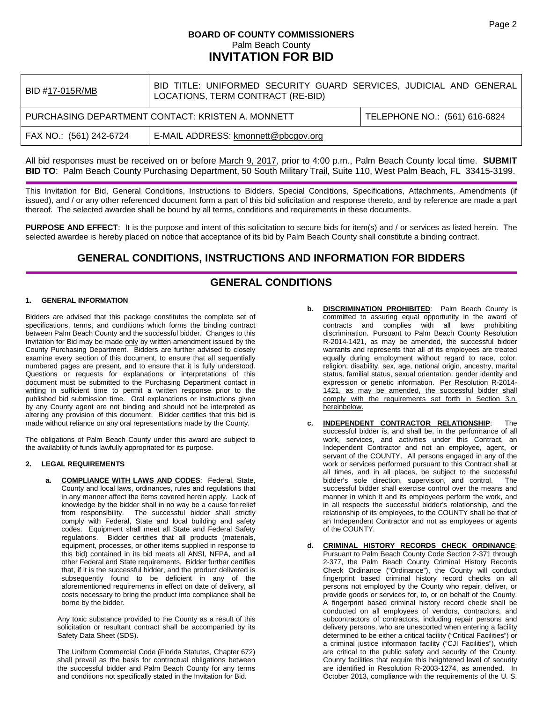# **BOARD OF COUNTY COMMISSIONERS** Palm Beach County **INVITATION FOR BID**

| BID #17-015R/MB                                                | BID TITLE: UNIFORMED SECURITY GUARD SERVICES, JUDICIAL AND GENERAL<br>LOCATIONS, TERM CONTRACT (RE-BID) |                               |
|----------------------------------------------------------------|---------------------------------------------------------------------------------------------------------|-------------------------------|
| PURCHASING DEPARTMENT CONTACT: KRISTEN A. MONNETT              |                                                                                                         | TELEPHONE NO.: (561) 616-6824 |
| E-MAIL ADDRESS: kmonnett@pbcgov.org<br>FAX NO.: (561) 242-6724 |                                                                                                         |                               |

All bid responses must be received on or before March 9, 2017, prior to 4:00 p.m., Palm Beach County local time. **SUBMIT BID TO**: Palm Beach County Purchasing Department, 50 South Military Trail, Suite 110, West Palm Beach, FL 33415-3199.

This Invitation for Bid, General Conditions, Instructions to Bidders, Special Conditions, Specifications, Attachments, Amendments (if issued), and / or any other referenced document form a part of this bid solicitation and response thereto, and by reference are made a part thereof. The selected awardee shall be bound by all terms, conditions and requirements in these documents.

**PURPOSE AND EFFECT**: It is the purpose and intent of this solicitation to secure bids for item(s) and / or services as listed herein. The selected awardee is hereby placed on notice that acceptance of its bid by Palm Beach County shall constitute a binding contract.

# **GENERAL CONDITIONS, INSTRUCTIONS AND INFORMATION FOR BIDDERS**

# **GENERAL CONDITIONS**

#### **1. GENERAL INFORMATION**

Bidders are advised that this package constitutes the complete set of specifications, terms, and conditions which forms the binding contract between Palm Beach County and the successful bidder. Changes to this Invitation for Bid may be made only by written amendment issued by the County Purchasing Department. Bidders are further advised to closely examine every section of this document, to ensure that all sequentially numbered pages are present, and to ensure that it is fully understood. Questions or requests for explanations or interpretations of this document must be submitted to the Purchasing Department contact in writing in sufficient time to permit a written response prior to the published bid submission time. Oral explanations or instructions given by any County agent are not binding and should not be interpreted as altering any provision of this document. Bidder certifies that this bid is made without reliance on any oral representations made by the County.

The obligations of Palm Beach County under this award are subject to the availability of funds lawfully appropriated for its purpose.

#### **2. LEGAL REQUIREMENTS**

**a. COMPLIANCE WITH LAWS AND CODES**: Federal, State, County and local laws, ordinances, rules and regulations that in any manner affect the items covered herein apply. Lack of knowledge by the bidder shall in no way be a cause for relief from responsibility. The successful bidder shall strictly comply with Federal, State and local building and safety codes. Equipment shall meet all State and Federal Safety regulations. Bidder certifies that all products (materials, equipment, processes, or other items supplied in response to this bid) contained in its bid meets all ANSI, NFPA, and all other Federal and State requirements. Bidder further certifies that, if it is the successful bidder, and the product delivered is subsequently found to be deficient in any of the aforementioned requirements in effect on date of delivery, all costs necessary to bring the product into compliance shall be borne by the bidder.

Any toxic substance provided to the County as a result of this solicitation or resultant contract shall be accompanied by its Safety Data Sheet (SDS).

The Uniform Commercial Code (Florida Statutes, Chapter 672) shall prevail as the basis for contractual obligations between the successful bidder and Palm Beach County for any terms and conditions not specifically stated in the Invitation for Bid.

- **DISCRIMINATION PROHIBITED:** Palm Beach County is committed to assuring equal opportunity in the award of contracts and complies with all laws prohibiting discrimination. Pursuant to Palm Beach County Resolution R-2014-1421, as may be amended, the successful bidder warrants and represents that all of its employees are treated equally during employment without regard to race, color, religion, disability, sex, age, national origin, ancestry, marital status, familial status, sexual orientation, gender identity and expression or genetic information. Per Resolution R-2014- 1421, as may be amended, the successful bidder shall comply with the requirements set forth in Section 3.n. hereinbelow.
- **c. INDEPENDENT CONTRACTOR RELATIONSHIP**: The successful bidder is, and shall be, in the performance of all work, services, and activities under this Contract, an Independent Contractor and not an employee, agent, or servant of the COUNTY. All persons engaged in any of the work or services performed pursuant to this Contract shall at all times, and in all places, be subject to the successful bidder's sole direction, supervision, and control. successful bidder shall exercise control over the means and manner in which it and its employees perform the work, and in all respects the successful bidder's relationship, and the relationship of its employees, to the COUNTY shall be that of an Independent Contractor and not as employees or agents of the COUNTY.
- **d. CRIMINAL HISTORY RECORDS CHECK ORDINANCE**: Pursuant to Palm Beach County Code Section 2-371 through 2-377, the Palm Beach County Criminal History Records Check Ordinance ("Ordinance"), the County will conduct fingerprint based criminal history record checks on all persons not employed by the County who repair, deliver, or provide goods or services for, to, or on behalf of the County. A fingerprint based criminal history record check shall be conducted on all employees of vendors, contractors, and subcontractors of contractors, including repair persons and delivery persons, who are unescorted when entering a facility determined to be either a critical facility ("Critical Facilities") or a criminal justice information facility ("CJI Facilities"), which are critical to the public safety and security of the County. County facilities that require this heightened level of security are identified in Resolution R-2003-1274, as amended. In October 2013, compliance with the requirements of the U. S.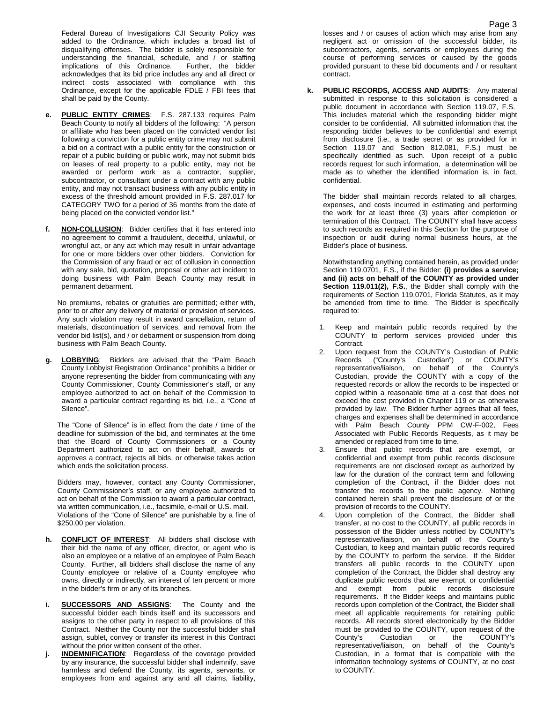Federal Bureau of Investigations CJI Security Policy was added to the Ordinance, which includes a broad list of disqualifying offenses. The bidder is solely responsible for understanding the financial, schedule, and / or staffing<br>implications of this Ordinance. Further, the bidder implications of this Ordinance. acknowledges that its bid price includes any and all direct or indirect costs associated with compliance with this Ordinance, except for the applicable FDLE / FBI fees that shall be paid by the County.

- **e. PUBLIC ENTITY CRIMES**: F.S. 287.133 requires Palm Beach County to notify all bidders of the following: "A person or affiliate who has been placed on the convicted vendor list following a conviction for a public entity crime may not submit a bid on a contract with a public entity for the construction or repair of a public building or public work, may not submit bids on leases of real property to a public entity, may not be awarded or perform work as a contractor, supplier, subcontractor, or consultant under a contract with any public entity, and may not transact business with any public entity in excess of the threshold amount provided in F.S. 287.017 for CATEGORY TWO for a period of 36 months from the date of being placed on the convicted vendor list."
- **f. NON-COLLUSION**: Bidder certifies that it has entered into no agreement to commit a fraudulent, deceitful, unlawful, or wrongful act, or any act which may result in unfair advantage for one or more bidders over other bidders. Conviction for the Commission of any fraud or act of collusion in connection with any sale, bid, quotation, proposal or other act incident to doing business with Palm Beach County may result in permanent debarment.

No premiums, rebates or gratuities are permitted; either with, prior to or after any delivery of material or provision of services. Any such violation may result in award cancellation, return of materials, discontinuation of services, and removal from the vendor bid list(s), and / or debarment or suspension from doing business with Palm Beach County.

**g. LOBBYING**: Bidders are advised that the "Palm Beach County Lobbyist Registration Ordinance" prohibits a bidder or anyone representing the bidder from communicating with any County Commissioner, County Commissioner's staff, or any employee authorized to act on behalf of the Commission to award a particular contract regarding its bid, i.e., a "Cone of Silence".

The "Cone of Silence" is in effect from the date / time of the deadline for submission of the bid, and terminates at the time that the Board of County Commissioners or a County Department authorized to act on their behalf, awards or approves a contract, rejects all bids, or otherwise takes action which ends the solicitation process.

Bidders may, however, contact any County Commissioner, County Commissioner's staff, or any employee authorized to act on behalf of the Commission to award a particular contract, via written communication, i.e., facsimile, e-mail or U.S. mail. Violations of the "Cone of Silence" are punishable by a fine of \$250.00 per violation.

- **h. CONFLICT OF INTEREST**: All bidders shall disclose with their bid the name of any officer, director, or agent who is also an employee or a relative of an employee of Palm Beach County. Further, all bidders shall disclose the name of any County employee or relative of a County employee who owns, directly or indirectly, an interest of ten percent or more in the bidder's firm or any of its branches.
- **i. SUCCESSORS AND ASSIGNS**: The County and the successful bidder each binds itself and its successors and assigns to the other party in respect to all provisions of this Contract. Neither the County nor the successful bidder shall assign, sublet, convey or transfer its interest in this Contract without the prior written consent of the other.
- **j. INDEMNIFICATION**: Regardless of the coverage provided by any insurance, the successful bidder shall indemnify, save harmless and defend the County, its agents, servants, or employees from and against any and all claims, liability,

losses and / or causes of action which may arise from any negligent act or omission of the successful bidder, its subcontractors, agents, servants or employees during the course of performing services or caused by the goods provided pursuant to these bid documents and / or resultant contract.

**k. PUBLIC RECORDS, ACCESS AND AUDITS**: Any material submitted in response to this solicitation is considered a public document in accordance with Section 119.07, F.S. This includes material which the responding bidder might consider to be confidential. All submitted information that the responding bidder believes to be confidential and exempt from disclosure (i.e., a trade secret or as provided for in Section 119.07 and Section 812.081, F.S.) must be specifically identified as such. Upon receipt of a public records request for such information, a determination will be made as to whether the identified information is, in fact, confidential.

The bidder shall maintain records related to all charges, expenses, and costs incurred in estimating and performing the work for at least three (3) years after completion or termination of this Contract. The COUNTY shall have access to such records as required in this Section for the purpose of inspection or audit during normal business hours, at the Bidder's place of business.

Notwithstanding anything contained herein, as provided under Section 119.0701, F.S., if the Bidder: **(i) provides a service; and (ii) acts on behalf of the COUNTY as provided under Section 119.011(2), F.S.**, the Bidder shall comply with the requirements of Section 119.0701, Florida Statutes, as it may be amended from time to time. The Bidder is specifically required to:

- 1. Keep and maintain public records required by the COUNTY to perform services provided under this Contract.
- 2. Upon request from the COUNTY's Custodian of Public Records ("County's Custodian") or COUNTY's representative/liaison, on behalf of the County's Custodian, provide the COUNTY with a copy of the requested records or allow the records to be inspected or copied within a reasonable time at a cost that does not exceed the cost provided in Chapter 119 or as otherwise provided by law. The Bidder further agrees that all fees, charges and expenses shall be determined in accordance with Palm Beach County PPM CW-F-002, Fees Associated with Public Records Requests, as it may be amended or replaced from time to time.
- 3. Ensure that public records that are exempt, or confidential and exempt from public records disclosure requirements are not disclosed except as authorized by law for the duration of the contract term and following completion of the Contract, if the Bidder does not transfer the records to the public agency. Nothing contained herein shall prevent the disclosure of or the provision of records to the COUNTY.
- 4. Upon completion of the Contract, the Bidder shall transfer, at no cost to the COUNTY, all public records in possession of the Bidder unless notified by COUNTY's representative/liaison, on behalf of the County's Custodian, to keep and maintain public records required by the COUNTY to perform the service. If the Bidder transfers all public records to the COUNTY upon completion of the Contract, the Bidder shall destroy any duplicate public records that are exempt, or confidential and exempt from public records disclosure requirements. If the Bidder keeps and maintains public records upon completion of the Contract, the Bidder shall meet all applicable requirements for retaining public records. All records stored electronically by the Bidder must be provided to the COUNTY, upon request of the County's Custodian or the COUNTY's representative/liaison, on behalf of the County's Custodian, in a format that is compatible with the information technology systems of COUNTY, at no cost to COUNTY.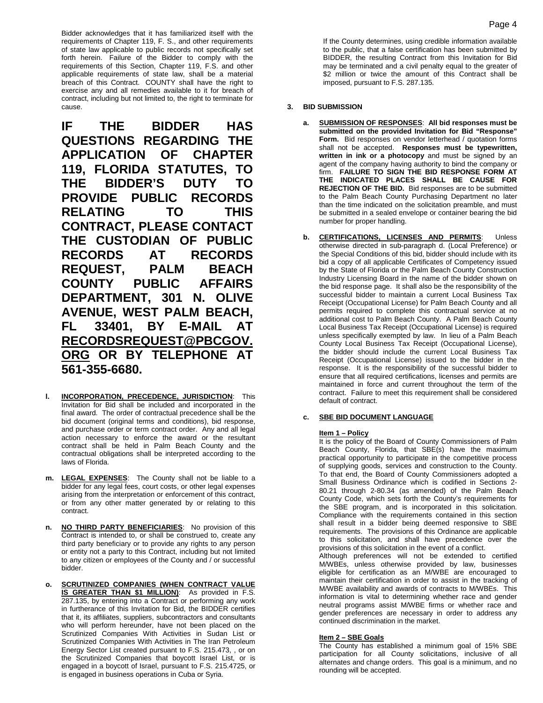Bidder acknowledges that it has familiarized itself with the requirements of Chapter 119, F. S., and other requirements of state law applicable to public records not specifically set forth herein. Failure of the Bidder to comply with the requirements of this Section, Chapter 119, F.S. and other applicable requirements of state law, shall be a material breach of this Contract. COUNTY shall have the right to exercise any and all remedies available to it for breach of contract, including but not limited to, the right to terminate for cause.

**IF THE BIDDER HAS QUESTIONS REGARDING THE APPLICATION OF CHAPTER 119, FLORIDA STATUTES, TO THE BIDDER'S DUTY TO PROVIDE PUBLIC RECORDS RELATING TO THIS CONTRACT, PLEASE CONTACT THE CUSTODIAN OF PUBLIC RECORDS AT RECORDS REQUEST, PALM BEACH COUNTY PUBLIC AFFAIRS DEPARTMENT, 301 N. OLIVE AVENUE, WEST PALM BEACH, FL 33401, BY E-MAIL AT [RECORDSREQUEST@PBCGOV.](mailto:RECORDSREQUEST@PBCGOV.ORG) [ORG](mailto:RECORDSREQUEST@PBCGOV.ORG) OR BY TELEPHONE AT 561-355-6680.**

- **l. INCORPORATION, PRECEDENCE, JURISDICTION**: This Invitation for Bid shall be included and incorporated in the final award. The order of contractual precedence shall be the bid document (original terms and conditions), bid response, and purchase order or term contract order. Any and all legal action necessary to enforce the award or the resultant contract shall be held in Palm Beach County and the contractual obligations shall be interpreted according to the laws of Florida.
- **m. LEGAL EXPENSES**: The County shall not be liable to a bidder for any legal fees, court costs, or other legal expenses arising from the interpretation or enforcement of this contract, or from any other matter generated by or relating to this contract.
- **n. NO THIRD PARTY BENEFICIARIES**: No provision of this Contract is intended to, or shall be construed to, create any third party beneficiary or to provide any rights to any person or entity not a party to this Contract, including but not limited to any citizen or employees of the County and / or successful bidder.
- **o. SCRUTINIZED COMPANIES (WHEN CONTRACT VALUE IS GREATER THAN \$1 MILLION):** As provided in F.S. 287.135, by entering into a Contract or performing any work in furtherance of this Invitation for Bid, the BIDDER certifies that it, its affiliates, suppliers, subcontractors and consultants who will perform hereunder, have not been placed on the Scrutinized Companies With Activities in Sudan List or Scrutinized Companies With Activities in The Iran Petroleum Energy Sector List created pursuant to F.S. 215.473, , or on the Scrutinized Companies that boycott Israel List, or is engaged in a boycott of Israel, pursuant to F.S. 215.4725, or is engaged in business operations in Cuba or Syria.

If the County determines, using credible information available to the public, that a false certification has been submitted by BIDDER, the resulting Contract from this Invitation for Bid may be terminated and a civil penalty equal to the greater of \$2 million or twice the amount of this Contract shall be imposed, pursuant to F.S. 287.135.

#### **3. BID SUBMISSION**

- **a. SUBMISSION OF RESPONSES**: **All bid responses must be submitted on the provided Invitation for Bid "Response" Form.** Bid responses on vendor letterhead / quotation forms shall not be accepted. **Responses must be typewritten, written in ink or a photocopy** and must be signed by an agent of the company having authority to bind the company or firm. **FAILURE TO SIGN THE BID RESPONSE FORM AT THE INDICATED PLACES SHALL BE CAUSE FOR REJECTION OF THE BID.** Bid responses are to be submitted to the Palm Beach County Purchasing Department no later than the time indicated on the solicitation preamble, and must be submitted in a sealed envelope or container bearing the bid number for proper handling.
- **b. CERTIFICATIONS, LICENSES AND PERMITS**: Unless otherwise directed in sub-paragraph d. (Local Preference) or the Special Conditions of this bid, bidder should include with its bid a copy of all applicable Certificates of Competency issued by the State of Florida or the Palm Beach County Construction Industry Licensing Board in the name of the bidder shown on the bid response page. It shall also be the responsibility of the successful bidder to maintain a current Local Business Tax Receipt (Occupational License) for Palm Beach County and all permits required to complete this contractual service at no additional cost to Palm Beach County. A Palm Beach County Local Business Tax Receipt (Occupational License) is required unless specifically exempted by law. In lieu of a Palm Beach County Local Business Tax Receipt (Occupational License), the bidder should include the current Local Business Tax Receipt (Occupational License) issued to the bidder in the response. It is the responsibility of the successful bidder to ensure that all required certifications, licenses and permits are maintained in force and current throughout the term of the contract. Failure to meet this requirement shall be considered default of contract.

#### **c. SBE BID DOCUMENT LANGUAGE**

#### **Item 1 – Policy**

It is the policy of the Board of County Commissioners of Palm Beach County, Florida, that SBE(s) have the maximum practical opportunity to participate in the competitive process of supplying goods, services and construction to the County. To that end, the Board of County Commissioners adopted a Small Business Ordinance which is codified in Sections 2- 80.21 through 2-80.34 (as amended) of the Palm Beach County Code, which sets forth the County's requirements for the SBE program, and is incorporated in this solicitation. Compliance with the requirements contained in this section shall result in a bidder being deemed responsive to SBE requirements. The provisions of this Ordinance are applicable to this solicitation, and shall have precedence over the provisions of this solicitation in the event of a conflict.

Although preferences will not be extended to certified M/WBEs, unless otherwise provided by law, businesses eligible for certification as an M/WBE are encouraged to maintain their certification in order to assist in the tracking of M/WBE availability and awards of contracts to M/WBEs. This information is vital to determining whether race and gender neutral programs assist M/WBE firms or whether race and gender preferences are necessary in order to address any continued discrimination in the market.

#### **Item 2 – SBE Goals**

The County has established a minimum goal of 15% SBE participation for all County solicitations, inclusive of all alternates and change orders. This goal is a minimum, and no rounding will be accepted.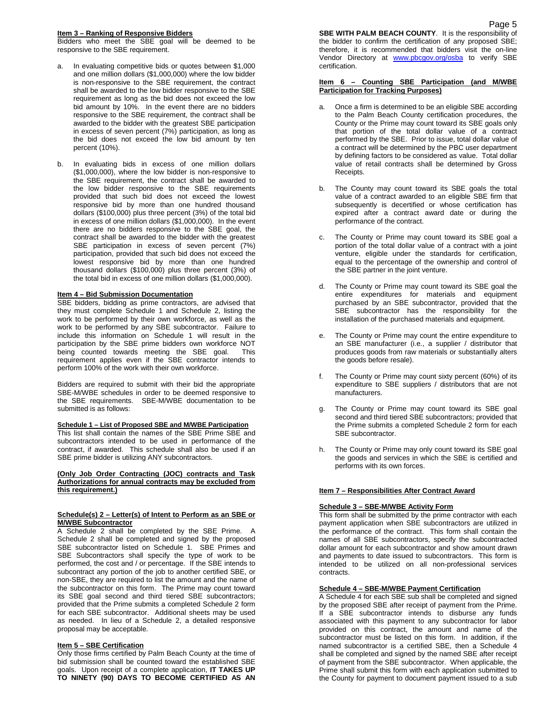#### **Item 3 – Ranking of Responsive Bidders**

Bidders who meet the SBE goal will be deemed to be responsive to the SBE requirement.

- a. In evaluating competitive bids or quotes between \$1,000 and one million dollars (\$1,000,000) where the low bidder is non-responsive to the SBE requirement, the contract shall be awarded to the low bidder responsive to the SBE requirement as long as the bid does not exceed the low bid amount by 10%. In the event there are no bidders responsive to the SBE requirement, the contract shall be awarded to the bidder with the greatest SBE participation in excess of seven percent (7%) participation, as long as the bid does not exceed the low bid amount by ten percent (10%).
- b. In evaluating bids in excess of one million dollars (\$1,000,000), where the low bidder is non-responsive to the SBE requirement, the contract shall be awarded to the low bidder responsive to the SBE requirements provided that such bid does not exceed the lowest responsive bid by more than one hundred thousand dollars (\$100,000) plus three percent (3%) of the total bid in excess of one million dollars (\$1,000,000). In the event there are no bidders responsive to the SBE goal, the contract shall be awarded to the bidder with the greatest SBE participation in excess of seven percent (7%) participation, provided that such bid does not exceed the lowest responsive bid by more than one hundred thousand dollars (\$100,000) plus three percent (3%) of the total bid in excess of one million dollars (\$1,000,000).

#### **Item 4 – Bid Submission Documentation**

SBE bidders, bidding as prime contractors, are advised that they must complete Schedule 1 and Schedule 2, listing the work to be performed by their own workforce, as well as the work to be performed by any SBE subcontractor. Failure to include this information on Schedule 1 will result in the participation by the SBE prime bidders own workforce NOT being counted towards meeting the SBE goal. This requirement applies even if the SBE contractor intends to perform 100% of the work with their own workforce.

Bidders are required to submit with their bid the appropriate SBE-M/WBE schedules in order to be deemed responsive to the SBE requirements. SBE-M/WBE documentation to be submitted is as follows:

#### **Schedule 1 – List of Proposed SBE and M/WBE Participation**

This list shall contain the names of the SBE Prime SBE and subcontractors intended to be used in performance of the contract, if awarded. This schedule shall also be used if an SBE prime bidder is utilizing ANY subcontractors.

#### **(Only Job Order Contracting (JOC) contracts and Task Authorizations for annual contracts may be excluded from this requirement.)**

#### **Schedule(s) 2 – Letter(s) of Intent to Perform as an SBE or M/WBE Subcontractor**

A Schedule 2 shall be completed by the SBE Prime. A Schedule 2 shall be completed and signed by the proposed SBE subcontractor listed on Schedule 1. SBE Primes and SBE Subcontractors shall specify the type of work to be performed, the cost and / or percentage. If the SBE intends to subcontract any portion of the job to another certified SBE, or non-SBE, they are required to list the amount and the name of the subcontractor on this form. The Prime may count toward its SBE goal second and third tiered SBE subcontractors; provided that the Prime submits a completed Schedule 2 form for each SBE subcontractor. Additional sheets may be used as needed. In lieu of a Schedule 2, a detailed responsive proposal may be acceptable.

#### **Item 5 – SBE Certification**

Only those firms certified by Palm Beach County at the time of bid submission shall be counted toward the established SBE goals. Upon receipt of a complete application, **IT TAKES UP TO NINETY (90) DAYS TO BECOME CERTIFIED AS AN**  **SBE WITH PALM BEACH COUNTY.** It is the responsibility of the bidder to confirm the certification of any proposed SBE; therefore, it is recommended that bidders visit the on-line Vendor Directory at [www.pbcgov.org/osba](http://www.pbcgov.org/osba) to verify SBE certification.

#### **Item 6 – Counting SBE Participation (and M/WBE Participation for Tracking Purposes)**

- a. Once a firm is determined to be an eligible SBE according to the Palm Beach County certification procedures, the County or the Prime may count toward its SBE goals only that portion of the total dollar value of a contract performed by the SBE. Prior to issue, total dollar value of a contract will be determined by the PBC user department by defining factors to be considered as value. Total dollar value of retail contracts shall be determined by Gross Receipts.
- b. The County may count toward its SBE goals the total value of a contract awarded to an eligible SBE firm that subsequently is decertified or whose certification has expired after a contract award date or during the performance of the contract.
- c. The County or Prime may count toward its SBE goal a portion of the total dollar value of a contract with a joint venture, eligible under the standards for certification, equal to the percentage of the ownership and control of the SBE partner in the joint venture.
- d. The County or Prime may count toward its SBE goal the entire expenditures for materials and equipment purchased by an SBE subcontractor, provided that the SBE subcontractor has the responsibility for the installation of the purchased materials and equipment.
- e. The County or Prime may count the entire expenditure to an SBE manufacturer (i.e., a supplier / distributor that produces goods from raw materials or substantially alters the goods before resale).
- f. The County or Prime may count sixty percent (60%) of its expenditure to SBE suppliers / distributors that are not manufacturers.
- The County or Prime may count toward its SBE goal second and third tiered SBE subcontractors; provided that the Prime submits a completed Schedule 2 form for each SBE subcontractor.
- h. The County or Prime may only count toward its SBE goal the goods and services in which the SBE is certified and performs with its own forces.

#### **Item 7 – Responsibilities After Contract Award**

#### **Schedule 3 – SBE-M/WBE Activity Form**

This form shall be submitted by the prime contractor with each payment application when SBE subcontractors are utilized in the performance of the contract. This form shall contain the names of all SBE subcontractors, specify the subcontracted dollar amount for each subcontractor and show amount drawn and payments to date issued to subcontractors. This form is intended to be utilized on all non-professional services contracts.

#### **Schedule 4 – SBE-M/WBE Payment Certification**

A Schedule 4 for each SBE sub shall be completed and signed by the proposed SBE after receipt of payment from the Prime. If a SBE subcontractor intends to disburse any funds associated with this payment to any subcontractor for labor provided on this contract, the amount and name of the subcontractor must be listed on this form. In addition, if the named subcontractor is a certified SBE, then a Schedule 4 shall be completed and signed by the named SBE after receipt of payment from the SBE subcontractor. When applicable, the Prime shall submit this form with each application submitted to the County for payment to document payment issued to a sub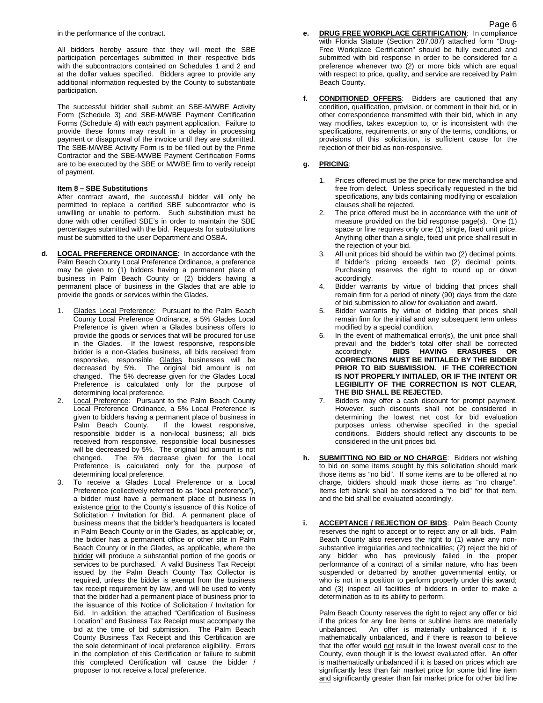in the performance of the contract.

All bidders hereby assure that they will meet the SBE participation percentages submitted in their respective bids with the subcontractors contained on Schedules 1 and 2 and at the dollar values specified. Bidders agree to provide any additional information requested by the County to substantiate participation.

The successful bidder shall submit an SBE-M/WBE Activity Form (Schedule 3) and SBE-M/WBE Payment Certification Forms (Schedule 4) with each payment application. Failure to provide these forms may result in a delay in processing payment or disapproval of the invoice until they are submitted. The SBE-M/WBE Activity Form is to be filled out by the Prime Contractor and the SBE-M/WBE Payment Certification Forms are to be executed by the SBE or M/WBE firm to verify receipt of payment.

#### **Item 8 – SBE Substitutions**

After contract award, the successful bidder will only be permitted to replace a certified SBE subcontractor who is unwilling or unable to perform. Such substitution must be done with other certified SBE's in order to maintain the SBE percentages submitted with the bid. Requests for substitutions must be submitted to the user Department and OSBA.

- **d. LOCAL PREFERENCE ORDINANCE**: In accordance with the Palm Beach County Local Preference Ordinance, a preference may be given to (1) bidders having a permanent place of business in Palm Beach County or (2) bidders having a permanent place of business in the Glades that are able to provide the goods or services within the Glades.
	- 1. Glades Local Preference: Pursuant to the Palm Beach County Local Preference Ordinance, a 5% Glades Local Preference is given when a Glades business offers to provide the goods or services that will be procured for use in the Glades. If the lowest responsive, responsible bidder is a non-Glades business, all bids received from responsive, responsible Glades businesses will be decreased by 5%. The original bid amount is not changed. The 5% decrease given for the Glades Local Preference is calculated only for the purpose of determining local preference.
	- Local Preference: Pursuant to the Palm Beach County Local Preference Ordinance, a 5% Local Preference is given to bidders having a permanent place of business in Palm Beach County. If the lowest responsive, responsible bidder is a non-local business; all bids received from responsive, responsible local businesses will be decreased by 5%. The original bid amount is not changed. The 5% decrease given for the Local Preference is calculated only for the purpose of determining local preference.
	- To receive a Glades Local Preference or a Local Preference (collectively referred to as "local preference"), a bidder must have a permanent place of business in existence prior to the County's issuance of this Notice of Solicitation / Invitation for Bid. A permanent place of business means that the bidder's headquarters is located in Palm Beach County or in the Glades, as applicable; or, the bidder has a permanent office or other site in Palm Beach County or in the Glades, as applicable, where the bidder will produce a substantial portion of the goods or services to be purchased. A valid Business Tax Receipt issued by the Palm Beach County Tax Collector is required, unless the bidder is exempt from the business tax receipt requirement by law, and will be used to verify that the bidder had a permanent place of business prior to the issuance of this Notice of Solicitation / Invitation for Bid. In addition, the attached "Certification of Business Location" and Business Tax Receipt must accompany the bid at the time of bid submission. The Palm Beach County Business Tax Receipt and this Certification are the sole determinant of local preference eligibility. Errors in the completion of this Certification or failure to submit this completed Certification will cause the bidder / proposer to not receive a local preference.
- **e. DRUG FREE WORKPLACE CERTIFICATION**: In compliance with Florida Statute (Section 287.087) attached form "Drug-Free Workplace Certification" should be fully executed and submitted with bid response in order to be considered for a preference whenever two (2) or more bids which are equal with respect to price, quality, and service are received by Palm Beach County.
- **f. CONDITIONED OFFERS**: Bidders are cautioned that any condition, qualification, provision, or comment in their bid, or in other correspondence transmitted with their bid, which in any way modifies, takes exception to, or is inconsistent with the specifications, requirements, or any of the terms, conditions, or provisions of this solicitation, is sufficient cause for the rejection of their bid as non-responsive.

#### **g. PRICING**:

- 1. Prices offered must be the price for new merchandise and free from defect. Unless specifically requested in the bid specifications, any bids containing modifying or escalation clauses shall be rejected.
- 2. The price offered must be in accordance with the unit of measure provided on the bid response page(s). One (1) space or line requires only one (1) single, fixed unit price. Anything other than a single, fixed unit price shall result in the rejection of your bid.
- 3. All unit prices bid should be within two (2) decimal points. If bidder's pricing exceeds two (2) decimal points, Purchasing reserves the right to round up or down accordingly.
- 4. Bidder warrants by virtue of bidding that prices shall remain firm for a period of ninety (90) days from the date of bid submission to allow for evaluation and award.
- 5. Bidder warrants by virtue of bidding that prices shall remain firm for the initial and any subsequent term unless modified by a special condition.
- 6. In the event of mathematical error(s), the unit price shall prevail and the bidder's total offer shall be corrected<br>accordingly. **BIDS HAVING ERASURES OR BIDS HAVING ERASURES OR CORRECTIONS MUST BE INITIALED BY THE BIDDER PRIOR TO BID SUBMISSION. IF THE CORRECTION IS NOT PROPERLY INITIALED, OR IF THE INTENT OR LEGIBILITY OF THE CORRECTION IS NOT CLEAR, THE BID SHALL BE REJECTED.**
- 7. Bidders may offer a cash discount for prompt payment. However, such discounts shall not be considered in determining the lowest net cost for bid evaluation purposes unless otherwise specified in the special conditions. Bidders should reflect any discounts to be considered in the unit prices bid.
- **h. SUBMITTING NO BID or NO CHARGE**: Bidders not wishing to bid on some items sought by this solicitation should mark those items as "no bid". If some items are to be offered at no charge, bidders should mark those items as "no charge". Items left blank shall be considered a "no bid" for that item, and the bid shall be evaluated accordingly.
- **i.** ACCEPTANCE / REJECTION OF BIDS: Palm Beach County reserves the right to accept or to reject any or all bids. Palm Beach County also reserves the right to (1) waive any nonsubstantive irregularities and technicalities; (2) reject the bid of any bidder who has previously failed in the proper performance of a contract of a similar nature, who has been suspended or debarred by another governmental entity, or who is not in a position to perform properly under this award; and (3) inspect all facilities of bidders in order to make a determination as to its ability to perform.

Palm Beach County reserves the right to reject any offer or bid if the prices for any line items or subline items are materially unbalanced. An offer is materially unbalanced if it is mathematically unbalanced, and if there is reason to believe that the offer would not result in the lowest overall cost to the County, even though it is the lowest evaluated offer. An offer is mathematically unbalanced if it is based on prices which are significantly less than fair market price for some bid line item and significantly greater than fair market price for other bid line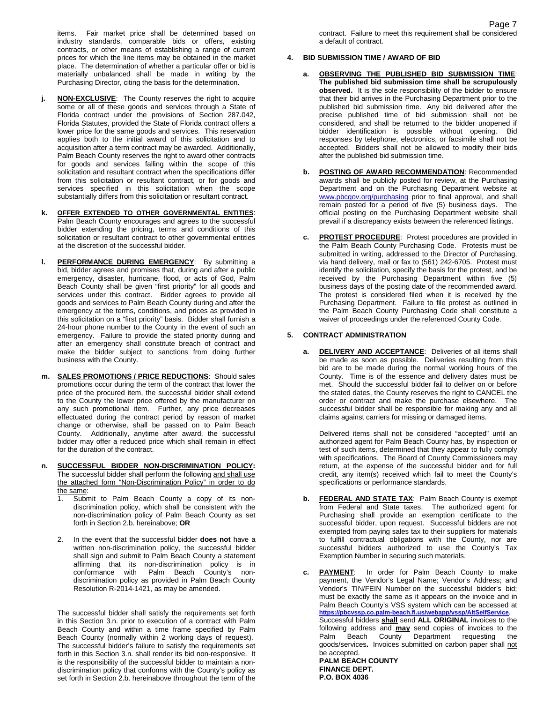items. Fair market price shall be determined based on industry standards, comparable bids or offers, existing contracts, or other means of establishing a range of current prices for which the line items may be obtained in the market place. The determination of whether a particular offer or bid is materially unbalanced shall be made in writing by the Purchasing Director, citing the basis for the determination.

- **j. NON-EXCLUSIVE:** The County reserves the right to acquire some or all of these goods and services through a State of Florida contract under the provisions of Section 287.042, Florida Statutes, provided the State of Florida contract offers a lower price for the same goods and services. This reservation applies both to the initial award of this solicitation and to acquisition after a term contract may be awarded. Additionally, Palm Beach County reserves the right to award other contracts for goods and services falling within the scope of this solicitation and resultant contract when the specifications differ from this solicitation or resultant contract, or for goods and services specified in this solicitation when the scope substantially differs from this solicitation or resultant contract.
- **k. OFFER EXTENDED TO OTHER GOVERNMENTAL ENTITIES**: Palm Beach County encourages and agrees to the successful bidder extending the pricing, terms and conditions of this solicitation or resultant contract to other governmental entities at the discretion of the successful bidder.
- **l. PERFORMANCE DURING EMERGENCY**: By submitting a bid, bidder agrees and promises that, during and after a public emergency, disaster, hurricane, flood, or acts of God, Palm Beach County shall be given "first priority" for all goods and services under this contract. Bidder agrees to provide all goods and services to Palm Beach County during and after the emergency at the terms, conditions, and prices as provided in this solicitation on a "first priority" basis. Bidder shall furnish a 24-hour phone number to the County in the event of such an emergency. Failure to provide the stated priority during and after an emergency shall constitute breach of contract and make the bidder subject to sanctions from doing further business with the County.
- **m. SALES PROMOTIONS / PRICE REDUCTIONS**: Should sales promotions occur during the term of the contract that lower the price of the procured item, the successful bidder shall extend to the County the lower price offered by the manufacturer on any such promotional item. Further, any price decreases effectuated during the contract period by reason of market change or otherwise, shall be passed on to Palm Beach County. Additionally, anytime after award, the successful bidder may offer a reduced price which shall remain in effect for the duration of the contract.
- **n. SUCCESSFUL BIDDER NON-DISCRIMINATION POLICY:** The successful bidder shall perform the following and shall use the attached form "Non-Discrimination Policy" in order to do the same:
	- Submit to Palm Beach County a copy of its nondiscrimination policy, which shall be consistent with the non-discrimination policy of Palm Beach County as set forth in Section 2.b. hereinabove; **OR**
	- 2. In the event that the successful bidder **does not** have a written non-discrimination policy, the successful bidder shall sign and submit to Palm Beach County a statement affirming that its non-discrimination policy is in conformance with Palm Beach County's nondiscrimination policy as provided in Palm Beach County Resolution R-2014-1421, as may be amended.

The successful bidder shall satisfy the requirements set forth in this Section 3.n. prior to execution of a contract with Palm Beach County and within a time frame specified by Palm Beach County (normally within 2 working days of request). The successful bidder's failure to satisfy the requirements set forth in this Section 3.n. shall render its bid non-responsive. It is the responsibility of the successful bidder to maintain a nondiscrimination policy that conforms with the County's policy as set forth in Section 2.b. hereinabove throughout the term of the

Page 7 contract. Failure to meet this requirement shall be considered a default of contract.

- **4. BID SUBMISSION TIME / AWARD OF BID**
	- **a. OBSERVING THE PUBLISHED BID SUBMISSION TIME**: **The published bid submission time shall be scrupulously observed.** It is the sole responsibility of the bidder to ensure that their bid arrives in the Purchasing Department prior to the published bid submission time. Any bid delivered after the precise published time of bid submission shall not be considered, and shall be returned to the bidder unopened if bidder identification is possible without opening. Bid responses by telephone, electronics, or facsimile shall not be accepted. Bidders shall not be allowed to modify their bids after the published bid submission time.
	- **b. POSTING OF AWARD RECOMMENDATION**: Recommended awards shall be publicly posted for review, at the Purchasing Department and on the Purchasing Department website at [www.pbcgov.org/purchasing](http://www.pbcgov.org/purchasing) prior to final approval, and shall remain posted for a period of five (5) business days. The official posting on the Purchasing Department website shall prevail if a discrepancy exists between the referenced listings.
	- **c. PROTEST PROCEDURE**: Protest procedures are provided in the Palm Beach County Purchasing Code. Protests must be submitted in writing, addressed to the Director of Purchasing, via hand delivery, mail or fax to (561) 242-6705. Protest must identify the solicitation, specify the basis for the protest, and be received by the Purchasing Department within five (5) business days of the posting date of the recommended award. The protest is considered filed when it is received by the Purchasing Department. Failure to file protest as outlined in the Palm Beach County Purchasing Code shall constitute a waiver of proceedings under the referenced County Code.

#### **5. CONTRACT ADMINISTRATION**

**a. DELIVERY AND ACCEPTANCE**: Deliveries of all items shall be made as soon as possible. Deliveries resulting from this bid are to be made during the normal working hours of the County. Time is of the essence and delivery dates must be met. Should the successful bidder fail to deliver on or before the stated dates, the County reserves the right to CANCEL the order or contract and make the purchase elsewhere. The successful bidder shall be responsible for making any and all claims against carriers for missing or damaged items.

Delivered items shall not be considered "accepted" until an authorized agent for Palm Beach County has, by inspection or test of such items, determined that they appear to fully comply with specifications. The Board of County Commissioners may return, at the expense of the successful bidder and for full credit, any item(s) received which fail to meet the County's specifications or performance standards.

**b. FEDERAL AND STATE TAX**: Palm Beach County is exempt from Federal and State taxes. The authorized agent for Purchasing shall provide an exemption certificate to the successful bidder, upon request. Successful bidders are not exempted from paying sales tax to their suppliers for materials to fulfill contractual obligations with the County, nor are successful bidders authorized to use the County's Tax Exemption Number in securing such materials.

**c. PAYMENT**: In order for Palm Beach County to make payment, the Vendor's Legal Name; Vendor's Address; and Vendor's TIN/FEIN Number on the successful bidder's bid; must be exactly the same as it appears on the invoice and in Palm Beach County's VSS system which can be accessed at **<https://pbcvssp.co.palm-beach.fl.us/webapp/vssp/AltSelfService>**. Successful bidders **shall** send **ALL ORIGINAL** invoices to the following address and **may** send copies of invoices to the Palm Beach County Department requesting the goods/services**.** Invoices submitted on carbon paper shall not be accepted. **PALM BEACH COUNTY**

**FINANCE DEPT. P.O. BOX 4036**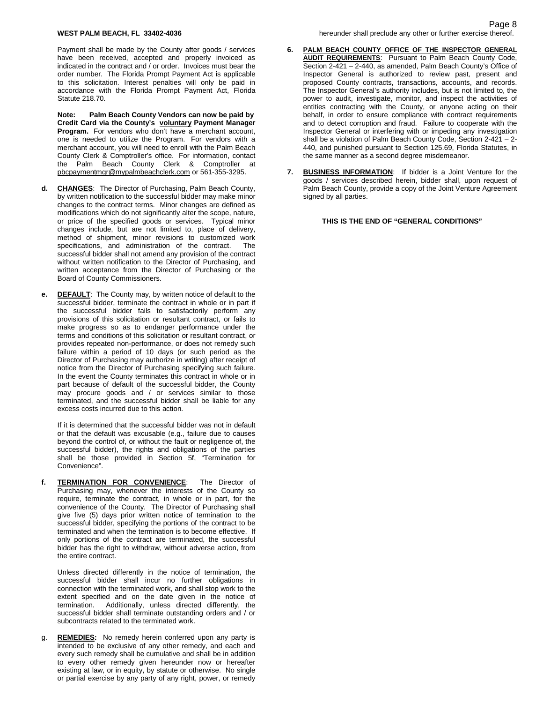#### **WEST PALM BEACH, FL 33402-4036**

Payment shall be made by the County after goods / services have been received, accepted and properly invoiced as indicated in the contract and / or order. Invoices must bear the order number. The Florida Prompt Payment Act is applicable to this solicitation. Interest penalties will only be paid in accordance with the Florida Prompt Payment Act, Florida Statute 218.70.

**Note: Palm Beach County Vendors can now be paid by Credit Card via the County's voluntary Payment Manager Program.** For vendors who don't have a merchant account, one is needed to utilize the Program. For vendors with a merchant account, you will need to enroll with the Palm Beach County Clerk & Comptroller's office. For information, contact the Palm Beach County Clerk & Comptroller at [pbcpaymentmgr@mypalmbeachclerk.com](mailto:pbcpaymentmgr@mypalmbeachclerk.com) or 561-355-3295.

- **d. CHANGES**: The Director of Purchasing, Palm Beach County, by written notification to the successful bidder may make minor changes to the contract terms. Minor changes are defined as modifications which do not significantly alter the scope, nature, or price of the specified goods or services. Typical minor changes include, but are not limited to, place of delivery, method of shipment, minor revisions to customized work specifications, and administration of the contract. The successful bidder shall not amend any provision of the contract without written notification to the Director of Purchasing, and written acceptance from the Director of Purchasing or the Board of County Commissioners.
- **e. DEFAULT**: The County may, by written notice of default to the successful bidder, terminate the contract in whole or in part if the successful bidder fails to satisfactorily perform any provisions of this solicitation or resultant contract, or fails to make progress so as to endanger performance under the terms and conditions of this solicitation or resultant contract, or provides repeated non-performance, or does not remedy such failure within a period of 10 days (or such period as the Director of Purchasing may authorize in writing) after receipt of notice from the Director of Purchasing specifying such failure. In the event the County terminates this contract in whole or in part because of default of the successful bidder, the County may procure goods and / or services similar to those terminated, and the successful bidder shall be liable for any excess costs incurred due to this action.

If it is determined that the successful bidder was not in default or that the default was excusable (e.g., failure due to causes beyond the control of, or without the fault or negligence of, the successful bidder), the rights and obligations of the parties shall be those provided in Section 5f, "Termination for Convenience".

**f. TERMINATION FOR CONVENIENCE**: The Director of Purchasing may, whenever the interests of the County so require, terminate the contract, in whole or in part, for the convenience of the County. The Director of Purchasing shall give five (5) days prior written notice of termination to the successful bidder, specifying the portions of the contract to be terminated and when the termination is to become effective. If only portions of the contract are terminated, the successful bidder has the right to withdraw, without adverse action, from the entire contract.

Unless directed differently in the notice of termination, the successful bidder shall incur no further obligations in connection with the terminated work, and shall stop work to the extent specified and on the date given in the notice of<br>termination Additionally unless directed differently the Additionally, unless directed differently, the successful bidder shall terminate outstanding orders and / or subcontracts related to the terminated work.

g. **REMEDIES:** No remedy herein conferred upon any party is intended to be exclusive of any other remedy, and each and every such remedy shall be cumulative and shall be in addition to every other remedy given hereunder now or hereafter existing at law, or in equity, by statute or otherwise. No single or partial exercise by any party of any right, power, or remedy

- **6. PALM BEACH COUNTY OFFICE OF THE INSPECTOR GENERAL AUDIT REQUIREMENTS**: Pursuant to Palm Beach County Code, Section 2-421 – 2-440, as amended, Palm Beach County's Office of Inspector General is authorized to review past, present and proposed County contracts, transactions, accounts, and records. The Inspector General's authority includes, but is not limited to, the power to audit, investigate, monitor, and inspect the activities of entities contracting with the County, or anyone acting on their behalf, in order to ensure compliance with contract requirements and to detect corruption and fraud. Failure to cooperate with the Inspector General or interfering with or impeding any investigation shall be a violation of Palm Beach County Code, Section 2-421 – 2- 440, and punished pursuant to Section 125.69, Florida Statutes, in the same manner as a second degree misdemeanor.
- **7. BUSINESS INFORMATION**: If bidder is a Joint Venture for the goods / services described herein, bidder shall, upon request of Palm Beach County, provide a copy of the Joint Venture Agreement signed by all parties.

**THIS IS THE END OF "GENERAL CONDITIONS"**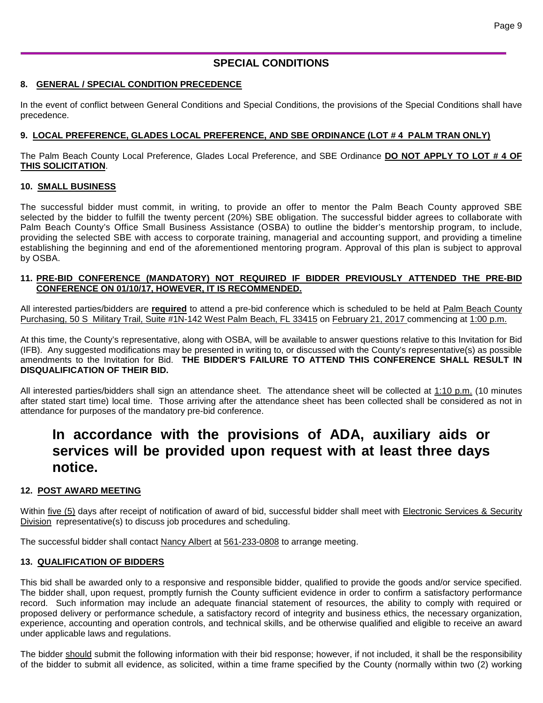# **SPECIAL CONDITIONS**

## **8. GENERAL / SPECIAL CONDITION PRECEDENCE**

In the event of conflict between General Conditions and Special Conditions, the provisions of the Special Conditions shall have precedence.

## **9. LOCAL PREFERENCE, GLADES LOCAL PREFERENCE, AND SBE ORDINANCE (LOT # 4 PALM TRAN ONLY)**

The Palm Beach County Local Preference, Glades Local Preference, and SBE Ordinance **DO NOT APPLY TO LOT # 4 OF THIS SOLICITATION**.

## **10. SMALL BUSINESS**

The successful bidder must commit, in writing, to provide an offer to mentor the Palm Beach County approved SBE selected by the bidder to fulfill the twenty percent (20%) SBE obligation. The successful bidder agrees to collaborate with Palm Beach County's Office Small Business Assistance (OSBA) to outline the bidder's mentorship program, to include, providing the selected SBE with access to corporate training, managerial and accounting support, and providing a timeline establishing the beginning and end of the aforementioned mentoring program. Approval of this plan is subject to approval by OSBA.

### **11. PRE-BID CONFERENCE (MANDATORY) NOT REQUIRED IF BIDDER PREVIOUSLY ATTENDED THE PRE-BID CONFERENCE ON 01/10/17, HOWEVER, IT IS RECOMMENDED.**

All interested parties/bidders are **required** to attend a pre-bid conference which is scheduled to be held at Palm Beach County Purchasing, 50 S Military Trail, Suite #1N-142 West Palm Beach, FL 33415 on February 21, 2017 commencing at 1:00 p.m.

At this time, the County's representative, along with OSBA, will be available to answer questions relative to this Invitation for Bid (IFB). Any suggested modifications may be presented in writing to, or discussed with the County's representative(s) as possible amendments to the Invitation for Bid. **THE BIDDER'S FAILURE TO ATTEND THIS CONFERENCE SHALL RESULT IN DISQUALIFICATION OF THEIR BID.**

All interested parties/bidders shall sign an attendance sheet. The attendance sheet will be collected at 1:10 p.m. (10 minutes after stated start time) local time. Those arriving after the attendance sheet has been collected shall be considered as not in attendance for purposes of the mandatory pre-bid conference.

# **In accordance with the provisions of ADA, auxiliary aids or services will be provided upon request with at least three days notice.**

# **12. POST AWARD MEETING**

Within five (5) days after receipt of notification of award of bid, successful bidder shall meet with Electronic Services & Security Division representative(s) to discuss job procedures and scheduling.

The successful bidder shall contact Nancy Albert at 561-233-0808 to arrange meeting.

## **13. QUALIFICATION OF BIDDERS**

This bid shall be awarded only to a responsive and responsible bidder, qualified to provide the goods and/or service specified. The bidder shall, upon request, promptly furnish the County sufficient evidence in order to confirm a satisfactory performance record. Such information may include an adequate financial statement of resources, the ability to comply with required or proposed delivery or performance schedule, a satisfactory record of integrity and business ethics, the necessary organization, experience, accounting and operation controls, and technical skills, and be otherwise qualified and eligible to receive an award under applicable laws and regulations.

The bidder should submit the following information with their bid response; however, if not included, it shall be the responsibility of the bidder to submit all evidence, as solicited, within a time frame specified by the County (normally within two (2) working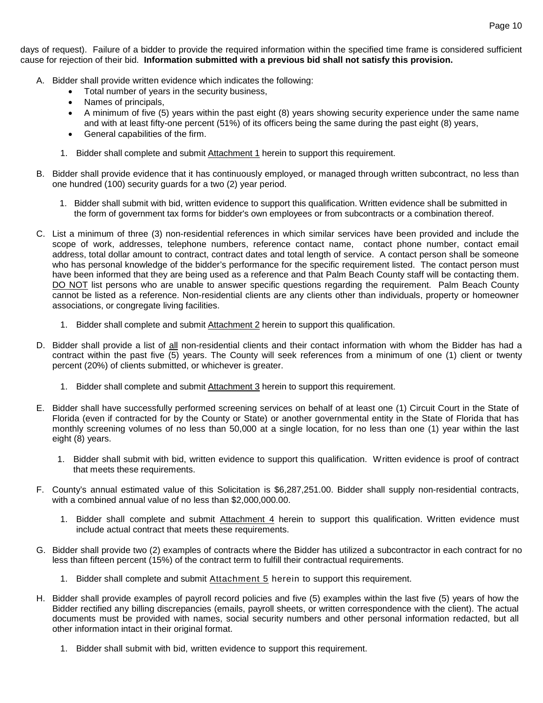days of request). Failure of a bidder to provide the required information within the specified time frame is considered sufficient cause for rejection of their bid. **Information submitted with a previous bid shall not satisfy this provision.**

- A. Bidder shall provide written evidence which indicates the following:
	- Total number of years in the security business,
	- Names of principals,
	- A minimum of five (5) years within the past eight (8) years showing security experience under the same name and with at least fifty-one percent (51%) of its officers being the same during the past eight (8) years,
	- General capabilities of the firm.
	- 1. Bidder shall complete and submit Attachment 1 herein to support this requirement.
- B. Bidder shall provide evidence that it has continuously employed, or managed through written subcontract, no less than one hundred (100) security guards for a two (2) year period.
	- 1. Bidder shall submit with bid, written evidence to support this qualification. Written evidence shall be submitted in the form of government tax forms for bidder's own employees or from subcontracts or a combination thereof.
- C. List a minimum of three (3) non-residential references in which similar services have been provided and include the scope of work, addresses, telephone numbers, reference contact name, contact phone number, contact email address, total dollar amount to contract, contract dates and total length of service. A contact person shall be someone who has personal knowledge of the bidder's performance for the specific requirement listed. The contact person must have been informed that they are being used as a reference and that Palm Beach County staff will be contacting them. DO NOT list persons who are unable to answer specific questions regarding the requirement. Palm Beach County cannot be listed as a reference. Non-residential clients are any clients other than individuals, property or homeowner associations, or congregate living facilities.
	- 1. Bidder shall complete and submit Attachment 2 herein to support this qualification.
- D. Bidder shall provide a list of all non-residential clients and their contact information with whom the Bidder has had a contract within the past five (5) years. The County will seek references from a minimum of one (1) client or twenty percent (20%) of clients submitted, or whichever is greater.
	- 1. Bidder shall complete and submit Attachment 3 herein to support this requirement.
- E. Bidder shall have successfully performed screening services on behalf of at least one (1) Circuit Court in the State of Florida (even if contracted for by the County or State) or another governmental entity in the State of Florida that has monthly screening volumes of no less than 50,000 at a single location, for no less than one (1) year within the last eight (8) years.
	- 1. Bidder shall submit with bid, written evidence to support this qualification. Written evidence is proof of contract that meets these requirements.
- F. County's annual estimated value of this Solicitation is \$6,287,251.00. Bidder shall supply non-residential contracts, with a combined annual value of no less than \$2,000,000.00.
	- 1. Bidder shall complete and submit Attachment 4 herein to support this qualification. Written evidence must include actual contract that meets these requirements.
- G. Bidder shall provide two (2) examples of contracts where the Bidder has utilized a subcontractor in each contract for no less than fifteen percent (15%) of the contract term to fulfill their contractual requirements.
	- 1. Bidder shall complete and submit Attachment 5 herein to support this requirement.
- H. Bidder shall provide examples of payroll record policies and five (5) examples within the last five (5) years of how the Bidder rectified any billing discrepancies (emails, payroll sheets, or written correspondence with the client). The actual documents must be provided with names, social security numbers and other personal information redacted, but all other information intact in their original format.
	- 1. Bidder shall submit with bid, written evidence to support this requirement.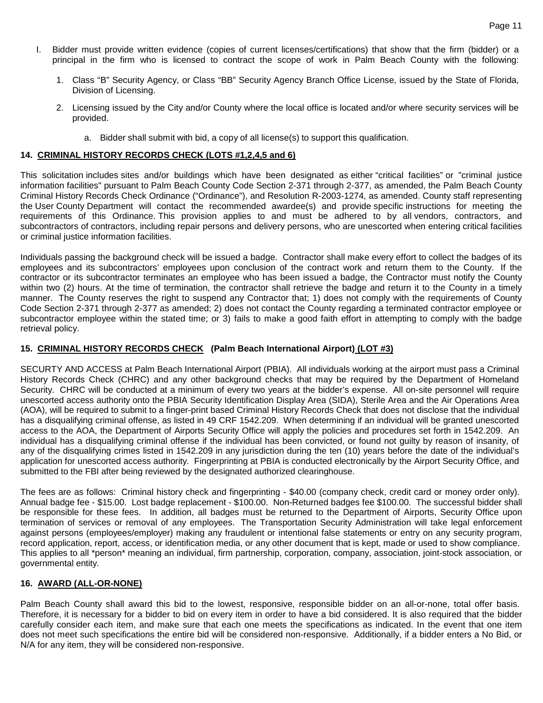- I. Bidder must provide written evidence (copies of current licenses/certifications) that show that the firm (bidder) or a principal in the firm who is licensed to contract the scope of work in Palm Beach County with the following:
	- 1. Class "B" Security Agency, or Class "BB" Security Agency Branch Office License, issued by the State of Florida, Division of Licensing.
	- 2. Licensing issued by the City and/or County where the local office is located and/or where security services will be provided.
		- a. Bidder shall submit with bid, a copy of all license(s) to support this qualification.

#### **14. CRIMINAL HISTORY RECORDS CHECK (LOTS #1,2,4,5 and 6)**

This solicitation includes sites and/or buildings which have been designated as either "critical facilities" or "criminal justice information facilities" pursuant to Palm Beach County Code Section 2-371 through 2-377, as amended, the Palm Beach County Criminal History Records Check Ordinance ("Ordinance"), and Resolution R-2003-1274, as amended. County staff representing the User County Department will contact the recommended awardee(s) and provide specific instructions for meeting the requirements of this Ordinance. This provision applies to and must be adhered to by all vendors, contractors, and subcontractors of contractors, including repair persons and delivery persons, who are unescorted when entering critical facilities or criminal justice information facilities.

Individuals passing the background check will be issued a badge. Contractor shall make every effort to collect the badges of its employees and its subcontractors' employees upon conclusion of the contract work and return them to the County. If the contractor or its subcontractor terminates an employee who has been issued a badge, the Contractor must notify the County within two (2) hours. At the time of termination, the contractor shall retrieve the badge and return it to the County in a timely manner. The County reserves the right to suspend any Contractor that; 1) does not comply with the requirements of County Code Section 2-371 through 2-377 as amended; 2) does not contact the County regarding a terminated contractor employee or subcontractor employee within the stated time; or 3) fails to make a good faith effort in attempting to comply with the badge retrieval policy.

#### **15. CRIMINAL HISTORY RECORDS CHECK (Palm Beach International Airport) (LOT #3)**

SECURTY AND ACCESS at Palm Beach International Airport (PBIA). All individuals working at the airport must pass a Criminal History Records Check (CHRC) and any other background checks that may be required by the Department of Homeland Security. CHRC will be conducted at a minimum of every two years at the bidder's expense. All on-site personnel will require unescorted access authority onto the PBIA Security Identification Display Area (SIDA), Sterile Area and the Air Operations Area (AOA), will be required to submit to a finger-print based Criminal History Records Check that does not disclose that the individual has a disqualifying criminal offense, as listed in 49 CRF 1542.209. When determining if an individual will be granted unescorted access to the AOA, the Department of Airports Security Office will apply the policies and procedures set forth in 1542.209. An individual has a disqualifying criminal offense if the individual has been convicted, or found not guilty by reason of insanity, of any of the disqualifying crimes listed in 1542.209 in any jurisdiction during the ten (10) years before the date of the individual's application for unescorted access authority. Fingerprinting at PBIA is conducted electronically by the Airport Security Office, and submitted to the FBI after being reviewed by the designated authorized clearinghouse.

The fees are as follows: Criminal history check and fingerprinting - \$40.00 (company check, credit card or money order only). Annual badge fee - \$15.00. Lost badge replacement - \$100.00. Non-Returned badges fee \$100.00. The successful bidder shall be responsible for these fees. In addition, all badges must be returned to the Department of Airports, Security Office upon termination of services or removal of any employees. The Transportation Security Administration will take legal enforcement against persons (employees/employer) making any fraudulent or intentional false statements or entry on any security program, record application, report, access, or identification media, or any other document that is kept, made or used to show compliance. This applies to all \*person\* meaning an individual, firm partnership, corporation, company, association, joint-stock association, or governmental entity.

#### **16. AWARD (ALL-OR-NONE)**

Palm Beach County shall award this bid to the lowest, responsive, responsible bidder on an all-or-none, total offer basis. Therefore, it is necessary for a bidder to bid on every item in order to have a bid considered. It is also required that the bidder carefully consider each item, and make sure that each one meets the specifications as indicated. In the event that one item does not meet such specifications the entire bid will be considered non-responsive. Additionally, if a bidder enters a No Bid, or N/A for any item, they will be considered non-responsive.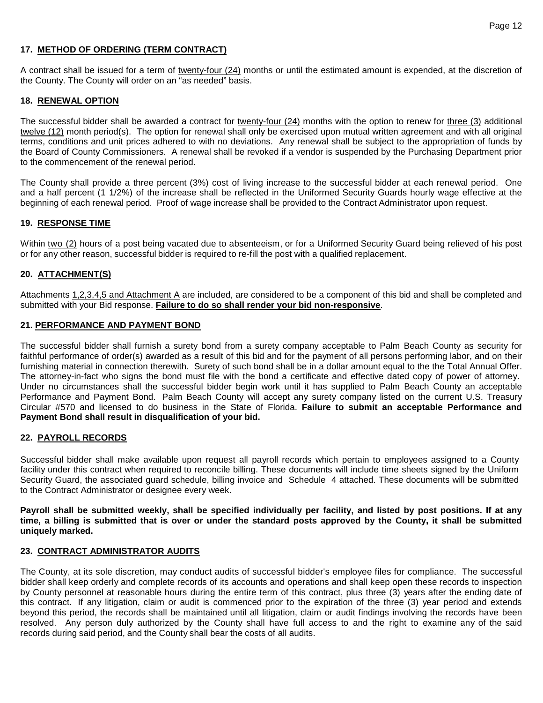### **17. METHOD OF ORDERING (TERM CONTRACT)**

A contract shall be issued for a term of twenty-four (24) months or until the estimated amount is expended, at the discretion of the County. The County will order on an "as needed" basis.

#### **18. RENEWAL OPTION**

The successful bidder shall be awarded a contract for twenty-four (24) months with the option to renew for three (3) additional twelve (12) month period(s). The option for renewal shall only be exercised upon mutual written agreement and with all original terms, conditions and unit prices adhered to with no deviations. Any renewal shall be subject to the appropriation of funds by the Board of County Commissioners. A renewal shall be revoked if a vendor is suspended by the Purchasing Department prior to the commencement of the renewal period.

The County shall provide a three percent (3%) cost of living increase to the successful bidder at each renewal period. One and a half percent (1 1/2%) of the increase shall be reflected in the Uniformed Security Guards hourly wage effective at the beginning of each renewal period. Proof of wage increase shall be provided to the Contract Administrator upon request.

#### **19. RESPONSE TIME**

Within two (2) hours of a post being vacated due to absenteeism, or for a Uniformed Security Guard being relieved of his post or for any other reason, successful bidder is required to re-fill the post with a qualified replacement.

#### **20. ATTACHMENT(S)**

Attachments 1,2,3,4,5 and Attachment A are included, are considered to be a component of this bid and shall be completed and submitted with your Bid response. **Failure to do so shall render your bid non-responsive**.

#### **21. PERFORMANCE AND PAYMENT BOND**

The successful bidder shall furnish a surety bond from a surety company acceptable to Palm Beach County as security for faithful performance of order(s) awarded as a result of this bid and for the payment of all persons performing labor, and on their furnishing material in connection therewith. Surety of such bond shall be in a dollar amount equal to the the Total Annual Offer. The attorney-in-fact who signs the bond must file with the bond a certificate and effective dated copy of power of attorney. Under no circumstances shall the successful bidder begin work until it has supplied to Palm Beach County an acceptable Performance and Payment Bond. Palm Beach County will accept any surety company listed on the current U.S. Treasury Circular #570 and licensed to do business in the State of Florida. **Failure to submit an acceptable Performance and Payment Bond shall result in disqualification of your bid.**

#### **22. PAYROLL RECORDS**

Successful bidder shall make available upon request all payroll records which pertain to employees assigned to a County facility under this contract when required to reconcile billing. These documents will include time sheets signed by the Uniform Security Guard, the associated guard schedule, billing invoice and Schedule 4 attached. These documents will be submitted to the Contract Administrator or designee every week.

**Payroll shall be submitted weekly, shall be specified individually per facility, and listed by post positions. If at any time, a billing is submitted that is over or under the standard posts approved by the County, it shall be submitted uniquely marked.**

#### **23. CONTRACT ADMINISTRATOR AUDITS**

The County, at its sole discretion, may conduct audits of successful bidder's employee files for compliance. The successful bidder shall keep orderly and complete records of its accounts and operations and shall keep open these records to inspection by County personnel at reasonable hours during the entire term of this contract, plus three (3) years after the ending date of this contract. If any litigation, claim or audit is commenced prior to the expiration of the three (3) year period and extends beyond this period, the records shall be maintained until all litigation, claim or audit findings involving the records have been resolved. Any person duly authorized by the County shall have full access to and the right to examine any of the said records during said period, and the County shall bear the costs of all audits.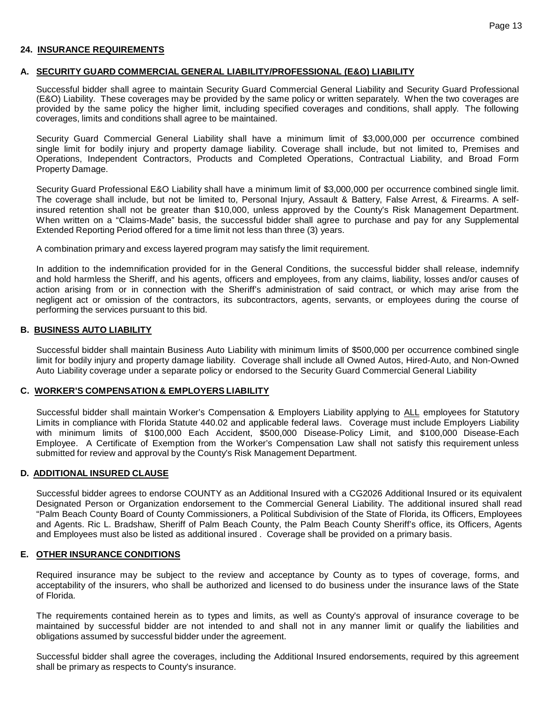#### **24. INSURANCE REQUIREMENTS**

#### **A. SECURITY GUARD COMMERCIAL GENERAL LIABILITY/PROFESSIONAL (E&O) LIABILITY**

Successful bidder shall agree to maintain Security Guard Commercial General Liability and Security Guard Professional (E&O) Liability. These coverages may be provided by the same policy or written separately. When the two coverages are provided by the same policy the higher limit, including specified coverages and conditions, shall apply. The following coverages, limits and conditions shall agree to be maintained.

Security Guard Commercial General Liability shall have a minimum limit of \$3,000,000 per occurrence combined single limit for bodily injury and property damage liability. Coverage shall include, but not limited to, Premises and Operations, Independent Contractors, Products and Completed Operations, Contractual Liability, and Broad Form Property Damage.

Security Guard Professional E&O Liability shall have a minimum limit of \$3,000,000 per occurrence combined single limit. The coverage shall include, but not be limited to, Personal Injury, Assault & Battery, False Arrest, & Firearms. A selfinsured retention shall not be greater than \$10,000, unless approved by the County's Risk Management Department. When written on a "Claims-Made" basis, the successful bidder shall agree to purchase and pay for any Supplemental Extended Reporting Period offered for a time limit not less than three (3) years.

A combination primary and excess layered program may satisfy the limit requirement.

In addition to the indemnification provided for in the General Conditions, the successful bidder shall release, indemnify and hold harmless the Sheriff, and his agents, officers and employees, from any claims, liability, losses and/or causes of action arising from or in connection with the Sheriff's administration of said contract, or which may arise from the negligent act or omission of the contractors, its subcontractors, agents, servants, or employees during the course of performing the services pursuant to this bid.

#### **B. BUSINESS AUTO LIABILITY**

Successful bidder shall maintain Business Auto Liability with minimum limits of \$500,000 per occurrence combined single limit for bodily injury and property damage liability. Coverage shall include all Owned Autos, Hired-Auto, and Non-Owned Auto Liability coverage under a separate policy or endorsed to the Security Guard Commercial General Liability

#### **C. WORKER'S COMPENSATION & EMPLOYERS LIABILITY**

Successful bidder shall maintain Worker's Compensation & Employers Liability applying to ALL employees for Statutory Limits in compliance with Florida Statute 440.02 and applicable federal laws. Coverage must include Employers Liability with minimum limits of \$100,000 Each Accident, \$500,000 Disease-Policy Limit, and \$100,000 Disease-Each Employee. A Certificate of Exemption from the Worker's Compensation Law shall not satisfy this requirement unless submitted for review and approval by the County's Risk Management Department.

#### **D. ADDITIONAL INSURED CLAUSE**

Successful bidder agrees to endorse COUNTY as an Additional Insured with a CG2026 Additional Insured or its equivalent Designated Person or Organization endorsement to the Commercial General Liability. The additional insured shall read "Palm Beach County Board of County Commissioners, a Political Subdivision of the State of Florida, its Officers, Employees and Agents. Ric L. Bradshaw, Sheriff of Palm Beach County, the Palm Beach County Sheriff's office, its Officers, Agents and Employees must also be listed as additional insured . Coverage shall be provided on a primary basis.

#### **E. OTHER INSURANCE CONDITIONS**

Required insurance may be subject to the review and acceptance by County as to types of coverage, forms, and acceptability of the insurers, who shall be authorized and licensed to do business under the insurance laws of the State of Florida.

The requirements contained herein as to types and limits, as well as County's approval of insurance coverage to be maintained by successful bidder are not intended to and shall not in any manner limit or qualify the liabilities and obligations assumed by successful bidder under the agreement.

Successful bidder shall agree the coverages, including the Additional Insured endorsements, required by this agreement shall be primary as respects to County's insurance.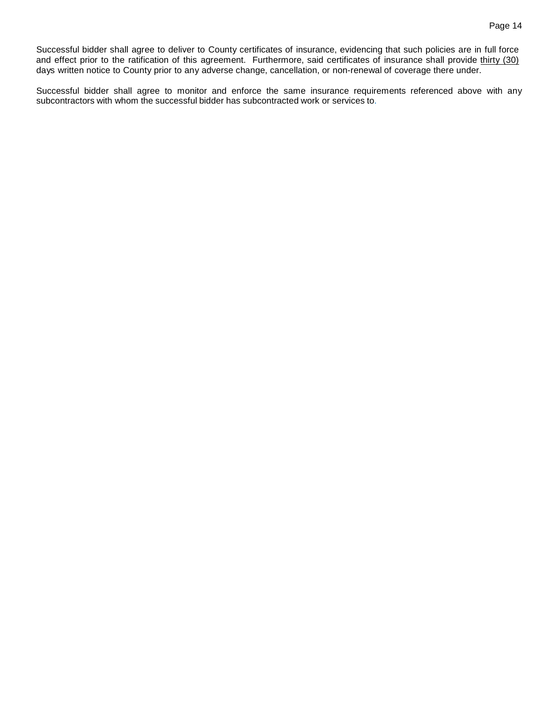Successful bidder shall agree to deliver to County certificates of insurance, evidencing that such policies are in full force and effect prior to the ratification of this agreement. Furthermore, said certificates of insurance shall provide thirty (30) days written notice to County prior to any adverse change, cancellation, or non-renewal of coverage there under.

Successful bidder shall agree to monitor and enforce the same insurance requirements referenced above with any subcontractors with whom the successful bidder has subcontracted work or services to.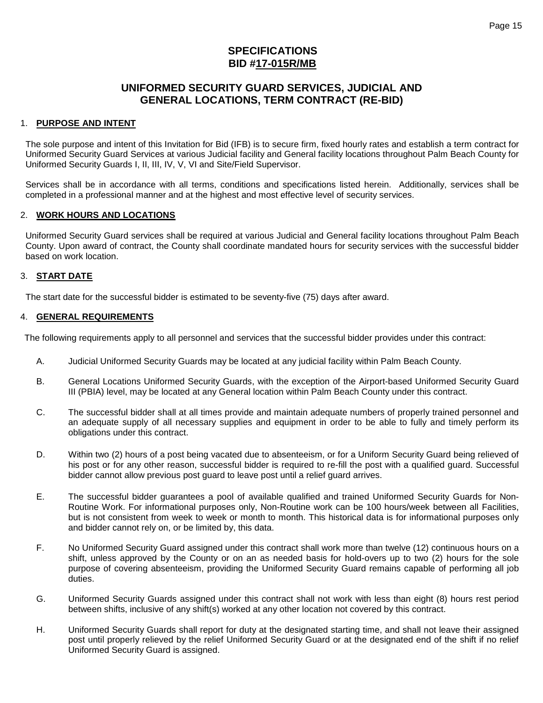# **SPECIFICATIONS BID #17-015R/MB**

# **UNIFORMED SECURITY GUARD SERVICES, JUDICIAL AND GENERAL LOCATIONS, TERM CONTRACT (RE-BID)**

### 1. **PURPOSE AND INTENT**

The sole purpose and intent of this Invitation for Bid (IFB) is to secure firm, fixed hourly rates and establish a term contract for Uniformed Security Guard Services at various Judicial facility and General facility locations throughout Palm Beach County for Uniformed Security Guards I, II, III, IV, V, VI and Site/Field Supervisor.

Services shall be in accordance with all terms, conditions and specifications listed herein. Additionally, services shall be completed in a professional manner and at the highest and most effective level of security services.

### 2. **WORK HOURS AND LOCATIONS**

Uniformed Security Guard services shall be required at various Judicial and General facility locations throughout Palm Beach County. Upon award of contract, the County shall coordinate mandated hours for security services with the successful bidder based on work location.

### 3. **START DATE**

The start date for the successful bidder is estimated to be seventy-five (75) days after award.

### 4. **GENERAL REQUIREMENTS**

The following requirements apply to all personnel and services that the successful bidder provides under this contract:

- A. Judicial Uniformed Security Guards may be located at any judicial facility within Palm Beach County.
- B. General Locations Uniformed Security Guards, with the exception of the Airport-based Uniformed Security Guard III (PBIA) level, may be located at any General location within Palm Beach County under this contract.
- C. The successful bidder shall at all times provide and maintain adequate numbers of properly trained personnel and an adequate supply of all necessary supplies and equipment in order to be able to fully and timely perform its obligations under this contract.
- D. Within two (2) hours of a post being vacated due to absenteeism, or for a Uniform Security Guard being relieved of his post or for any other reason, successful bidder is required to re-fill the post with a qualified guard. Successful bidder cannot allow previous post guard to leave post until a relief guard arrives.
- E. The successful bidder guarantees a pool of available qualified and trained Uniformed Security Guards for Non-Routine Work. For informational purposes only, Non-Routine work can be 100 hours/week between all Facilities, but is not consistent from week to week or month to month. This historical data is for informational purposes only and bidder cannot rely on, or be limited by, this data.
- F. No Uniformed Security Guard assigned under this contract shall work more than twelve (12) continuous hours on a shift, unless approved by the County or on an as needed basis for hold-overs up to two (2) hours for the sole purpose of covering absenteeism, providing the Uniformed Security Guard remains capable of performing all job duties.
- G. Uniformed Security Guards assigned under this contract shall not work with less than eight (8) hours rest period between shifts, inclusive of any shift(s) worked at any other location not covered by this contract.
- H. Uniformed Security Guards shall report for duty at the designated starting time, and shall not leave their assigned post until properly relieved by the relief Uniformed Security Guard or at the designated end of the shift if no relief Uniformed Security Guard is assigned.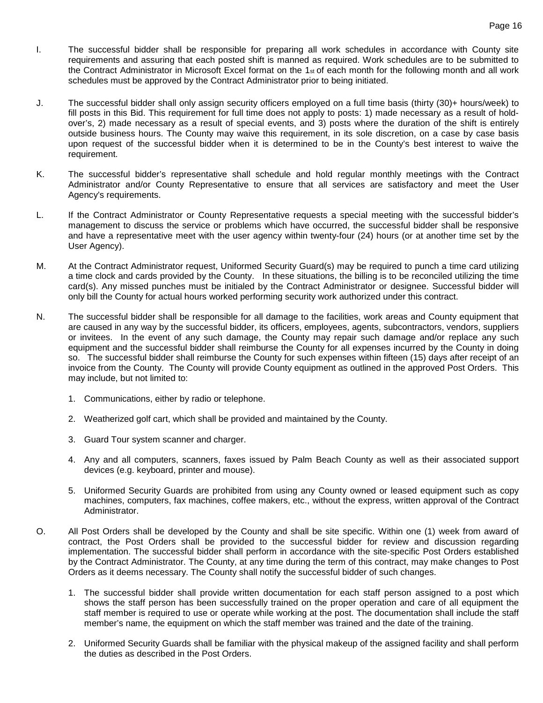- I. The successful bidder shall be responsible for preparing all work schedules in accordance with County site requirements and assuring that each posted shift is manned as required. Work schedules are to be submitted to the Contract Administrator in Microsoft Excel format on the 1st of each month for the following month and all work schedules must be approved by the Contract Administrator prior to being initiated.
- J. The successful bidder shall only assign security officers employed on a full time basis (thirty (30)+ hours/week) to fill posts in this Bid. This requirement for full time does not apply to posts: 1) made necessary as a result of holdover's, 2) made necessary as a result of special events, and 3) posts where the duration of the shift is entirely outside business hours. The County may waive this requirement, in its sole discretion, on a case by case basis upon request of the successful bidder when it is determined to be in the County's best interest to waive the requirement.
- K. The successful bidder's representative shall schedule and hold regular monthly meetings with the Contract Administrator and/or County Representative to ensure that all services are satisfactory and meet the User Agency's requirements.
- L. If the Contract Administrator or County Representative requests a special meeting with the successful bidder's management to discuss the service or problems which have occurred, the successful bidder shall be responsive and have a representative meet with the user agency within twenty-four (24) hours (or at another time set by the User Agency).
- M. At the Contract Administrator request, Uniformed Security Guard(s) may be required to punch a time card utilizing a time clock and cards provided by the County. In these situations, the billing is to be reconciled utilizing the time card(s). Any missed punches must be initialed by the Contract Administrator or designee. Successful bidder will only bill the County for actual hours worked performing security work authorized under this contract.
- N. The successful bidder shall be responsible for all damage to the facilities, work areas and County equipment that are caused in any way by the successful bidder, its officers, employees, agents, subcontractors, vendors, suppliers or invitees. In the event of any such damage, the County may repair such damage and/or replace any such equipment and the successful bidder shall reimburse the County for all expenses incurred by the County in doing so. The successful bidder shall reimburse the County for such expenses within fifteen (15) days after receipt of an invoice from the County. The County will provide County equipment as outlined in the approved Post Orders. This may include, but not limited to:
	- 1. Communications, either by radio or telephone.
	- 2. Weatherized golf cart, which shall be provided and maintained by the County.
	- 3. Guard Tour system scanner and charger.
	- 4. Any and all computers, scanners, faxes issued by Palm Beach County as well as their associated support devices (e.g. keyboard, printer and mouse).
	- 5. Uniformed Security Guards are prohibited from using any County owned or leased equipment such as copy machines, computers, fax machines, coffee makers, etc., without the express, written approval of the Contract Administrator.
- O. All Post Orders shall be developed by the County and shall be site specific. Within one (1) week from award of contract, the Post Orders shall be provided to the successful bidder for review and discussion regarding implementation. The successful bidder shall perform in accordance with the site-specific Post Orders established by the Contract Administrator. The County, at any time during the term of this contract, may make changes to Post Orders as it deems necessary. The County shall notify the successful bidder of such changes.
	- 1. The successful bidder shall provide written documentation for each staff person assigned to a post which shows the staff person has been successfully trained on the proper operation and care of all equipment the staff member is required to use or operate while working at the post. The documentation shall include the staff member's name, the equipment on which the staff member was trained and the date of the training.
	- 2. Uniformed Security Guards shall be familiar with the physical makeup of the assigned facility and shall perform the duties as described in the Post Orders.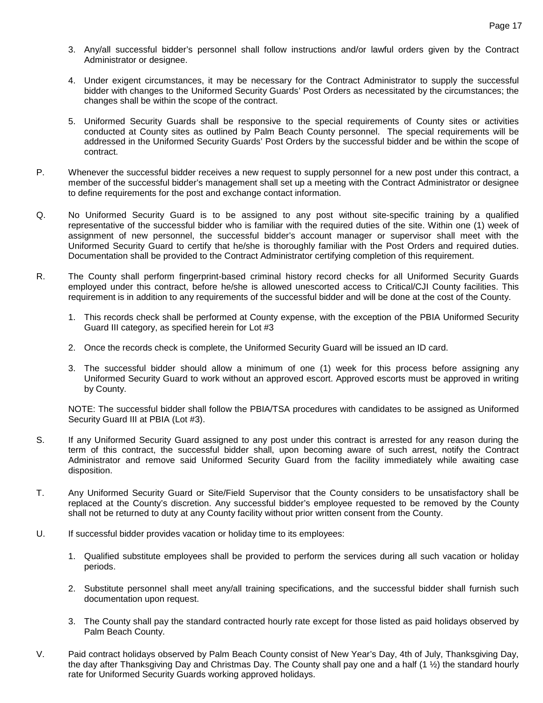- 3. Any/all successful bidder's personnel shall follow instructions and/or lawful orders given by the Contract Administrator or designee.
- 4. Under exigent circumstances, it may be necessary for the Contract Administrator to supply the successful bidder with changes to the Uniformed Security Guards' Post Orders as necessitated by the circumstances; the changes shall be within the scope of the contract.
- 5. Uniformed Security Guards shall be responsive to the special requirements of County sites or activities conducted at County sites as outlined by Palm Beach County personnel. The special requirements will be addressed in the Uniformed Security Guards' Post Orders by the successful bidder and be within the scope of contract.
- P. Whenever the successful bidder receives a new request to supply personnel for a new post under this contract, a member of the successful bidder's management shall set up a meeting with the Contract Administrator or designee to define requirements for the post and exchange contact information.
- Q. No Uniformed Security Guard is to be assigned to any post without site-specific training by a qualified representative of the successful bidder who is familiar with the required duties of the site. Within one (1) week of assignment of new personnel, the successful bidder's account manager or supervisor shall meet with the Uniformed Security Guard to certify that he/she is thoroughly familiar with the Post Orders and required duties. Documentation shall be provided to the Contract Administrator certifying completion of this requirement.
- R. The County shall perform fingerprint-based criminal history record checks for all Uniformed Security Guards employed under this contract, before he/she is allowed unescorted access to Critical/CJI County facilities. This requirement is in addition to any requirements of the successful bidder and will be done at the cost of the County.
	- 1. This records check shall be performed at County expense, with the exception of the PBIA Uniformed Security Guard III category, as specified herein for Lot #3
	- 2. Once the records check is complete, the Uniformed Security Guard will be issued an ID card.
	- 3. The successful bidder should allow a minimum of one (1) week for this process before assigning any Uniformed Security Guard to work without an approved escort. Approved escorts must be approved in writing by County.

NOTE: The successful bidder shall follow the PBIA/TSA procedures with candidates to be assigned as Uniformed Security Guard III at PBIA (Lot #3).

- S. If any Uniformed Security Guard assigned to any post under this contract is arrested for any reason during the term of this contract, the successful bidder shall, upon becoming aware of such arrest, notify the Contract Administrator and remove said Uniformed Security Guard from the facility immediately while awaiting case disposition.
- T. Any Uniformed Security Guard or Site/Field Supervisor that the County considers to be unsatisfactory shall be replaced at the County's discretion. Any successful bidder's employee requested to be removed by the County shall not be returned to duty at any County facility without prior written consent from the County.
- U. If successful bidder provides vacation or holiday time to its employees:
	- 1. Qualified substitute employees shall be provided to perform the services during all such vacation or holiday periods.
	- 2. Substitute personnel shall meet any/all training specifications, and the successful bidder shall furnish such documentation upon request.
	- 3. The County shall pay the standard contracted hourly rate except for those listed as paid holidays observed by Palm Beach County.
- V. Paid contract holidays observed by Palm Beach County consist of New Year's Day, 4th of July, Thanksgiving Day, the day after Thanksgiving Day and Christmas Day. The County shall pay one and a half (1 ½) the standard hourly rate for Uniformed Security Guards working approved holidays.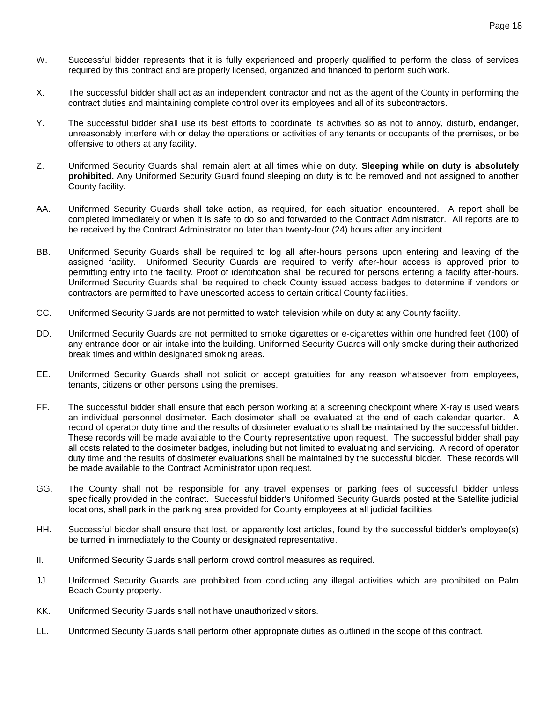- W. Successful bidder represents that it is fully experienced and properly qualified to perform the class of services required by this contract and are properly licensed, organized and financed to perform such work.
- X. The successful bidder shall act as an independent contractor and not as the agent of the County in performing the contract duties and maintaining complete control over its employees and all of its subcontractors.
- Y. The successful bidder shall use its best efforts to coordinate its activities so as not to annoy, disturb, endanger, unreasonably interfere with or delay the operations or activities of any tenants or occupants of the premises, or be offensive to others at any facility.
- Z. Uniformed Security Guards shall remain alert at all times while on duty. **Sleeping while on duty is absolutely prohibited.** Any Uniformed Security Guard found sleeping on duty is to be removed and not assigned to another County facility.
- AA. Uniformed Security Guards shall take action, as required, for each situation encountered. A report shall be completed immediately or when it is safe to do so and forwarded to the Contract Administrator. All reports are to be received by the Contract Administrator no later than twenty-four (24) hours after any incident.
- BB. Uniformed Security Guards shall be required to log all after-hours persons upon entering and leaving of the assigned facility. Uniformed Security Guards are required to verify after-hour access is approved prior to permitting entry into the facility. Proof of identification shall be required for persons entering a facility after-hours. Uniformed Security Guards shall be required to check County issued access badges to determine if vendors or contractors are permitted to have unescorted access to certain critical County facilities.
- CC. Uniformed Security Guards are not permitted to watch television while on duty at any County facility.
- DD. Uniformed Security Guards are not permitted to smoke cigarettes or e-cigarettes within one hundred feet (100) of any entrance door or air intake into the building. Uniformed Security Guards will only smoke during their authorized break times and within designated smoking areas.
- EE. Uniformed Security Guards shall not solicit or accept gratuities for any reason whatsoever from employees, tenants, citizens or other persons using the premises.
- FF. The successful bidder shall ensure that each person working at a screening checkpoint where X-ray is used wears an individual personnel dosimeter. Each dosimeter shall be evaluated at the end of each calendar quarter. A record of operator duty time and the results of dosimeter evaluations shall be maintained by the successful bidder. These records will be made available to the County representative upon request. The successful bidder shall pay all costs related to the dosimeter badges, including but not limited to evaluating and servicing. A record of operator duty time and the results of dosimeter evaluations shall be maintained by the successful bidder. These records will be made available to the Contract Administrator upon request.
- GG. The County shall not be responsible for any travel expenses or parking fees of successful bidder unless specifically provided in the contract. Successful bidder's Uniformed Security Guards posted at the Satellite judicial locations, shall park in the parking area provided for County employees at all judicial facilities.
- HH. Successful bidder shall ensure that lost, or apparently lost articles, found by the successful bidder's employee(s) be turned in immediately to the County or designated representative.
- II. Uniformed Security Guards shall perform crowd control measures as required.
- JJ. Uniformed Security Guards are prohibited from conducting any illegal activities which are prohibited on Palm Beach County property.
- KK. Uniformed Security Guards shall not have unauthorized visitors.
- LL. Uniformed Security Guards shall perform other appropriate duties as outlined in the scope of this contract.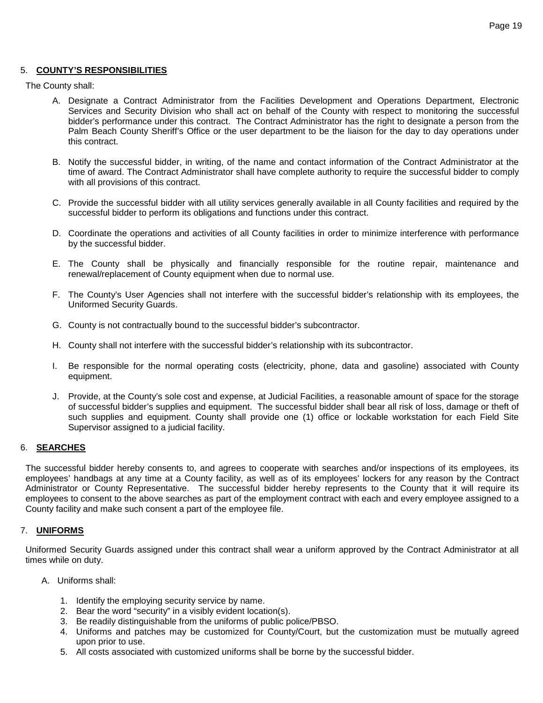#### 5. **COUNTY'S RESPONSIBILITIES**

The County shall:

- A. Designate a Contract Administrator from the Facilities Development and Operations Department, Electronic Services and Security Division who shall act on behalf of the County with respect to monitoring the successful bidder's performance under this contract. The Contract Administrator has the right to designate a person from the Palm Beach County Sheriff's Office or the user department to be the liaison for the day to day operations under this contract.
- B. Notify the successful bidder, in writing, of the name and contact information of the Contract Administrator at the time of award. The Contract Administrator shall have complete authority to require the successful bidder to comply with all provisions of this contract.
- C. Provide the successful bidder with all utility services generally available in all County facilities and required by the successful bidder to perform its obligations and functions under this contract.
- D. Coordinate the operations and activities of all County facilities in order to minimize interference with performance by the successful bidder.
- E. The County shall be physically and financially responsible for the routine repair, maintenance and renewal/replacement of County equipment when due to normal use.
- F. The County's User Agencies shall not interfere with the successful bidder's relationship with its employees, the Uniformed Security Guards.
- G. County is not contractually bound to the successful bidder's subcontractor.
- H. County shall not interfere with the successful bidder's relationship with its subcontractor.
- I. Be responsible for the normal operating costs (electricity, phone, data and gasoline) associated with County equipment.
- J. Provide, at the County's sole cost and expense, at Judicial Facilities, a reasonable amount of space for the storage of successful bidder's supplies and equipment. The successful bidder shall bear all risk of loss, damage or theft of such supplies and equipment. County shall provide one (1) office or lockable workstation for each Field Site Supervisor assigned to a judicial facility.

#### 6. **SEARCHES**

The successful bidder hereby consents to, and agrees to cooperate with searches and/or inspections of its employees, its employees' handbags at any time at a County facility, as well as of its employees' lockers for any reason by the Contract Administrator or County Representative. The successful bidder hereby represents to the County that it will require its employees to consent to the above searches as part of the employment contract with each and every employee assigned to a County facility and make such consent a part of the employee file.

#### 7. **UNIFORMS**

Uniformed Security Guards assigned under this contract shall wear a uniform approved by the Contract Administrator at all times while on duty.

- A. Uniforms shall:
	- 1. Identify the employing security service by name.
	- 2. Bear the word "security" in a visibly evident location(s).
	- 3. Be readily distinguishable from the uniforms of public police/PBSO.
	- 4. Uniforms and patches may be customized for County/Court, but the customization must be mutually agreed upon prior to use.
	- 5. All costs associated with customized uniforms shall be borne by the successful bidder.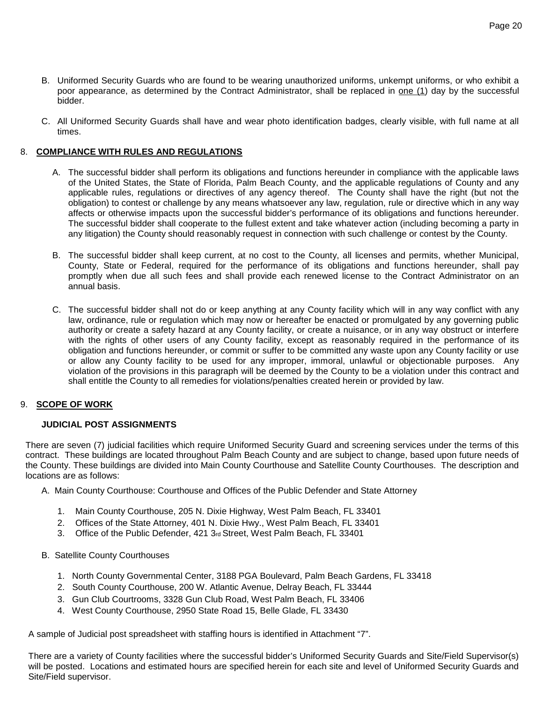- B. Uniformed Security Guards who are found to be wearing unauthorized uniforms, unkempt uniforms, or who exhibit a poor appearance, as determined by the Contract Administrator, shall be replaced in one (1) day by the successful bidder.
- C. All Uniformed Security Guards shall have and wear photo identification badges, clearly visible, with full name at all times.

### 8. **COMPLIANCE WITH RULES AND REGULATIONS**

- A. The successful bidder shall perform its obligations and functions hereunder in compliance with the applicable laws of the United States, the State of Florida, Palm Beach County, and the applicable regulations of County and any applicable rules, regulations or directives of any agency thereof. The County shall have the right (but not the obligation) to contest or challenge by any means whatsoever any law, regulation, rule or directive which in any way affects or otherwise impacts upon the successful bidder's performance of its obligations and functions hereunder. The successful bidder shall cooperate to the fullest extent and take whatever action (including becoming a party in any litigation) the County should reasonably request in connection with such challenge or contest by the County.
- B. The successful bidder shall keep current, at no cost to the County, all licenses and permits, whether Municipal, County, State or Federal, required for the performance of its obligations and functions hereunder, shall pay promptly when due all such fees and shall provide each renewed license to the Contract Administrator on an annual basis.
- C. The successful bidder shall not do or keep anything at any County facility which will in any way conflict with any law, ordinance, rule or regulation which may now or hereafter be enacted or promulgated by any governing public authority or create a safety hazard at any County facility, or create a nuisance, or in any way obstruct or interfere with the rights of other users of any County facility, except as reasonably required in the performance of its obligation and functions hereunder, or commit or suffer to be committed any waste upon any County facility or use or allow any County facility to be used for any improper, immoral, unlawful or objectionable purposes. Any violation of the provisions in this paragraph will be deemed by the County to be a violation under this contract and shall entitle the County to all remedies for violations/penalties created herein or provided by law.

#### 9. **SCOPE OF WORK**

### **JUDICIAL POST ASSIGNMENTS**

There are seven (7) judicial facilities which require Uniformed Security Guard and screening services under the terms of this contract. These buildings are located throughout Palm Beach County and are subject to change, based upon future needs of the County. These buildings are divided into Main County Courthouse and Satellite County Courthouses. The description and locations are as follows:

- A. Main County Courthouse: Courthouse and Offices of the Public Defender and State Attorney
	- 1. Main County Courthouse, 205 N. Dixie Highway, West Palm Beach, FL 33401
	- 2. Offices of the State Attorney, 401 N. Dixie Hwy., West Palm Beach, FL 33401
	- 3. Office of the Public Defender, 421 3rd Street, West Palm Beach, FL 33401
- B. Satellite County Courthouses
	- 1. North County Governmental Center, 3188 PGA Boulevard, Palm Beach Gardens, FL 33418
	- 2. South County Courthouse, 200 W. Atlantic Avenue, Delray Beach, FL 33444
	- 3. Gun Club Courtrooms, 3328 Gun Club Road, West Palm Beach, FL 33406
	- 4. West County Courthouse, 2950 State Road 15, Belle Glade, FL 33430

A sample of Judicial post spreadsheet with staffing hours is identified in Attachment "7".

There are a variety of County facilities where the successful bidder's Uniformed Security Guards and Site/Field Supervisor(s) will be posted. Locations and estimated hours are specified herein for each site and level of Uniformed Security Guards and Site/Field supervisor.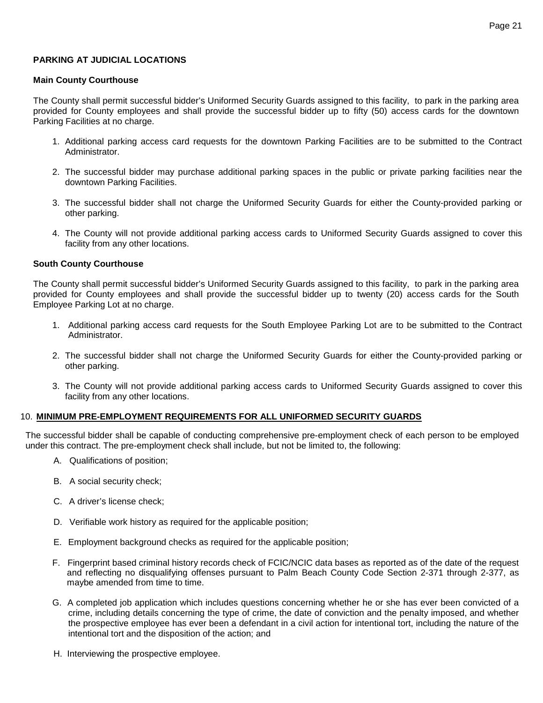### **PARKING AT JUDICIAL LOCATIONS**

#### **Main County Courthouse**

The County shall permit successful bidder's Uniformed Security Guards assigned to this facility, to park in the parking area provided for County employees and shall provide the successful bidder up to fifty (50) access cards for the downtown Parking Facilities at no charge.

- 1. Additional parking access card requests for the downtown Parking Facilities are to be submitted to the Contract Administrator.
- 2. The successful bidder may purchase additional parking spaces in the public or private parking facilities near the downtown Parking Facilities.
- 3. The successful bidder shall not charge the Uniformed Security Guards for either the County-provided parking or other parking.
- 4. The County will not provide additional parking access cards to Uniformed Security Guards assigned to cover this facility from any other locations.

#### **South County Courthouse**

The County shall permit successful bidder's Uniformed Security Guards assigned to this facility, to park in the parking area provided for County employees and shall provide the successful bidder up to twenty (20) access cards for the South Employee Parking Lot at no charge.

- 1. Additional parking access card requests for the South Employee Parking Lot are to be submitted to the Contract Administrator.
- 2. The successful bidder shall not charge the Uniformed Security Guards for either the County-provided parking or other parking.
- 3. The County will not provide additional parking access cards to Uniformed Security Guards assigned to cover this facility from any other locations.

#### 10. **MINIMUM PRE-EMPLOYMENT REQUIREMENTS FOR ALL UNIFORMED SECURITY GUARDS**

The successful bidder shall be capable of conducting comprehensive pre-employment check of each person to be employed under this contract. The pre-employment check shall include, but not be limited to, the following:

- A. Qualifications of position;
- B. A social security check;
- C. A driver's license check;
- D. Verifiable work history as required for the applicable position;
- E. Employment background checks as required for the applicable position;
- F. Fingerprint based criminal history records check of FCIC/NCIC data bases as reported as of the date of the request and reflecting no disqualifying offenses pursuant to Palm Beach County Code Section 2-371 through 2-377, as maybe amended from time to time.
- G. A completed job application which includes questions concerning whether he or she has ever been convicted of a crime, including details concerning the type of crime, the date of conviction and the penalty imposed, and whether the prospective employee has ever been a defendant in a civil action for intentional tort, including the nature of the intentional tort and the disposition of the action; and
- H. Interviewing the prospective employee.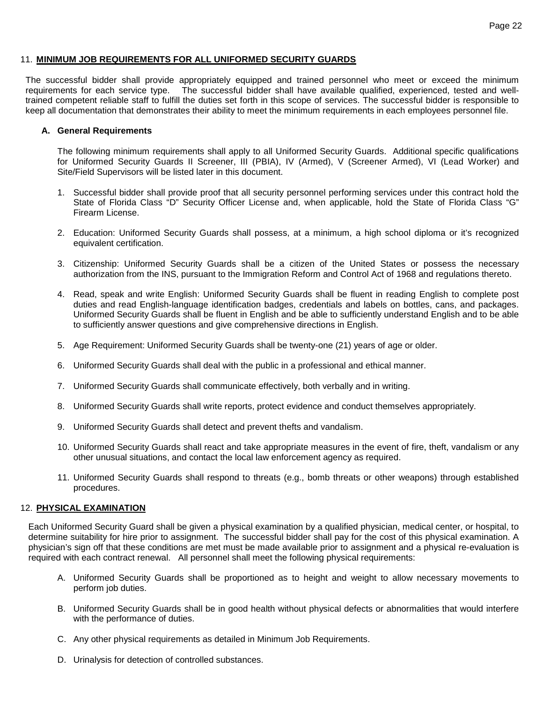#### 11. **MINIMUM JOB REQUIREMENTS FOR ALL UNIFORMED SECURITY GUARDS**

The successful bidder shall provide appropriately equipped and trained personnel who meet or exceed the minimum requirements for each service type. The successful bidder shall have available qualified, experienced, tested and welltrained competent reliable staff to fulfill the duties set forth in this scope of services. The successful bidder is responsible to keep all documentation that demonstrates their ability to meet the minimum requirements in each employees personnel file.

#### **A. General Requirements**

The following minimum requirements shall apply to all Uniformed Security Guards. Additional specific qualifications for Uniformed Security Guards II Screener, III (PBIA), IV (Armed), V (Screener Armed), VI (Lead Worker) and Site/Field Supervisors will be listed later in this document.

- 1. Successful bidder shall provide proof that all security personnel performing services under this contract hold the State of Florida Class "D" Security Officer License and, when applicable, hold the State of Florida Class "G" Firearm License.
- 2. Education: Uniformed Security Guards shall possess, at a minimum, a high school diploma or it's recognized equivalent certification.
- 3. Citizenship: Uniformed Security Guards shall be a citizen of the United States or possess the necessary authorization from the INS, pursuant to the Immigration Reform and Control Act of 1968 and regulations thereto.
- 4. Read, speak and write English: Uniformed Security Guards shall be fluent in reading English to complete post duties and read English-language identification badges, credentials and labels on bottles, cans, and packages. Uniformed Security Guards shall be fluent in English and be able to sufficiently understand English and to be able to sufficiently answer questions and give comprehensive directions in English.
- 5. Age Requirement: Uniformed Security Guards shall be twenty-one (21) years of age or older.
- 6. Uniformed Security Guards shall deal with the public in a professional and ethical manner.
- 7. Uniformed Security Guards shall communicate effectively, both verbally and in writing.
- 8. Uniformed Security Guards shall write reports, protect evidence and conduct themselves appropriately.
- 9. Uniformed Security Guards shall detect and prevent thefts and vandalism.
- 10. Uniformed Security Guards shall react and take appropriate measures in the event of fire, theft, vandalism or any other unusual situations, and contact the local law enforcement agency as required.
- 11. Uniformed Security Guards shall respond to threats (e.g., bomb threats or other weapons) through established procedures.

#### 12. **PHYSICAL EXAMINATION**

Each Uniformed Security Guard shall be given a physical examination by a qualified physician, medical center, or hospital, to determine suitability for hire prior to assignment. The successful bidder shall pay for the cost of this physical examination. A physician's sign off that these conditions are met must be made available prior to assignment and a physical re-evaluation is required with each contract renewal. All personnel shall meet the following physical requirements:

- A. Uniformed Security Guards shall be proportioned as to height and weight to allow necessary movements to perform job duties.
- B. Uniformed Security Guards shall be in good health without physical defects or abnormalities that would interfere with the performance of duties.
- C. Any other physical requirements as detailed in Minimum Job Requirements.
- D. Urinalysis for detection of controlled substances.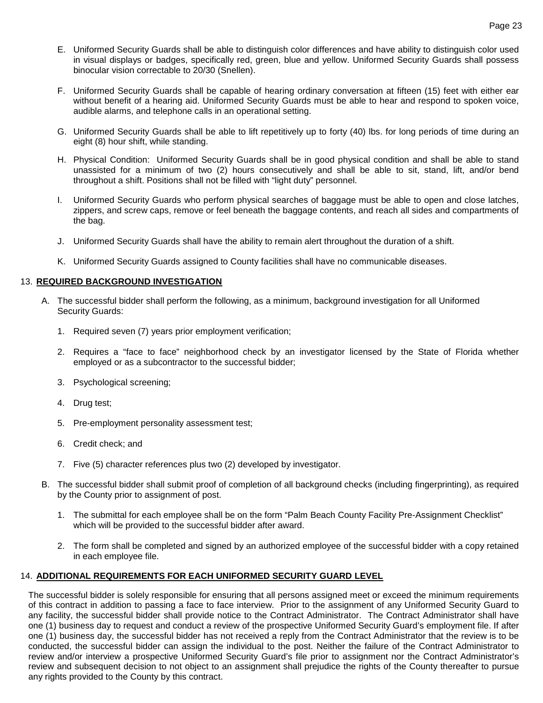- E. Uniformed Security Guards shall be able to distinguish color differences and have ability to distinguish color used in visual displays or badges, specifically red, green, blue and yellow. Uniformed Security Guards shall possess binocular vision correctable to 20/30 (Snellen).
- F. Uniformed Security Guards shall be capable of hearing ordinary conversation at fifteen (15) feet with either ear without benefit of a hearing aid. Uniformed Security Guards must be able to hear and respond to spoken voice, audible alarms, and telephone calls in an operational setting.
- G. Uniformed Security Guards shall be able to lift repetitively up to forty (40) lbs. for long periods of time during an eight (8) hour shift, while standing.
- H. Physical Condition: Uniformed Security Guards shall be in good physical condition and shall be able to stand unassisted for a minimum of two (2) hours consecutively and shall be able to sit, stand, lift, and/or bend throughout a shift. Positions shall not be filled with "light duty" personnel.
- I. Uniformed Security Guards who perform physical searches of baggage must be able to open and close latches, zippers, and screw caps, remove or feel beneath the baggage contents, and reach all sides and compartments of the bag.
- J. Uniformed Security Guards shall have the ability to remain alert throughout the duration of a shift.
- K. Uniformed Security Guards assigned to County facilities shall have no communicable diseases.

### 13. **REQUIRED BACKGROUND INVESTIGATION**

- A. The successful bidder shall perform the following, as a minimum, background investigation for all Uniformed Security Guards:
	- 1. Required seven (7) years prior employment verification;
	- 2. Requires a "face to face" neighborhood check by an investigator licensed by the State of Florida whether employed or as a subcontractor to the successful bidder;
	- 3. Psychological screening;
	- 4. Drug test;
	- 5. Pre-employment personality assessment test;
	- 6. Credit check; and
	- 7. Five (5) character references plus two (2) developed by investigator.
- B. The successful bidder shall submit proof of completion of all background checks (including fingerprinting), as required by the County prior to assignment of post.
	- 1. The submittal for each employee shall be on the form "Palm Beach County Facility Pre-Assignment Checklist" which will be provided to the successful bidder after award.
	- 2. The form shall be completed and signed by an authorized employee of the successful bidder with a copy retained in each employee file.

#### 14. **ADDITIONAL REQUIREMENTS FOR EACH UNIFORMED SECURITY GUARD LEVEL**

The successful bidder is solely responsible for ensuring that all persons assigned meet or exceed the minimum requirements of this contract in addition to passing a face to face interview. Prior to the assignment of any Uniformed Security Guard to any facility, the successful bidder shall provide notice to the Contract Administrator. The Contract Administrator shall have one (1) business day to request and conduct a review of the prospective Uniformed Security Guard's employment file. If after one (1) business day, the successful bidder has not received a reply from the Contract Administrator that the review is to be conducted, the successful bidder can assign the individual to the post. Neither the failure of the Contract Administrator to review and/or interview a prospective Uniformed Security Guard's file prior to assignment nor the Contract Administrator's review and subsequent decision to not object to an assignment shall prejudice the rights of the County thereafter to pursue any rights provided to the County by this contract.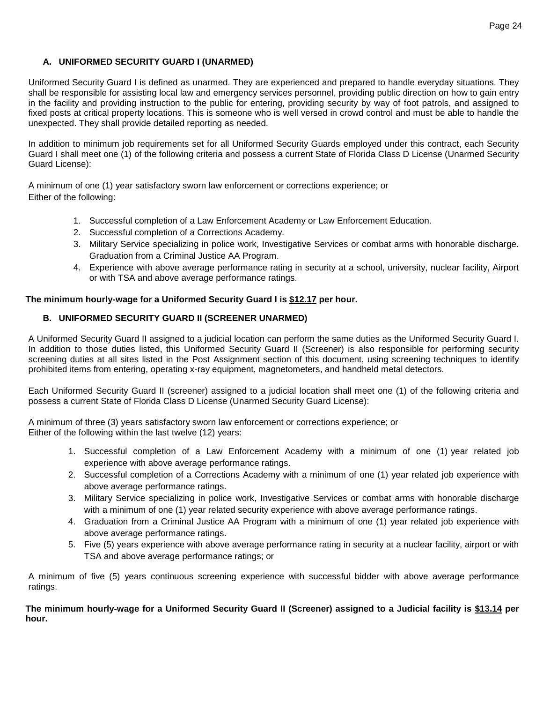## **A. UNIFORMED SECURITY GUARD I (UNARMED)**

Uniformed Security Guard I is defined as unarmed. They are experienced and prepared to handle everyday situations. They shall be responsible for assisting local law and emergency services personnel, providing public direction on how to gain entry in the facility and providing instruction to the public for entering, providing security by way of foot patrols, and assigned to fixed posts at critical property locations. This is someone who is well versed in crowd control and must be able to handle the unexpected. They shall provide detailed reporting as needed.

In addition to minimum job requirements set for all Uniformed Security Guards employed under this contract, each Security Guard I shall meet one (1) of the following criteria and possess a current State of Florida Class D License (Unarmed Security Guard License):

A minimum of one (1) year satisfactory sworn law enforcement or corrections experience; or Either of the following:

- 1. Successful completion of a Law Enforcement Academy or Law Enforcement Education.
- 2. Successful completion of a Corrections Academy.
- 3. Military Service specializing in police work, Investigative Services or combat arms with honorable discharge. Graduation from a Criminal Justice AA Program.
- 4. Experience with above average performance rating in security at a school, university, nuclear facility, Airport or with TSA and above average performance ratings.

### **The minimum hourly-wage for a Uniformed Security Guard I is \$12.17 per hour.**

## **B. UNIFORMED SECURITY GUARD II (SCREENER UNARMED)**

A Uniformed Security Guard II assigned to a judicial location can perform the same duties as the Uniformed Security Guard I. In addition to those duties listed, this Uniformed Security Guard II (Screener) is also responsible for performing security screening duties at all sites listed in the Post Assignment section of this document, using screening techniques to identify prohibited items from entering, operating x-ray equipment, magnetometers, and handheld metal detectors.

Each Uniformed Security Guard II (screener) assigned to a judicial location shall meet one (1) of the following criteria and possess a current State of Florida Class D License (Unarmed Security Guard License):

A minimum of three (3) years satisfactory sworn law enforcement or corrections experience; or Either of the following within the last twelve (12) years:

- 1. Successful completion of a Law Enforcement Academy with a minimum of one (1) year related job experience with above average performance ratings.
- 2. Successful completion of a Corrections Academy with a minimum of one (1) year related job experience with above average performance ratings.
- 3. Military Service specializing in police work, Investigative Services or combat arms with honorable discharge with a minimum of one (1) year related security experience with above average performance ratings.
- 4. Graduation from a Criminal Justice AA Program with a minimum of one (1) year related job experience with above average performance ratings.
- 5. Five (5) years experience with above average performance rating in security at a nuclear facility, airport or with TSA and above average performance ratings; or

A minimum of five (5) years continuous screening experience with successful bidder with above average performance ratings.

**The minimum hourly-wage for a Uniformed Security Guard II (Screener) assigned to a Judicial facility is \$13.14 per hour.**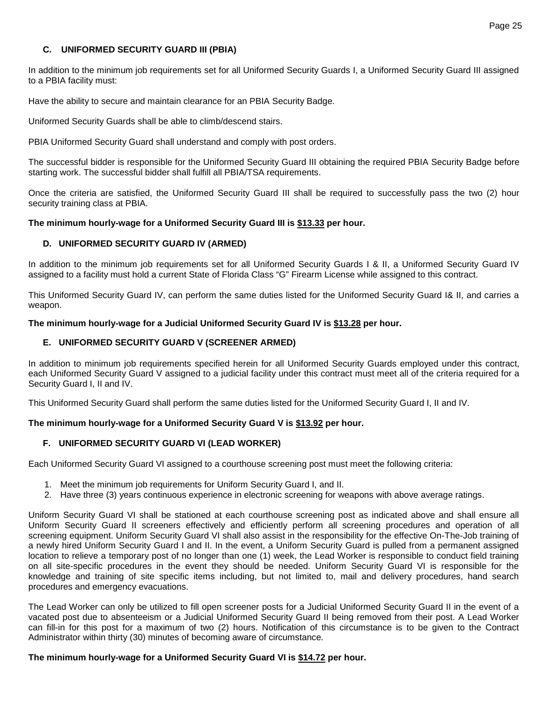### **C. UNIFORMED SECURITY GUARD III (PBIA)**

In addition to the minimum job requirements set for all Uniformed Security Guards I, a Uniformed Security Guard III assigned to a PBIA facility must:

Have the ability to secure and maintain clearance for an PBIA Security Badge.

Uniformed Security Guards shall be able to climb/descend stairs.

PBIA Uniformed Security Guard shall understand and comply with post orders.

The successful bidder is responsible for the Uniformed Security Guard III obtaining the required PBIA Security Badge before starting work. The successful bidder shall fulfill all PBIA/TSA requirements.

Once the criteria are satisfied, the Uniformed Security Guard III shall be required to successfully pass the two (2) hour security training class at PBIA.

#### **The minimum hourly-wage for a Uniformed Security Guard III is \$13.33 per hour.**

### **D. UNIFORMED SECURITY GUARD IV (ARMED)**

In addition to the minimum job requirements set for all Uniformed Security Guards I & II, a Uniformed Security Guard IV assigned to a facility must hold a current State of Florida Class "G" Firearm License while assigned to this contract.

This Uniformed Security Guard IV, can perform the same duties listed for the Uniformed Security Guard I& II, and carries a weapon.

#### **The minimum hourly-wage for a Judicial Uniformed Security Guard IV is \$13.28 per hour.**

### **E. UNIFORMED SECURITY GUARD V (SCREENER ARMED)**

In addition to minimum job requirements specified herein for all Uniformed Security Guards employed under this contract, each Uniformed Security Guard V assigned to a judicial facility under this contract must meet all of the criteria required for a Security Guard I, II and IV.

This Uniformed Security Guard shall perform the same duties listed for the Uniformed Security Guard I, II and IV.

### **The minimum hourly-wage for a Uniformed Security Guard V is \$13.92 per hour.**

### **F. UNIFORMED SECURITY GUARD VI (LEAD WORKER)**

Each Uniformed Security Guard VI assigned to a courthouse screening post must meet the following criteria:

- 1. Meet the minimum job requirements for Uniform Security Guard I, and II.
- 2. Have three (3) years continuous experience in electronic screening for weapons with above average ratings.

Uniform Security Guard VI shall be stationed at each courthouse screening post as indicated above and shall ensure all Uniform Security Guard II screeners effectively and efficiently perform all screening procedures and operation of all screening equipment. Uniform Security Guard VI shall also assist in the responsibility for the effective On-The-Job training of a newly hired Uniform Security Guard I and II. In the event, a Uniform Security Guard is pulled from a permanent assigned location to relieve a temporary post of no longer than one (1) week, the Lead Worker is responsible to conduct field training on all site-specific procedures in the event they should be needed. Uniform Security Guard VI is responsible for the knowledge and training of site specific items including, but not limited to, mail and delivery procedures, hand search procedures and emergency evacuations.

The Lead Worker can only be utilized to fill open screener posts for a Judicial Uniformed Security Guard II in the event of a vacated post due to absenteeism or a Judicial Uniformed Security Guard II being removed from their post. A Lead Worker can fill-in for this post for a maximum of two (2) hours. Notification of this circumstance is to be given to the Contract Administrator within thirty (30) minutes of becoming aware of circumstance.

#### **The minimum hourly-wage for a Uniformed Security Guard VI is \$14.72 per hour.**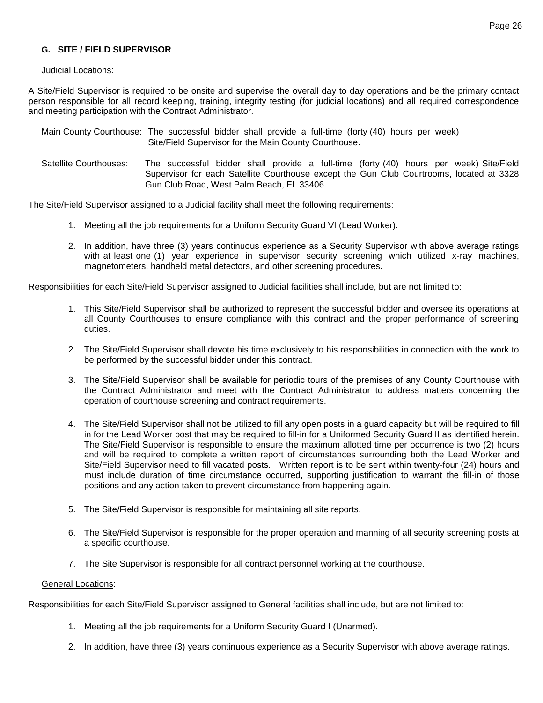## **G. SITE / FIELD SUPERVISOR**

#### Judicial Locations:

A Site/Field Supervisor is required to be onsite and supervise the overall day to day operations and be the primary contact person responsible for all record keeping, training, integrity testing (for judicial locations) and all required correspondence and meeting participation with the Contract Administrator.

|                        | Main County Courthouse: The successful bidder shall provide a full-time (forty (40) hours per week)<br>Site/Field Supervisor for the Main County Courthouse.                                                                    |
|------------------------|---------------------------------------------------------------------------------------------------------------------------------------------------------------------------------------------------------------------------------|
| Satellite Courthouses: | The successful bidder shall provide a full-time (forty (40) hours per week) Site/Field<br>Supervisor for each Satellite Courthouse except the Gun Club Courtrooms, located at 3328<br>Gun Club Road, West Palm Beach, FL 33406. |

The Site/Field Supervisor assigned to a Judicial facility shall meet the following requirements:

- 1. Meeting all the job requirements for a Uniform Security Guard VI (Lead Worker).
- 2. In addition, have three (3) years continuous experience as a Security Supervisor with above average ratings with at least one (1) year experience in supervisor security screening which utilized x-ray machines, magnetometers, handheld metal detectors, and other screening procedures.

Responsibilities for each Site/Field Supervisor assigned to Judicial facilities shall include, but are not limited to:

- 1. This Site/Field Supervisor shall be authorized to represent the successful bidder and oversee its operations at all County Courthouses to ensure compliance with this contract and the proper performance of screening duties.
- 2. The Site/Field Supervisor shall devote his time exclusively to his responsibilities in connection with the work to be performed by the successful bidder under this contract.
- 3. The Site/Field Supervisor shall be available for periodic tours of the premises of any County Courthouse with the Contract Administrator and meet with the Contract Administrator to address matters concerning the operation of courthouse screening and contract requirements.
- 4. The Site/Field Supervisor shall not be utilized to fill any open posts in a guard capacity but will be required to fill in for the Lead Worker post that may be required to fill-in for a Uniformed Security Guard II as identified herein. The Site/Field Supervisor is responsible to ensure the maximum allotted time per occurrence is two (2) hours and will be required to complete a written report of circumstances surrounding both the Lead Worker and Site/Field Supervisor need to fill vacated posts. Written report is to be sent within twenty-four (24) hours and must include duration of time circumstance occurred, supporting justification to warrant the fill-in of those positions and any action taken to prevent circumstance from happening again.
- 5. The Site/Field Supervisor is responsible for maintaining all site reports.
- 6. The Site/Field Supervisor is responsible for the proper operation and manning of all security screening posts at a specific courthouse.
- 7. The Site Supervisor is responsible for all contract personnel working at the courthouse.

#### General Locations:

Responsibilities for each Site/Field Supervisor assigned to General facilities shall include, but are not limited to:

- 1. Meeting all the job requirements for a Uniform Security Guard I (Unarmed).
- 2. In addition, have three (3) years continuous experience as a Security Supervisor with above average ratings.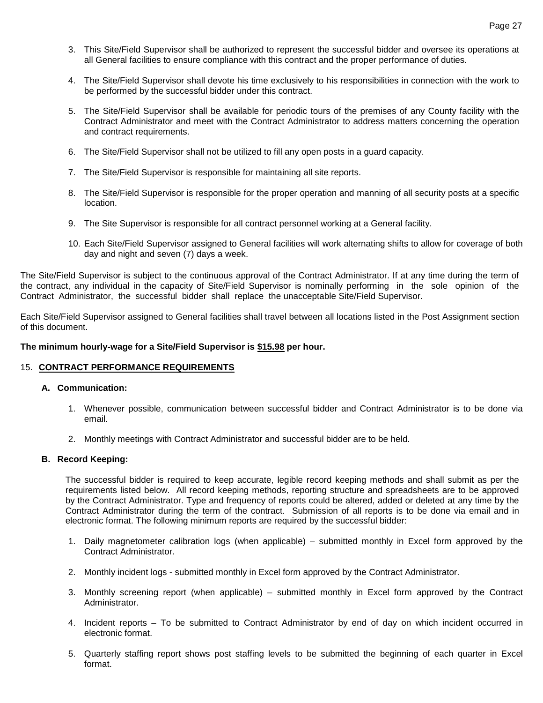- 3. This Site/Field Supervisor shall be authorized to represent the successful bidder and oversee its operations at all General facilities to ensure compliance with this contract and the proper performance of duties.
- 4. The Site/Field Supervisor shall devote his time exclusively to his responsibilities in connection with the work to be performed by the successful bidder under this contract.
- 5. The Site/Field Supervisor shall be available for periodic tours of the premises of any County facility with the Contract Administrator and meet with the Contract Administrator to address matters concerning the operation and contract requirements.
- 6. The Site/Field Supervisor shall not be utilized to fill any open posts in a guard capacity.
- 7. The Site/Field Supervisor is responsible for maintaining all site reports.
- 8. The Site/Field Supervisor is responsible for the proper operation and manning of all security posts at a specific location.
- 9. The Site Supervisor is responsible for all contract personnel working at a General facility.
- 10. Each Site/Field Supervisor assigned to General facilities will work alternating shifts to allow for coverage of both day and night and seven (7) days a week.

The Site/Field Supervisor is subject to the continuous approval of the Contract Administrator. If at any time during the term of the contract, any individual in the capacity of Site/Field Supervisor is nominally performing in the sole opinion of the Contract Administrator, the successful bidder shall replace the unacceptable Site/Field Supervisor.

Each Site/Field Supervisor assigned to General facilities shall travel between all locations listed in the Post Assignment section of this document.

#### **The minimum hourly-wage for a Site/Field Supervisor is \$15.98 per hour.**

#### 15. **CONTRACT PERFORMANCE REQUIREMENTS**

#### **A. Communication:**

- 1. Whenever possible, communication between successful bidder and Contract Administrator is to be done via email.
- 2. Monthly meetings with Contract Administrator and successful bidder are to be held.

#### **B. Record Keeping:**

The successful bidder is required to keep accurate, legible record keeping methods and shall submit as per the requirements listed below. All record keeping methods, reporting structure and spreadsheets are to be approved by the Contract Administrator. Type and frequency of reports could be altered, added or deleted at any time by the Contract Administrator during the term of the contract. Submission of all reports is to be done via email and in electronic format. The following minimum reports are required by the successful bidder:

- 1. Daily magnetometer calibration logs (when applicable) submitted monthly in Excel form approved by the Contract Administrator.
- 2. Monthly incident logs submitted monthly in Excel form approved by the Contract Administrator.
- 3. Monthly screening report (when applicable) submitted monthly in Excel form approved by the Contract Administrator.
- 4. Incident reports To be submitted to Contract Administrator by end of day on which incident occurred in electronic format.
- 5. Quarterly staffing report shows post staffing levels to be submitted the beginning of each quarter in Excel format.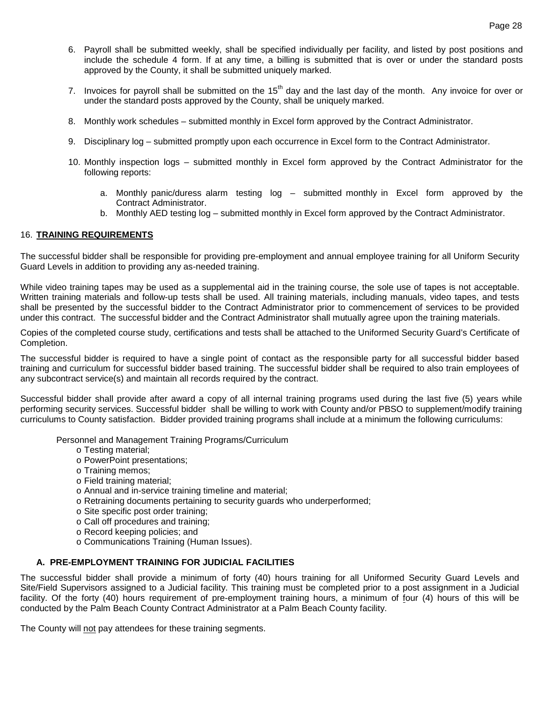- 6. Payroll shall be submitted weekly, shall be specified individually per facility, and listed by post positions and include the schedule 4 form. If at any time, a billing is submitted that is over or under the standard posts approved by the County, it shall be submitted uniquely marked.
- 7. Invoices for payroll shall be submitted on the  $15<sup>th</sup>$  day and the last day of the month. Any invoice for over or under the standard posts approved by the County, shall be uniquely marked.
- 8. Monthly work schedules submitted monthly in Excel form approved by the Contract Administrator.
- 9. Disciplinary log submitted promptly upon each occurrence in Excel form to the Contract Administrator.
- 10. Monthly inspection logs submitted monthly in Excel form approved by the Contract Administrator for the following reports:
	- a. Monthly panic/duress alarm testing log submitted monthly in Excel form approved by the Contract Administrator.
	- b. Monthly AED testing log submitted monthly in Excel form approved by the Contract Administrator.

### 16. **TRAINING REQUIREMENTS**

The successful bidder shall be responsible for providing pre-employment and annual employee training for all Uniform Security Guard Levels in addition to providing any as-needed training.

While video training tapes may be used as a supplemental aid in the training course, the sole use of tapes is not acceptable. Written training materials and follow-up tests shall be used. All training materials, including manuals, video tapes, and tests shall be presented by the successful bidder to the Contract Administrator prior to commencement of services to be provided under this contract. The successful bidder and the Contract Administrator shall mutually agree upon the training materials.

Copies of the completed course study, certifications and tests shall be attached to the Uniformed Security Guard's Certificate of Completion.

The successful bidder is required to have a single point of contact as the responsible party for all successful bidder based training and curriculum for successful bidder based training. The successful bidder shall be required to also train employees of any subcontract service(s) and maintain all records required by the contract.

Successful bidder shall provide after award a copy of all internal training programs used during the last five (5) years while performing security services. Successful bidder shall be willing to work with County and/or PBSO to supplement/modify training curriculums to County satisfaction. Bidder provided training programs shall include at a minimum the following curriculums:

Personnel and Management Training Programs/Curriculum

- o Testing material;
- o PowerPoint presentations;
- o Training memos;
- o Field training material;
- o Annual and in-service training timeline and material;
- o Retraining documents pertaining to security guards who underperformed;
- o Site specific post order training;
- o Call off procedures and training;
- o Record keeping policies; and
- o Communications Training (Human Issues).

#### **A. PRE-EMPLOYMENT TRAINING FOR JUDICIAL FACILITIES**

The successful bidder shall provide a minimum of forty (40) hours training for all Uniformed Security Guard Levels and Site/Field Supervisors assigned to a Judicial facility. This training must be completed prior to a post assignment in a Judicial facility. Of the forty (40) hours requirement of pre-employment training hours, a minimum of four (4) hours of this will be conducted by the Palm Beach County Contract Administrator at a Palm Beach County facility.

The County will not pay attendees for these training segments.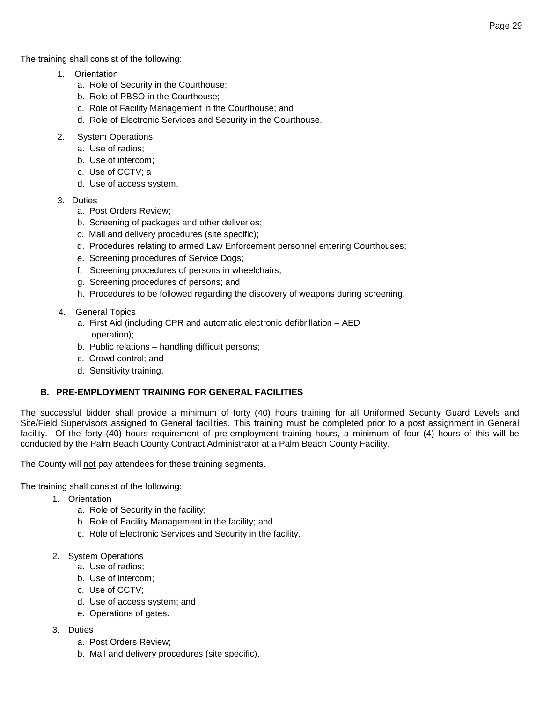The training shall consist of the following:

- 1. Orientation
	- a. Role of Security in the Courthouse;
	- b. Role of PBSO in the Courthouse;
	- c. Role of Facility Management in the Courthouse; and
	- d. Role of Electronic Services and Security in the Courthouse.
- 2. System Operations
	- a. Use of radios;
	- b. Use of intercom;
	- c. Use of CCTV; a
	- d. Use of access system.
- 3. Duties
	- a. Post Orders Review;
	- b. Screening of packages and other deliveries;
	- c. Mail and delivery procedures (site specific);
	- d. Procedures relating to armed Law Enforcement personnel entering Courthouses;
	- e. Screening procedures of Service Dogs;
	- f. Screening procedures of persons in wheelchairs;
	- g. Screening procedures of persons; and
	- h. Procedures to be followed regarding the discovery of weapons during screening.
- 4. General Topics
	- a. First Aid (including CPR and automatic electronic defibrillation AED operation);
	- b. Public relations handling difficult persons;
	- c. Crowd control; and
	- d. Sensitivity training.

# **B. PRE-EMPLOYMENT TRAINING FOR GENERAL FACILITIES**

The successful bidder shall provide a minimum of forty (40) hours training for all Uniformed Security Guard Levels and Site/Field Supervisors assigned to General facilities. This training must be completed prior to a post assignment in General facility. Of the forty (40) hours requirement of pre-employment training hours, a minimum of four (4) hours of this will be conducted by the Palm Beach County Contract Administrator at a Palm Beach County Facility.

The County will not pay attendees for these training segments.

The training shall consist of the following:

- 1. Orientation
	- a. Role of Security in the facility;
	- b. Role of Facility Management in the facility; and
	- c. Role of Electronic Services and Security in the facility.
- 2. System Operations
	- a. Use of radios;
	- b. Use of intercom;
	- c. Use of CCTV;
	- d. Use of access system; and
	- e. Operations of gates.
- 3. Duties
	- a. Post Orders Review;
	- b. Mail and delivery procedures (site specific).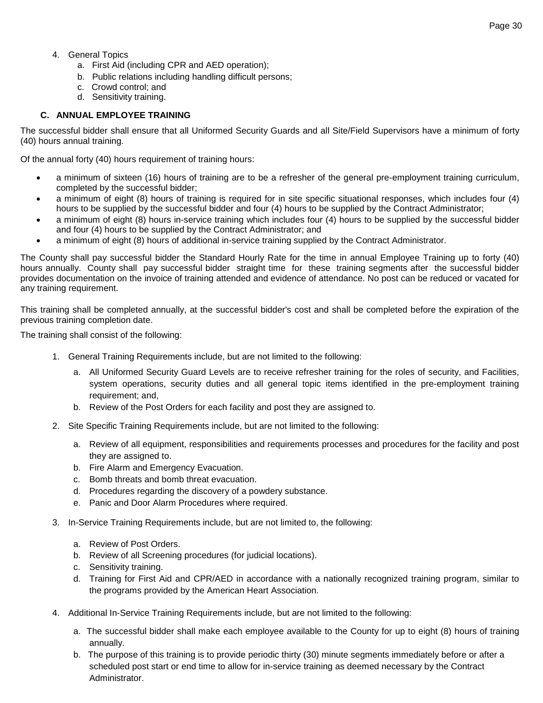- 4. General Topics
	- a. First Aid (including CPR and AED operation);
	- b. Public relations including handling difficult persons;
	- c. Crowd control; and
	- d. Sensitivity training.

# **C. ANNUAL EMPLOYEE TRAINING**

The successful bidder shall ensure that all Uniformed Security Guards and all Site/Field Supervisors have a minimum of forty (40) hours annual training.

Of the annual forty (40) hours requirement of training hours:

- a minimum of sixteen (16) hours of training are to be a refresher of the general pre-employment training curriculum, completed by the successful bidder;
- a minimum of eight (8) hours of training is required for in site specific situational responses, which includes four (4) hours to be supplied by the successful bidder and four (4) hours to be supplied by the Contract Administrator;
- a minimum of eight (8) hours in-service training which includes four (4) hours to be supplied by the successful bidder and four (4) hours to be supplied by the Contract Administrator; and
- a minimum of eight (8) hours of additional in-service training supplied by the Contract Administrator.

The County shall pay successful bidder the Standard Hourly Rate for the time in annual Employee Training up to forty (40) hours annually. County shall pay successful bidder straight time for these training segments after the successful bidder provides documentation on the invoice of training attended and evidence of attendance. No post can be reduced or vacated for any training requirement.

This training shall be completed annually, at the successful bidder's cost and shall be completed before the expiration of the previous training completion date.

The training shall consist of the following:

- 1. General Training Requirements include, but are not limited to the following:
	- a. All Uniformed Security Guard Levels are to receive refresher training for the roles of security, and Facilities, system operations, security duties and all general topic items identified in the pre-employment training requirement; and,
	- b. Review of the Post Orders for each facility and post they are assigned to.
- 2. Site Specific Training Requirements include, but are not limited to the following:
	- a. Review of all equipment, responsibilities and requirements processes and procedures for the facility and post they are assigned to.
	- b. Fire Alarm and Emergency Evacuation.
	- c. Bomb threats and bomb threat evacuation.
	- d. Procedures regarding the discovery of a powdery substance.
	- e. Panic and Door Alarm Procedures where required.
- 3. In-Service Training Requirements include, but are not limited to, the following:
	- a. Review of Post Orders.
	- b. Review of all Screening procedures (for judicial locations).
	- c. Sensitivity training.
	- d. Training for First Aid and CPR/AED in accordance with a nationally recognized training program, similar to the programs provided by the American Heart Association.
- 4. Additional In-Service Training Requirements include, but are not limited to the following:
	- a. The successful bidder shall make each employee available to the County for up to eight (8) hours of training annually.
	- b. The purpose of this training is to provide periodic thirty (30) minute segments immediately before or after a scheduled post start or end time to allow for in-service training as deemed necessary by the Contract Administrator.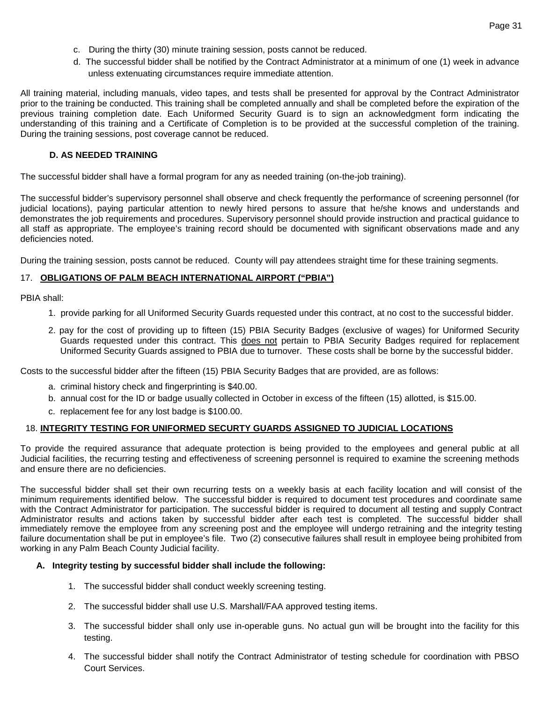- c. During the thirty (30) minute training session, posts cannot be reduced.
- d. The successful bidder shall be notified by the Contract Administrator at a minimum of one (1) week in advance unless extenuating circumstances require immediate attention.

All training material, including manuals, video tapes, and tests shall be presented for approval by the Contract Administrator prior to the training be conducted. This training shall be completed annually and shall be completed before the expiration of the previous training completion date. Each Uniformed Security Guard is to sign an acknowledgment form indicating the understanding of this training and a Certificate of Completion is to be provided at the successful completion of the training. During the training sessions, post coverage cannot be reduced.

#### **D. AS NEEDED TRAINING**

The successful bidder shall have a formal program for any as needed training (on-the-job training).

The successful bidder's supervisory personnel shall observe and check frequently the performance of screening personnel (for judicial locations), paying particular attention to newly hired persons to assure that he/she knows and understands and demonstrates the job requirements and procedures. Supervisory personnel should provide instruction and practical guidance to all staff as appropriate. The employee's training record should be documented with significant observations made and any deficiencies noted.

During the training session, posts cannot be reduced. County will pay attendees straight time for these training segments.

## 17. **OBLIGATIONS OF PALM BEACH INTERNATIONAL AIRPORT ("PBIA")**

PBIA shall:

- 1. provide parking for all Uniformed Security Guards requested under this contract, at no cost to the successful bidder.
- 2. pay for the cost of providing up to fifteen (15) PBIA Security Badges (exclusive of wages) for Uniformed Security Guards requested under this contract. This does not pertain to PBIA Security Badges required for replacement Uniformed Security Guards assigned to PBIA due to turnover. These costs shall be borne by the successful bidder.

Costs to the successful bidder after the fifteen (15) PBIA Security Badges that are provided, are as follows:

- a. criminal history check and fingerprinting is \$40.00.
- b. annual cost for the ID or badge usually collected in October in excess of the fifteen (15) allotted, is \$15.00.
- c. replacement fee for any lost badge is \$100.00.

#### 18. **INTEGRITY TESTING FOR UNIFORMED SECURTY GUARDS ASSIGNED TO JUDICIAL LOCATIONS**

To provide the required assurance that adequate protection is being provided to the employees and general public at all Judicial facilities, the recurring testing and effectiveness of screening personnel is required to examine the screening methods and ensure there are no deficiencies.

The successful bidder shall set their own recurring tests on a weekly basis at each facility location and will consist of the minimum requirements identified below. The successful bidder is required to document test procedures and coordinate same with the Contract Administrator for participation. The successful bidder is required to document all testing and supply Contract Administrator results and actions taken by successful bidder after each test is completed. The successful bidder shall immediately remove the employee from any screening post and the employee will undergo retraining and the integrity testing failure documentation shall be put in employee's file. Two (2) consecutive failures shall result in employee being prohibited from working in any Palm Beach County Judicial facility.

#### **A. Integrity testing by successful bidder shall include the following:**

- 1. The successful bidder shall conduct weekly screening testing.
- 2. The successful bidder shall use U.S. Marshall/FAA approved testing items.
- 3. The successful bidder shall only use in-operable guns. No actual gun will be brought into the facility for this testing.
- 4. The successful bidder shall notify the Contract Administrator of testing schedule for coordination with PBSO Court Services.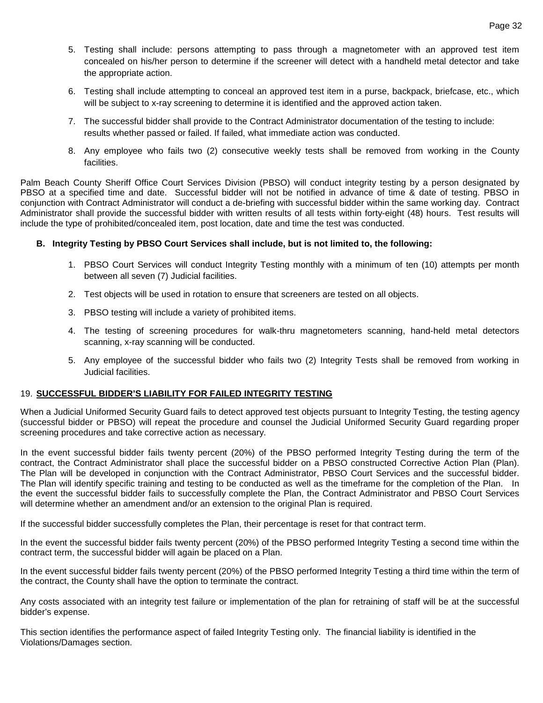- 5. Testing shall include: persons attempting to pass through a magnetometer with an approved test item concealed on his/her person to determine if the screener will detect with a handheld metal detector and take the appropriate action.
- 6. Testing shall include attempting to conceal an approved test item in a purse, backpack, briefcase, etc., which will be subject to x-ray screening to determine it is identified and the approved action taken.
- 7. The successful bidder shall provide to the Contract Administrator documentation of the testing to include: results whether passed or failed. If failed, what immediate action was conducted.
- 8. Any employee who fails two (2) consecutive weekly tests shall be removed from working in the County facilities.

Palm Beach County Sheriff Office Court Services Division (PBSO) will conduct integrity testing by a person designated by PBSO at a specified time and date. Successful bidder will not be notified in advance of time & date of testing. PBSO in conjunction with Contract Administrator will conduct a de-briefing with successful bidder within the same working day. Contract Administrator shall provide the successful bidder with written results of all tests within forty-eight (48) hours. Test results will include the type of prohibited/concealed item, post location, date and time the test was conducted.

### **B. Integrity Testing by PBSO Court Services shall include, but is not limited to, the following:**

- 1. PBSO Court Services will conduct Integrity Testing monthly with a minimum of ten (10) attempts per month between all seven (7) Judicial facilities.
- 2. Test objects will be used in rotation to ensure that screeners are tested on all objects.
- 3. PBSO testing will include a variety of prohibited items.
- 4. The testing of screening procedures for walk-thru magnetometers scanning, hand-held metal detectors scanning, x-ray scanning will be conducted.
- 5. Any employee of the successful bidder who fails two (2) Integrity Tests shall be removed from working in Judicial facilities.

#### 19. **SUCCESSFUL BIDDER'S LIABILITY FOR FAILED INTEGRITY TESTING**

When a Judicial Uniformed Security Guard fails to detect approved test objects pursuant to Integrity Testing, the testing agency (successful bidder or PBSO) will repeat the procedure and counsel the Judicial Uniformed Security Guard regarding proper screening procedures and take corrective action as necessary.

In the event successful bidder fails twenty percent (20%) of the PBSO performed Integrity Testing during the term of the contract, the Contract Administrator shall place the successful bidder on a PBSO constructed Corrective Action Plan (Plan). The Plan will be developed in conjunction with the Contract Administrator, PBSO Court Services and the successful bidder. The Plan will identify specific training and testing to be conducted as well as the timeframe for the completion of the Plan. In the event the successful bidder fails to successfully complete the Plan, the Contract Administrator and PBSO Court Services will determine whether an amendment and/or an extension to the original Plan is required.

If the successful bidder successfully completes the Plan, their percentage is reset for that contract term.

In the event the successful bidder fails twenty percent (20%) of the PBSO performed Integrity Testing a second time within the contract term, the successful bidder will again be placed on a Plan.

In the event successful bidder fails twenty percent (20%) of the PBSO performed Integrity Testing a third time within the term of the contract, the County shall have the option to terminate the contract.

Any costs associated with an integrity test failure or implementation of the plan for retraining of staff will be at the successful bidder's expense.

This section identifies the performance aspect of failed Integrity Testing only. The financial liability is identified in the Violations/Damages section.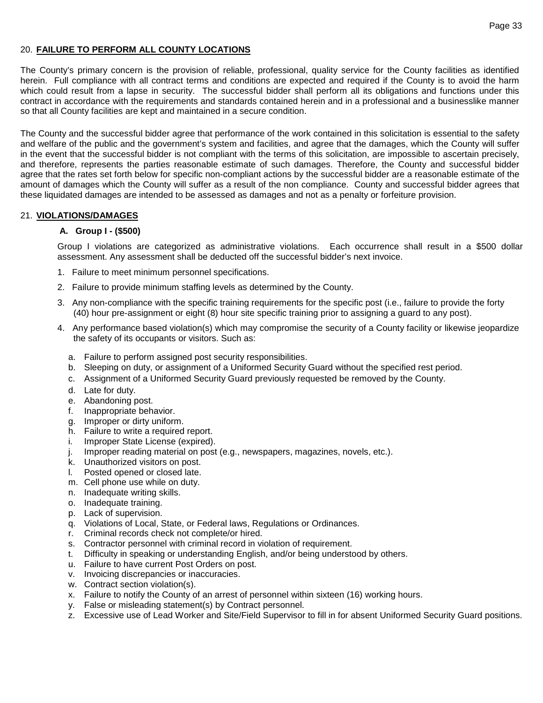### 20. **FAILURE TO PERFORM ALL COUNTY LOCATIONS**

The County's primary concern is the provision of reliable, professional, quality service for the County facilities as identified herein. Full compliance with all contract terms and conditions are expected and required if the County is to avoid the harm which could result from a lapse in security. The successful bidder shall perform all its obligations and functions under this contract in accordance with the requirements and standards contained herein and in a professional and a businesslike manner so that all County facilities are kept and maintained in a secure condition.

The County and the successful bidder agree that performance of the work contained in this solicitation is essential to the safety and welfare of the public and the government's system and facilities, and agree that the damages, which the County will suffer in the event that the successful bidder is not compliant with the terms of this solicitation, are impossible to ascertain precisely, and therefore, represents the parties reasonable estimate of such damages. Therefore, the County and successful bidder agree that the rates set forth below for specific non-compliant actions by the successful bidder are a reasonable estimate of the amount of damages which the County will suffer as a result of the non compliance. County and successful bidder agrees that these liquidated damages are intended to be assessed as damages and not as a penalty or forfeiture provision.

#### 21. **VIOLATIONS/DAMAGES**

#### **A. Group I - (\$500)**

Group I violations are categorized as administrative violations. Each occurrence shall result in a \$500 dollar assessment. Any assessment shall be deducted off the successful bidder's next invoice.

- 1. Failure to meet minimum personnel specifications.
- 2. Failure to provide minimum staffing levels as determined by the County.
- 3. Any non-compliance with the specific training requirements for the specific post (i.e., failure to provide the forty (40) hour pre-assignment or eight (8) hour site specific training prior to assigning a guard to any post).
- 4. Any performance based violation(s) which may compromise the security of a County facility or likewise jeopardize the safety of its occupants or visitors. Such as:
	- a. Failure to perform assigned post security responsibilities.
	- b. Sleeping on duty, or assignment of a Uniformed Security Guard without the specified rest period.
	- c. Assignment of a Uniformed Security Guard previously requested be removed by the County.
	- d. Late for duty.
	- e. Abandoning post.
	- f. Inappropriate behavior.
	- g. Improper or dirty uniform.
	- h. Failure to write a required report.
	- i. Improper State License (expired).
	- j. Improper reading material on post (e.g., newspapers, magazines, novels, etc.).
	- k. Unauthorized visitors on post.<br>I. Posted opened or closed late.
	- Posted opened or closed late.
	- m. Cell phone use while on duty.
	- n. Inadequate writing skills.
	- o. Inadequate training.
	- p. Lack of supervision.
	- q. Violations of Local, State, or Federal laws, Regulations or Ordinances.
	- r. Criminal records check not complete/or hired.
	- s. Contractor personnel with criminal record in violation of requirement.
	- t. Difficulty in speaking or understanding English, and/or being understood by others.
	- u. Failure to have current Post Orders on post.
	- v. Invoicing discrepancies or inaccuracies.
	- w. Contract section violation(s).
	- x. Failure to notify the County of an arrest of personnel within sixteen (16) working hours.
	- y. False or misleading statement(s) by Contract personnel.
	- z. Excessive use of Lead Worker and Site/Field Supervisor to fill in for absent Uniformed Security Guard positions.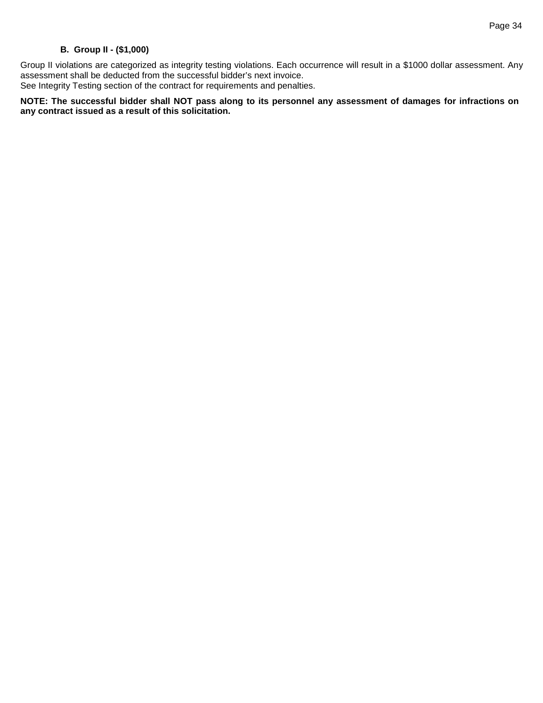## **B. Group II - (\$1,000)**

Group II violations are categorized as integrity testing violations. Each occurrence will result in a \$1000 dollar assessment. Any assessment shall be deducted from the successful bidder's next invoice.

See Integrity Testing section of the contract for requirements and penalties.

**NOTE: The successful bidder shall NOT pass along to its personnel any assessment of damages for infractions on any contract issued as a result of this solicitation.**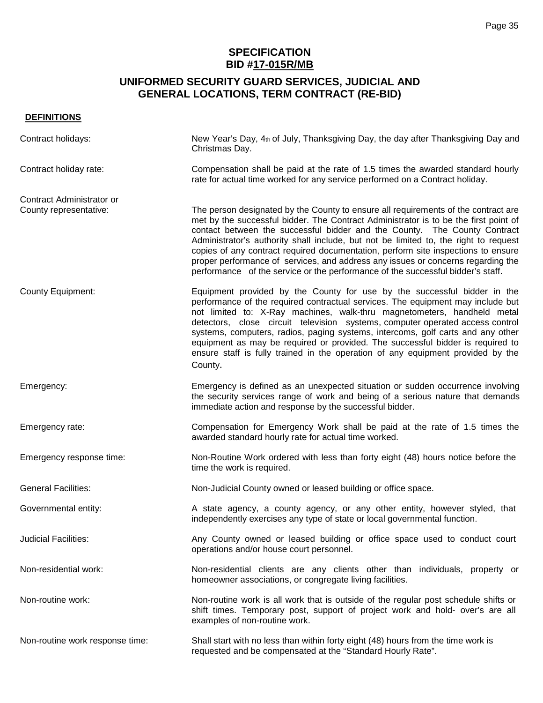# **SPECIFICATION BID #17-015R/MB**

# **UNIFORMED SECURITY GUARD SERVICES, JUDICIAL AND GENERAL LOCATIONS, TERM CONTRACT (RE-BID)**

## **DEFINITIONS**

| Contract holidays:                                  | New Year's Day, 4th of July, Thanksgiving Day, the day after Thanksgiving Day and<br>Christmas Day.                                                                                                                                                                                                                                                                                                                                                                                                                                                                                                         |
|-----------------------------------------------------|-------------------------------------------------------------------------------------------------------------------------------------------------------------------------------------------------------------------------------------------------------------------------------------------------------------------------------------------------------------------------------------------------------------------------------------------------------------------------------------------------------------------------------------------------------------------------------------------------------------|
| Contract holiday rate:                              | Compensation shall be paid at the rate of 1.5 times the awarded standard hourly<br>rate for actual time worked for any service performed on a Contract holiday.                                                                                                                                                                                                                                                                                                                                                                                                                                             |
| Contract Administrator or<br>County representative: | The person designated by the County to ensure all requirements of the contract are<br>met by the successful bidder. The Contract Administrator is to be the first point of<br>contact between the successful bidder and the County. The County Contract<br>Administrator's authority shall include, but not be limited to, the right to request<br>copies of any contract required documentation, perform site inspections to ensure<br>proper performance of services, and address any issues or concerns regarding the<br>performance of the service or the performance of the successful bidder's staff. |
| <b>County Equipment:</b>                            | Equipment provided by the County for use by the successful bidder in the<br>performance of the required contractual services. The equipment may include but<br>not limited to: X-Ray machines, walk-thru magnetometers, handheld metal<br>detectors, close circuit television systems, computer operated access control<br>systems, computers, radios, paging systems, intercoms, golf carts and any other<br>equipment as may be required or provided. The successful bidder is required to<br>ensure staff is fully trained in the operation of any equipment provided by the<br>County.                  |
| Emergency:                                          | Emergency is defined as an unexpected situation or sudden occurrence involving<br>the security services range of work and being of a serious nature that demands<br>immediate action and response by the successful bidder.                                                                                                                                                                                                                                                                                                                                                                                 |
| Emergency rate:                                     | Compensation for Emergency Work shall be paid at the rate of 1.5 times the<br>awarded standard hourly rate for actual time worked.                                                                                                                                                                                                                                                                                                                                                                                                                                                                          |
| Emergency response time:                            | Non-Routine Work ordered with less than forty eight (48) hours notice before the<br>time the work is required.                                                                                                                                                                                                                                                                                                                                                                                                                                                                                              |
| <b>General Facilities:</b>                          | Non-Judicial County owned or leased building or office space.                                                                                                                                                                                                                                                                                                                                                                                                                                                                                                                                               |
| Governmental entity:                                | A state agency, a county agency, or any other entity, however styled, that<br>independently exercises any type of state or local governmental function.                                                                                                                                                                                                                                                                                                                                                                                                                                                     |
| <b>Judicial Facilities:</b>                         | Any County owned or leased building or office space used to conduct court<br>operations and/or house court personnel.                                                                                                                                                                                                                                                                                                                                                                                                                                                                                       |
| Non-residential work:                               | Non-residential clients are any clients other than individuals, property or<br>homeowner associations, or congregate living facilities.                                                                                                                                                                                                                                                                                                                                                                                                                                                                     |
| Non-routine work:                                   | Non-routine work is all work that is outside of the regular post schedule shifts or<br>shift times. Temporary post, support of project work and hold- over's are all<br>examples of non-routine work.                                                                                                                                                                                                                                                                                                                                                                                                       |
| Non-routine work response time:                     | Shall start with no less than within forty eight (48) hours from the time work is<br>requested and be compensated at the "Standard Hourly Rate".                                                                                                                                                                                                                                                                                                                                                                                                                                                            |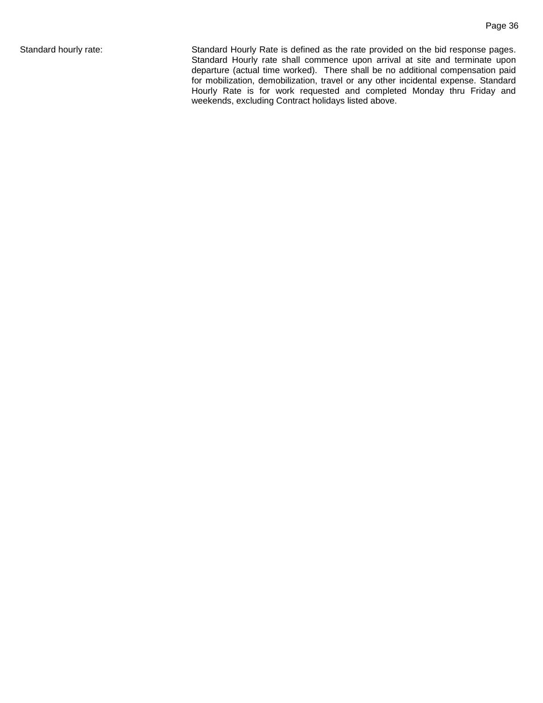Standard hourly rate: Standard Hourly Rate is defined as the rate provided on the bid response pages. Standard Hourly rate shall commence upon arrival at site and terminate upon departure (actual time worked). There shall be no additional compensation paid for mobilization, demobilization, travel or any other incidental expense. Standard Hourly Rate is for work requested and completed Monday thru Friday and weekends, excluding Contract holidays listed above.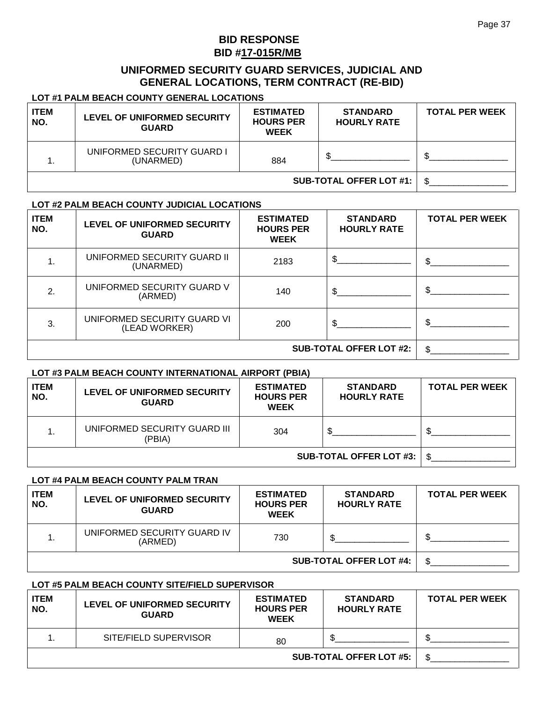# **BID RESPONSE BID #17-015R/MB**

# **UNIFORMED SECURITY GUARD SERVICES, JUDICIAL AND GENERAL LOCATIONS, TERM CONTRACT (RE-BID)**

## **LOT #1 PALM BEACH COUNTY GENERAL LOCATIONS**

| <b>ITEM</b><br>NO. | LEVEL OF UNIFORMED SECURITY<br><b>GUARD</b> | <b>ESTIMATED</b><br><b>HOURS PER</b><br><b>WEEK</b> | <b>STANDARD</b><br><b>HOURLY RATE</b> | <b>TOTAL PER WEEK</b> |
|--------------------|---------------------------------------------|-----------------------------------------------------|---------------------------------------|-----------------------|
|                    | UNIFORMED SECURITY GUARD I<br>(UNARMED)     | 884                                                 | ጥ                                     |                       |
|                    |                                             |                                                     | <b>SUB-TOTAL OFFER LOT #1:</b>        |                       |

#### **LOT #2 PALM BEACH COUNTY JUDICIAL LOCATIONS**

| <b>ITEM</b><br>NO. | LEVEL OF UNIFORMED SECURITY<br><b>GUARD</b>  | <b>ESTIMATED</b><br><b>HOURS PER</b><br><b>WEEK</b> | <b>STANDARD</b><br><b>HOURLY RATE</b> | <b>TOTAL PER WEEK</b> |
|--------------------|----------------------------------------------|-----------------------------------------------------|---------------------------------------|-----------------------|
|                    | UNIFORMED SECURITY GUARD II<br>(UNARMED)     | 2183                                                |                                       |                       |
| 2.                 | UNIFORMED SECURITY GUARD V<br>(ARMED)        | 140                                                 | \$                                    |                       |
| 3.                 | UNIFORMED SECURITY GUARD VI<br>(LEAD WORKER) | 200                                                 | \$                                    |                       |
|                    |                                              |                                                     | <b>SUB-TOTAL OFFER LOT #2:</b>        | ደ                     |

#### **LOT #3 PALM BEACH COUNTY INTERNATIONAL AIRPORT (PBIA)**

| <b>ITEM</b><br>NO. | LEVEL OF UNIFORMED SECURITY<br><b>GUARD</b> | <b>ESTIMATED</b><br><b>HOURS PER</b><br><b>WEEK</b> | <b>STANDARD</b><br><b>HOURLY RATE</b> | <b>TOTAL PER WEEK</b> |
|--------------------|---------------------------------------------|-----------------------------------------------------|---------------------------------------|-----------------------|
|                    | UNIFORMED SECURITY GUARD III<br>(PBIA)      | 304                                                 |                                       |                       |
|                    |                                             |                                                     | <b>SUB-TOTAL OFFER LOT #3:</b>        | \$.                   |

## **LOT #4 PALM BEACH COUNTY PALM TRAN**

| <b>ITEM</b><br>NO. | LEVEL OF UNIFORMED SECURITY<br><b>GUARD</b> | <b>ESTIMATED</b><br><b>HOURS PER</b><br><b>WEEK</b> | <b>STANDARD</b><br><b>HOURLY RATE</b> | <b>TOTAL PER WEEK</b> |
|--------------------|---------------------------------------------|-----------------------------------------------------|---------------------------------------|-----------------------|
|                    | UNIFORMED SECURITY GUARD IV<br>(ARMED)      | 730                                                 |                                       |                       |
|                    |                                             |                                                     | <b>SUB-TOTAL OFFER LOT #4:</b>        |                       |

#### **LOT #5 PALM BEACH COUNTY SITE/FIELD SUPERVISOR**

| <b>ITEM</b><br>NO.             | LEVEL OF UNIFORMED SECURITY<br><b>GUARD</b> | <b>ESTIMATED</b><br><b>HOURS PER</b><br><b>WEEK</b> | <b>STANDARD</b><br><b>HOURLY RATE</b> | <b>TOTAL PER WEEK</b> |
|--------------------------------|---------------------------------------------|-----------------------------------------------------|---------------------------------------|-----------------------|
|                                | SITE/FIELD SUPERVISOR                       | 80                                                  |                                       |                       |
| <b>SUB-TOTAL OFFER LOT #5:</b> |                                             |                                                     |                                       |                       |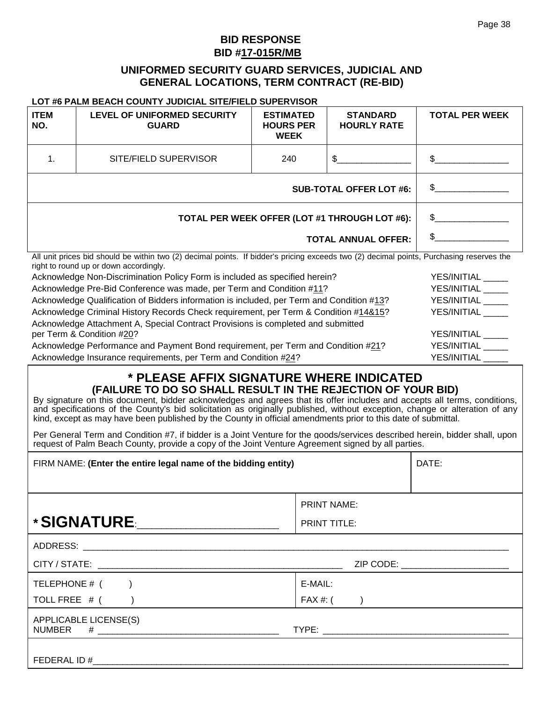# **BID RESPONSE BID #17-015R/MB**

# **UNIFORMED SECURITY GUARD SERVICES, JUDICIAL AND GENERAL LOCATIONS, TERM CONTRACT (RE-BID)**

#### **LOT #6 PALM BEACH COUNTY JUDICIAL SITE/FIELD SUPERVISOR**

| <b>ITEM</b><br>NO.                                                                                                                                                                 | <b>LEVEL OF UNIFORMED SECURITY</b><br><b>GUARD</b>                                                             | <b>ESTIMATED</b><br><b>HOURS PER</b><br><b>WEEK</b> | <b>STANDARD</b><br><b>HOURLY RATE</b> | <b>TOTAL PER WEEK</b> |
|------------------------------------------------------------------------------------------------------------------------------------------------------------------------------------|----------------------------------------------------------------------------------------------------------------|-----------------------------------------------------|---------------------------------------|-----------------------|
|                                                                                                                                                                                    | SITE/FIELD SUPERVISOR                                                                                          | 240                                                 | \$                                    |                       |
| <b>SUB-TOTAL OFFER LOT #6:</b>                                                                                                                                                     |                                                                                                                |                                                     | \$                                    |                       |
|                                                                                                                                                                                    | \$.<br>TOTAL PER WEEK OFFER (LOT #1 THROUGH LOT #6):                                                           |                                                     |                                       |                       |
|                                                                                                                                                                                    | \$<br><b>TOTAL ANNUAL OFFER:</b>                                                                               |                                                     |                                       |                       |
| All unit prices bid should be within two (2) decimal points. If bidder's pricing exceeds two (2) decimal points, Purchasing reserves the<br>right to round up or down accordingly. |                                                                                                                |                                                     |                                       |                       |
|                                                                                                                                                                                    | Acknowledge Non-Discrimination Policy Form is included as specified herein?<br>YES/INITIAL                     |                                                     |                                       |                       |
|                                                                                                                                                                                    | Acknowledge Pre-Bid Conference was made, per Term and Condition #11?<br>YES/INITIAL                            |                                                     |                                       |                       |
|                                                                                                                                                                                    | Acknowledge Qualification of Bidders information is included, per Term and Condition #13?<br>YES/INITIAL _____ |                                                     |                                       |                       |

| Acknowledge Criminal History Records Check requirement, per Term & Condition #14&15? | YES/INITIAL |
|--------------------------------------------------------------------------------------|-------------|
| Acknowledge Attachment A, Special Contract Provisions is completed and submitted     |             |
| per Term & Condition #20?                                                            | YES/INITIAL |
| Acknowledge Performance and Payment Bond requirement, per Term and Condition #21?    | YES/INITIAL |
| Acknowledge Insurance requirements, per Term and Condition #24?                      | YES/INITIAL |

# **\* PLEASE AFFIX SIGNATURE WHERE INDICATED (FAILURE TO DO SO SHALL RESULT IN THE REJECTION OF YOUR BID)**

By signature on this document, bidder acknowledges and agrees that its offer includes and accepts all terms, conditions, and specifications of the County's bid solicitation as originally published, without exception, change or alteration of any kind, except as may have been published by the County in official amendments prior to this date of submittal.

Per General Term and Condition #7, if bidder is a Joint Venture for the goods/services described herein, bidder shall, upon request of Palm Beach County, provide a copy of the Joint Venture Agreement signed by all parties.

| FIRM NAME: (Enter the entire legal name of the bidding entity) |                                                                                                                                                                                                                                | DATE:                             |
|----------------------------------------------------------------|--------------------------------------------------------------------------------------------------------------------------------------------------------------------------------------------------------------------------------|-----------------------------------|
|                                                                |                                                                                                                                                                                                                                |                                   |
|                                                                | <b>PRINT NAME:</b>                                                                                                                                                                                                             |                                   |
| *SIGNATURE.__________________                                  | <b>PRINT TITLE:</b>                                                                                                                                                                                                            |                                   |
|                                                                |                                                                                                                                                                                                                                |                                   |
|                                                                |                                                                                                                                                                                                                                | ZIP CODE: _______________________ |
| TELEPHONE $#$ ( )                                              | E-MAIL:                                                                                                                                                                                                                        |                                   |
| TOLL FREE $#$ ( )                                              | $FAX \#: ($                                                                                                                                                                                                                    |                                   |
| APPLICABLE LICENSE(S)                                          | TYPE: the contract of the contract of the contract of the contract of the contract of the contract of the contract of the contract of the contract of the contract of the contract of the contract of the contract of the cont |                                   |
|                                                                |                                                                                                                                                                                                                                |                                   |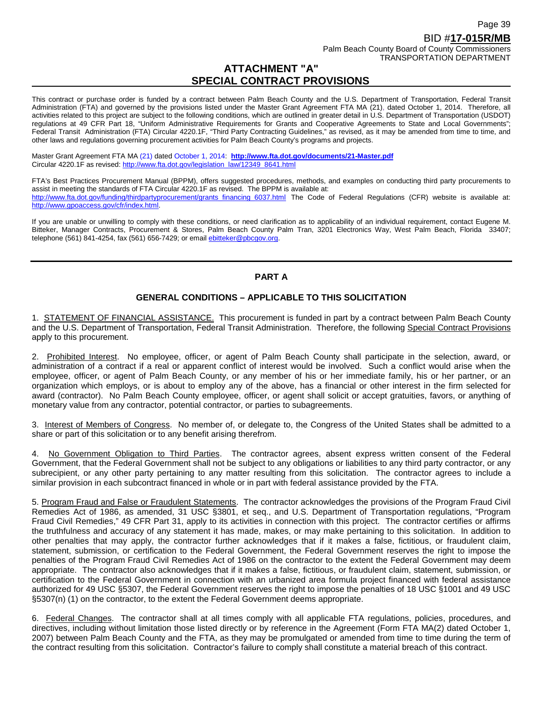This contract or purchase order is funded by a contract between Palm Beach County and the U.S. Department of Transportation, Federal Transit Administration (FTA) and governed by the provisions listed under the Master Grant Agreement FTA MA (21), dated October 1, 2014. Therefore, all activities related to this project are subject to the following conditions, which are outlined in greater detail in U.S. Department of Transportation (USDOT) regulations at 49 CFR Part 18, "Uniform Administrative Requirements for Grants and Cooperative Agreements to State and Local Governments"; Federal Transit Administration (FTA) Circular 4220.1F, "Third Party Contracting Guidelines," as revised, as it may be amended from time to time, and other laws and regulations governing procurement activities for Palm Beach County's programs and projects.

Master Grant Agreement FTA MA (21) dated October 1, 2014: **<http://www.fta.dot.gov/documents/21-Master.pdf>** Circular 4220.1F as revised: [http://www.fta.dot.gov/legislation\\_law/12349\\_8641.html](http://www.fta.dot.gov/legislation_law/12349_8641.html)

FTA's Best Practices Procurement Manual (BPPM), offers suggested procedures, methods, and examples on conducting third party procurements to assist in meeting the standards of FTA Circular 4220.1F as revised. The BPPM is available at: [http://www.fta.dot.gov/funding/thirdpartyprocurement/grants\\_financing\\_6037.html](http://www.fta.dot.gov/funding/thirdpartyprocurement/grants_financing_6037.html) The Code of Federal Regulations (CFR) website is available at: [http://www.gpoaccess.gov/cfr/index.html.](http://www.gpoaccess.gov/cfr/index.html)

If you are unable or unwilling to comply with these conditions, or need clarification as to applicability of an individual requirement, contact Eugene M. Bitteker, Manager Contracts, Procurement & Stores, Palm Beach County Palm Tran, 3201 Electronics Way, West Palm Beach, Florida 33407; telephone (561) 841-4254, fax (561) 656-7429; or emai[l ebitteker@pbcgov.org.](mailto:ebitteker@pbcgov.org)

## **PART A**

## **GENERAL CONDITIONS – APPLICABLE TO THIS SOLICITATION**

1. STATEMENT OF FINANCIAL ASSISTANCE. This procurement is funded in part by a contract between Palm Beach County and the U.S. Department of Transportation, Federal Transit Administration. Therefore, the following Special Contract Provisions apply to this procurement.

2. Prohibited Interest. No employee, officer, or agent of Palm Beach County shall participate in the selection, award, or administration of a contract if a real or apparent conflict of interest would be involved. Such a conflict would arise when the employee, officer, or agent of Palm Beach County, or any member of his or her immediate family, his or her partner, or an organization which employs, or is about to employ any of the above, has a financial or other interest in the firm selected for award (contractor). No Palm Beach County employee, officer, or agent shall solicit or accept gratuities, favors, or anything of monetary value from any contractor, potential contractor, or parties to subagreements.

3. Interest of Members of Congress. No member of, or delegate to, the Congress of the United States shall be admitted to a share or part of this solicitation or to any benefit arising therefrom.

4. No Government Obligation to Third Parties. The contractor agrees, absent express written consent of the Federal Government, that the Federal Government shall not be subject to any obligations or liabilities to any third party contractor, or any subrecipient, or any other party pertaining to any matter resulting from this solicitation. The contractor agrees to include a similar provision in each subcontract financed in whole or in part with federal assistance provided by the FTA.

5. Program Fraud and False or Fraudulent Statements. The contractor acknowledges the provisions of the Program Fraud Civil Remedies Act of 1986, as amended, 31 USC §3801, et seq., and U.S. Department of Transportation regulations, "Program Fraud Civil Remedies," 49 CFR Part 31, apply to its activities in connection with this project. The contractor certifies or affirms the truthfulness and accuracy of any statement it has made, makes, or may make pertaining to this solicitation. In addition to other penalties that may apply, the contractor further acknowledges that if it makes a false, fictitious, or fraudulent claim, statement, submission, or certification to the Federal Government, the Federal Government reserves the right to impose the penalties of the Program Fraud Civil Remedies Act of 1986 on the contractor to the extent the Federal Government may deem appropriate. The contractor also acknowledges that if it makes a false, fictitious, or fraudulent claim, statement, submission, or certification to the Federal Government in connection with an urbanized area formula project financed with federal assistance authorized for 49 USC §5307, the Federal Government reserves the right to impose the penalties of 18 USC §1001 and 49 USC §5307(n) (1) on the contractor, to the extent the Federal Government deems appropriate.

6. Federal Changes. The contractor shall at all times comply with all applicable FTA regulations, policies, procedures, and directives, including without limitation those listed directly or by reference in the Agreement (Form FTA MA(2) dated October 1, 2007) between Palm Beach County and the FTA, as they may be promulgated or amended from time to time during the term of the contract resulting from this solicitation. Contractor's failure to comply shall constitute a material breach of this contract.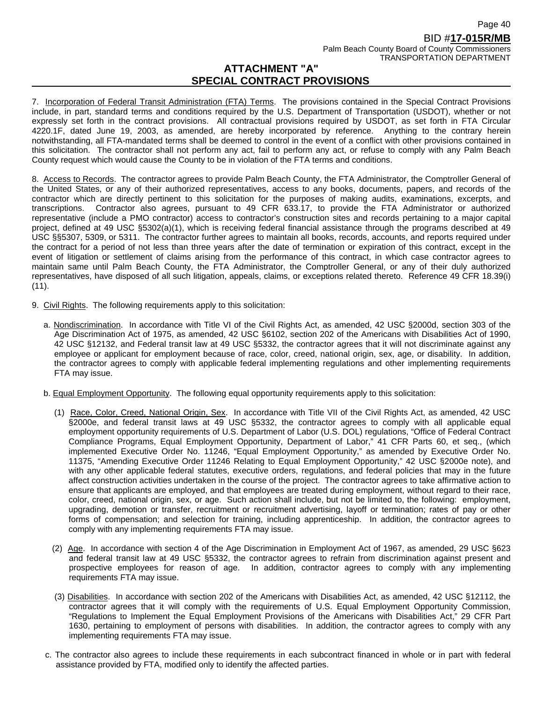7. Incorporation of Federal Transit Administration (FTA) Terms. The provisions contained in the Special Contract Provisions include, in part, standard terms and conditions required by the U.S. Department of Transportation (USDOT), whether or not expressly set forth in the contract provisions. All contractual provisions required by USDOT, as set forth in FTA Circular 4220.1F, dated June 19, 2003, as amended, are hereby incorporated by reference. Anything to the contrary herein notwithstanding, all FTA-mandated terms shall be deemed to control in the event of a conflict with other provisions contained in this solicitation. The contractor shall not perform any act, fail to perform any act, or refuse to comply with any Palm Beach County request which would cause the County to be in violation of the FTA terms and conditions.

8. Access to Records. The contractor agrees to provide Palm Beach County, the FTA Administrator, the Comptroller General of the United States, or any of their authorized representatives, access to any books, documents, papers, and records of the contractor which are directly pertinent to this solicitation for the purposes of making audits, examinations, excerpts, and transcriptions. Contractor also agrees, pursuant to 49 CFR 633.17, to provide the FTA Administrator or authorized representative (include a PMO contractor) access to contractor's construction sites and records pertaining to a major capital project, defined at 49 USC §5302(a)(1), which is receiving federal financial assistance through the programs described at 49 USC §§5307, 5309, or 5311. The contractor further agrees to maintain all books, records, accounts, and reports required under the contract for a period of not less than three years after the date of termination or expiration of this contract, except in the event of litigation or settlement of claims arising from the performance of this contract, in which case contractor agrees to maintain same until Palm Beach County, the FTA Administrator, the Comptroller General, or any of their duly authorized representatives, have disposed of all such litigation, appeals, claims, or exceptions related thereto. Reference 49 CFR 18.39(i)  $(11).$ 

- 9. Civil Rights. The following requirements apply to this solicitation:
	- a. Nondiscrimination. In accordance with Title VI of the Civil Rights Act, as amended, 42 USC §2000d, section 303 of the Age Discrimination Act of 1975, as amended, 42 USC §6102, section 202 of the Americans with Disabilities Act of 1990, 42 USC §12132, and Federal transit law at 49 USC §5332, the contractor agrees that it will not discriminate against any employee or applicant for employment because of race, color, creed, national origin, sex, age, or disability. In addition, the contractor agrees to comply with applicable federal implementing regulations and other implementing requirements FTA may issue.
	- b. Equal Employment Opportunity. The following equal opportunity requirements apply to this solicitation:
		- (1) Race, Color, Creed, National Origin, Sex. In accordance with Title VII of the Civil Rights Act, as amended, 42 USC §2000e, and federal transit laws at 49 USC §5332, the contractor agrees to comply with all applicable equal employment opportunity requirements of U.S. Department of Labor (U.S. DOL) regulations, "Office of Federal Contract Compliance Programs, Equal Employment Opportunity, Department of Labor," 41 CFR Parts 60, et seq., (which implemented Executive Order No. 11246, "Equal Employment Opportunity," as amended by Executive Order No. 11375, "Amending Executive Order 11246 Relating to Equal Employment Opportunity," 42 USC §2000e note), and with any other applicable federal statutes, executive orders, regulations, and federal policies that may in the future affect construction activities undertaken in the course of the project. The contractor agrees to take affirmative action to ensure that applicants are employed, and that employees are treated during employment, without regard to their race, color, creed, national origin, sex, or age. Such action shall include, but not be limited to, the following: employment, upgrading, demotion or transfer, recruitment or recruitment advertising, layoff or termination; rates of pay or other forms of compensation; and selection for training, including apprenticeship. In addition, the contractor agrees to comply with any implementing requirements FTA may issue.
		- (2) Age. In accordance with section 4 of the Age Discrimination in Employment Act of 1967, as amended, 29 USC §623 and federal transit law at 49 USC §5332, the contractor agrees to refrain from discrimination against present and prospective employees for reason of age. In addition, contractor agrees to comply with any implementing requirements FTA may issue.
		- (3) Disabilities. In accordance with section 202 of the Americans with Disabilities Act, as amended, 42 USC §12112, the contractor agrees that it will comply with the requirements of U.S. Equal Employment Opportunity Commission, "Regulations to Implement the Equal Employment Provisions of the Americans with Disabilities Act," 29 CFR Part 1630, pertaining to employment of persons with disabilities. In addition, the contractor agrees to comply with any implementing requirements FTA may issue.
	- c. The contractor also agrees to include these requirements in each subcontract financed in whole or in part with federal assistance provided by FTA, modified only to identify the affected parties.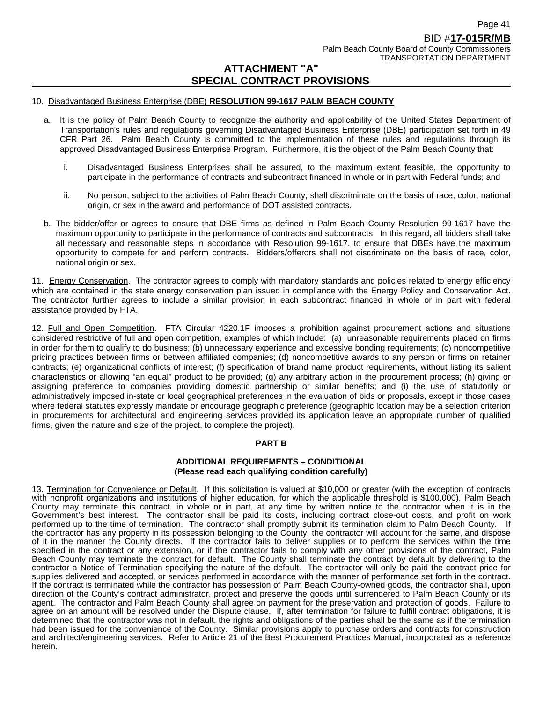#### 10. Disadvantaged Business Enterprise (DBE) **RESOLUTION 99-1617 PALM BEACH COUNTY**

- a. It is the policy of Palm Beach County to recognize the authority and applicability of the United States Department of Transportation's rules and regulations governing Disadvantaged Business Enterprise (DBE) participation set forth in 49 CFR Part 26. Palm Beach County is committed to the implementation of these rules and regulations through its approved Disadvantaged Business Enterprise Program. Furthermore, it is the object of the Palm Beach County that:
	- i. Disadvantaged Business Enterprises shall be assured, to the maximum extent feasible, the opportunity to participate in the performance of contracts and subcontract financed in whole or in part with Federal funds; and
	- ii. No person, subject to the activities of Palm Beach County, shall discriminate on the basis of race, color, national origin, or sex in the award and performance of DOT assisted contracts.
- b. The bidder/offer or agrees to ensure that DBE firms as defined in Palm Beach County Resolution 99-1617 have the maximum opportunity to participate in the performance of contracts and subcontracts. In this regard, all bidders shall take all necessary and reasonable steps in accordance with Resolution 99-1617, to ensure that DBEs have the maximum opportunity to compete for and perform contracts. Bidders/offerors shall not discriminate on the basis of race, color, national origin or sex.

11. Energy Conservation. The contractor agrees to comply with mandatory standards and policies related to energy efficiency which are contained in the state energy conservation plan issued in compliance with the Energy Policy and Conservation Act. The contractor further agrees to include a similar provision in each subcontract financed in whole or in part with federal assistance provided by FTA.

12. Full and Open Competition. FTA Circular 4220.1F imposes a prohibition against procurement actions and situations considered restrictive of full and open competition, examples of which include: (a) unreasonable requirements placed on firms in order for them to qualify to do business; (b) unnecessary experience and excessive bonding requirements; (c) noncompetitive pricing practices between firms or between affiliated companies; (d) noncompetitive awards to any person or firms on retainer contracts; (e) organizational conflicts of interest; (f) specification of brand name product requirements, without listing its salient characteristics or allowing "an equal" product to be provided; (g) any arbitrary action in the procurement process; (h) giving or assigning preference to companies providing domestic partnership or similar benefits; and (i) the use of statutorily or administratively imposed in-state or local geographical preferences in the evaluation of bids or proposals, except in those cases where federal statutes expressly mandate or encourage geographic preference (geographic location may be a selection criterion in procurements for architectural and engineering services provided its application leave an appropriate number of qualified firms, given the nature and size of the project, to complete the project).

## **PART B**

### **ADDITIONAL REQUIREMENTS – CONDITIONAL (Please read each qualifying condition carefully)**

13. Termination for Convenience or Default. If this solicitation is valued at \$10,000 or greater (with the exception of contracts with nonprofit organizations and institutions of higher education, for which the applicable threshold is \$100,000), Palm Beach County may terminate this contract, in whole or in part, at any time by written notice to the contractor when it is in the Government's best interest. The contractor shall be paid its costs, including contract close-out costs, and profit on work performed up to the time of termination. The contractor shall promptly submit its termination claim to Palm Beach County. If the contractor has any property in its possession belonging to the County, the contractor will account for the same, and dispose of it in the manner the County directs. If the contractor fails to deliver supplies or to perform the services within the time specified in the contract or any extension, or if the contractor fails to comply with any other provisions of the contract, Palm Beach County may terminate the contract for default. The County shall terminate the contract by default by delivering to the contractor a Notice of Termination specifying the nature of the default. The contractor will only be paid the contract price for supplies delivered and accepted, or services performed in accordance with the manner of performance set forth in the contract. If the contract is terminated while the contractor has possession of Palm Beach County-owned goods, the contractor shall, upon direction of the County's contract administrator, protect and preserve the goods until surrendered to Palm Beach County or its agent. The contractor and Palm Beach County shall agree on payment for the preservation and protection of goods. Failure to agree on an amount will be resolved under the Dispute clause. If, after termination for failure to fulfill contract obligations, it is determined that the contractor was not in default, the rights and obligations of the parties shall be the same as if the termination had been issued for the convenience of the County. Similar provisions apply to purchase orders and contracts for construction and architect/engineering services. Refer to Article 21 of the Best Procurement Practices Manual, incorporated as a reference herein.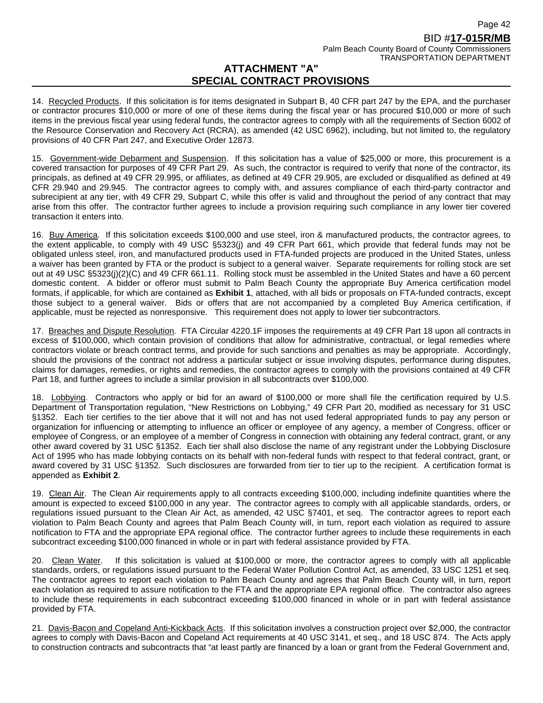14. Recycled Products. If this solicitation is for items designated in Subpart B, 40 CFR part 247 by the EPA, and the purchaser or contractor procures \$10,000 or more of one of these items during the fiscal year or has procured \$10,000 or more of such items in the previous fiscal year using federal funds, the contractor agrees to comply with all the requirements of Section 6002 of the Resource Conservation and Recovery Act (RCRA), as amended (42 USC 6962), including, but not limited to, the regulatory provisions of 40 CFR Part 247, and Executive Order 12873.

15. Government-wide Debarment and Suspension. If this solicitation has a value of \$25,000 or more, this procurement is a covered transaction for purposes of 49 CFR Part 29. As such, the contractor is required to verify that none of the contractor, its principals, as defined at 49 CFR 29.995, or affiliates, as defined at 49 CFR 29.905, are excluded or disqualified as defined at 49 CFR 29.940 and 29.945. The contractor agrees to comply with, and assures compliance of each third-party contractor and subrecipient at any tier, with 49 CFR 29, Subpart C, while this offer is valid and throughout the period of any contract that may arise from this offer. The contractor further agrees to include a provision requiring such compliance in any lower tier covered transaction it enters into*.*

16. Buy America. If this solicitation exceeds \$100,000 and use steel, iron & manufactured products, the contractor agrees, to the extent applicable, to comply with 49 USC §5323(j) and 49 CFR Part 661, which provide that federal funds may not be obligated unless steel, iron, and manufactured products used in FTA-funded projects are produced in the United States, unless a waiver has been granted by FTA or the product is subject to a general waiver. Separate requirements for rolling stock are set out at 49 USC §5323(j)(2)(C) and 49 CFR 661.11. Rolling stock must be assembled in the United States and have a 60 percent domestic content. A bidder or offeror must submit to Palm Beach County the appropriate Buy America certification model formats, if applicable, for which are contained as **Exhibit 1**, attached, with all bids or proposals on FTA-funded contracts, except those subject to a general waiver. Bids or offers that are not accompanied by a completed Buy America certification, if applicable, must be rejected as nonresponsive. This requirement does not apply to lower tier subcontractors.

17. Breaches and Dispute Resolution. FTA Circular 4220.1F imposes the requirements at 49 CFR Part 18 upon all contracts in excess of \$100,000, which contain provision of conditions that allow for administrative, contractual, or legal remedies where contractors violate or breach contract terms, and provide for such sanctions and penalties as may be appropriate. Accordingly, should the provisions of the contract not address a particular subject or issue involving disputes, performance during disputes, claims for damages, remedies, or rights and remedies, the contractor agrees to comply with the provisions contained at 49 CFR Part 18, and further agrees to include a similar provision in all subcontracts over \$100,000.

18. Lobbying. Contractors who apply or bid for an award of \$100,000 or more shall file the certification required by U.S. Department of Transportation regulation, "New Restrictions on Lobbying," 49 CFR Part 20, modified as necessary for 31 USC §1352. Each tier certifies to the tier above that it will not and has not used federal appropriated funds to pay any person or organization for influencing or attempting to influence an officer or employee of any agency, a member of Congress, officer or employee of Congress, or an employee of a member of Congress in connection with obtaining any federal contract, grant, or any other award covered by 31 USC §1352. Each tier shall also disclose the name of any registrant under the Lobbying Disclosure Act of 1995 who has made lobbying contacts on its behalf with non-federal funds with respect to that federal contract, grant, or award covered by 31 USC §1352. Such disclosures are forwarded from tier to tier up to the recipient. A certification format is appended as **Exhibit 2**.

19. Clean Air. The Clean Air requirements apply to all contracts exceeding \$100,000, including indefinite quantities where the amount is expected to exceed \$100,000 in any year. The contractor agrees to comply with all applicable standards, orders, or regulations issued pursuant to the Clean Air Act, as amended, 42 USC §7401, et seq. The contractor agrees to report each violation to Palm Beach County and agrees that Palm Beach County will, in turn, report each violation as required to assure notification to FTA and the appropriate EPA regional office. The contractor further agrees to include these requirements in each subcontract exceeding \$100,000 financed in whole or in part with federal assistance provided by FTA.

20. Clean Water. If this solicitation is valued at \$100,000 or more, the contractor agrees to comply with all applicable standards, orders, or regulations issued pursuant to the Federal Water Pollution Control Act, as amended, 33 USC 1251 et seq. The contractor agrees to report each violation to Palm Beach County and agrees that Palm Beach County will, in turn, report each violation as required to assure notification to the FTA and the appropriate EPA regional office. The contractor also agrees to include these requirements in each subcontract exceeding \$100,000 financed in whole or in part with federal assistance provided by FTA.

21. Davis-Bacon and Copeland Anti-Kickback Acts. If this solicitation involves a construction project over \$2,000, the contractor agrees to comply with Davis-Bacon and Copeland Act requirements at 40 USC 3141, et seq., and 18 USC 874. The Acts apply to construction contracts and subcontracts that "at least partly are financed by a loan or grant from the Federal Government and,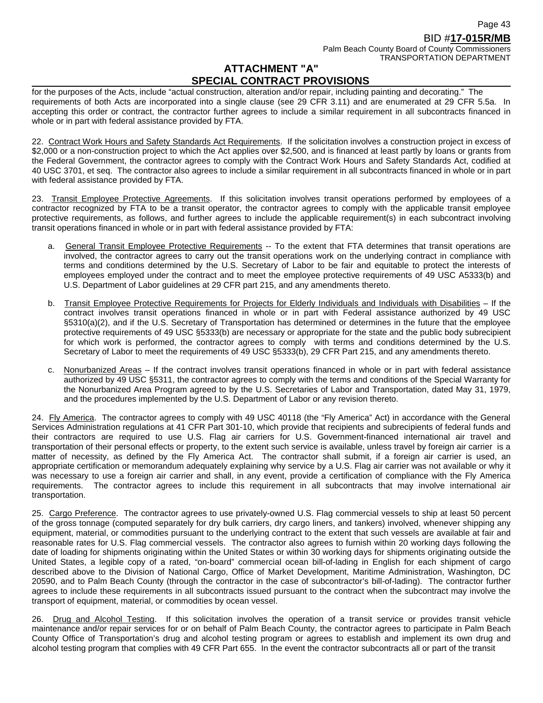for the purposes of the Acts, include "actual construction, alteration and/or repair, including painting and decorating." The requirements of both Acts are incorporated into a single clause (see 29 CFR 3.11) and are enumerated at 29 CFR 5.5a. In accepting this order or contract, the contractor further agrees to include a similar requirement in all subcontracts financed in whole or in part with federal assistance provided by FTA.

22. Contract Work Hours and Safety Standards Act Requirements. If the solicitation involves a construction project in excess of \$2,000 or a non-construction project to which the Act applies over \$2,500, and is financed at least partly by loans or grants from the Federal Government, the contractor agrees to comply with the Contract Work Hours and Safety Standards Act, codified at 40 USC 3701, et seq. The contractor also agrees to include a similar requirement in all subcontracts financed in whole or in part with federal assistance provided by FTA.

23. Transit Employee Protective Agreements. If this solicitation involves transit operations performed by employees of a contractor recognized by FTA to be a transit operator, the contractor agrees to comply with the applicable transit employee protective requirements, as follows, and further agrees to include the applicable requirement(s) in each subcontract involving transit operations financed in whole or in part with federal assistance provided by FTA:

- a. General Transit Employee Protective Requirements -- To the extent that FTA determines that transit operations are involved, the contractor agrees to carry out the transit operations work on the underlying contract in compliance with terms and conditions determined by the U.S. Secretary of Labor to be fair and equitable to protect the interests of employees employed under the contract and to meet the employee protective requirements of 49 USC A5333(b) and U.S. Department of Labor guidelines at 29 CFR part 215, and any amendments thereto.
- b. Transit Employee Protective Requirements for Projects for Elderly Individuals and Individuals with Disabilities If the contract involves transit operations financed in whole or in part with Federal assistance authorized by 49 USC §5310(a)(2), and if the U.S. Secretary of Transportation has determined or determines in the future that the employee protective requirements of 49 USC §5333(b) are necessary or appropriate for the state and the public body subrecipient for which work is performed, the contractor agrees to comply with terms and conditions determined by the U.S. Secretary of Labor to meet the requirements of 49 USC §5333(b), 29 CFR Part 215, and any amendments thereto.
- c. Nonurbanized Areas If the contract involves transit operations financed in whole or in part with federal assistance authorized by 49 USC §5311, the contractor agrees to comply with the terms and conditions of the Special Warranty for the Nonurbanized Area Program agreed to by the U.S. Secretaries of Labor and Transportation, dated May 31, 1979, and the procedures implemented by the U.S. Department of Labor or any revision thereto.

24. Fly America. The contractor agrees to comply with 49 USC 40118 (the "Fly America" Act) in accordance with the General Services Administration regulations at 41 CFR Part 301-10, which provide that recipients and subrecipients of federal funds and their contractors are required to use U.S. Flag air carriers for U.S. Government-financed international air travel and transportation of their personal effects or property, to the extent such service is available, unless travel by foreign air carrier is a matter of necessity, as defined by the Fly America Act. The contractor shall submit, if a foreign air carrier is used, an appropriate certification or memorandum adequately explaining why service by a U.S. Flag air carrier was not available or why it was necessary to use a foreign air carrier and shall, in any event, provide a certification of compliance with the Fly America requirements. The contractor agrees to include this requirement in all subcontracts that may involve international air transportation.

25. Cargo Preference. The contractor agrees to use privately-owned U.S. Flag commercial vessels to ship at least 50 percent of the gross tonnage (computed separately for dry bulk carriers, dry cargo liners, and tankers) involved, whenever shipping any equipment, material, or commodities pursuant to the underlying contract to the extent that such vessels are available at fair and reasonable rates for U.S. Flag commercial vessels. The contractor also agrees to furnish within 20 working days following the date of loading for shipments originating within the United States or within 30 working days for shipments originating outside the United States, a legible copy of a rated, "on-board" commercial ocean bill-of-lading in English for each shipment of cargo described above to the Division of National Cargo, Office of Market Development, Maritime Administration, Washington, DC 20590, and to Palm Beach County (through the contractor in the case of subcontractor's bill-of-lading). The contractor further agrees to include these requirements in all subcontracts issued pursuant to the contract when the subcontract may involve the transport of equipment, material, or commodities by ocean vessel.

26. Drug and Alcohol Testing. If this solicitation involves the operation of a transit service or provides transit vehicle maintenance and/or repair services for or on behalf of Palm Beach County, the contractor agrees to participate in Palm Beach County Office of Transportation's drug and alcohol testing program or agrees to establish and implement its own drug and alcohol testing program that complies with 49 CFR Part 655. In the event the contractor subcontracts all or part of the transit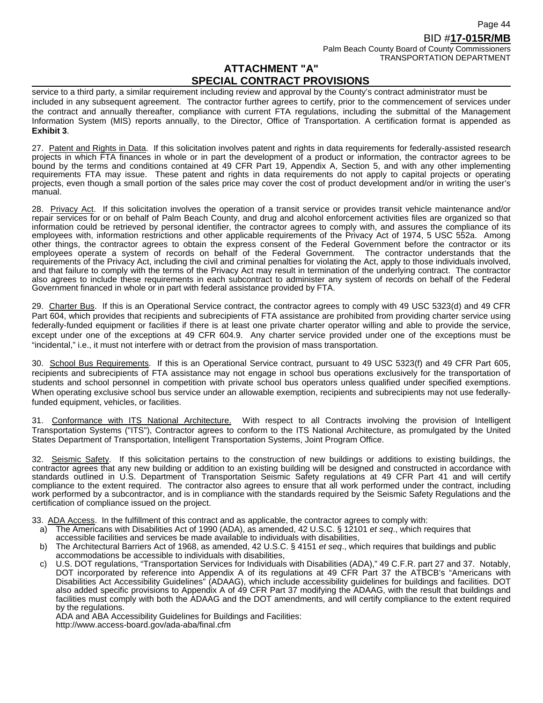TRANSPORTATION DEPARTMENT

# **ATTACHMENT "A" SPECIAL CONTRACT PROVISIONS**

service to a third party, a similar requirement including review and approval by the County's contract administrator must be included in any subsequent agreement. The contractor further agrees to certify, prior to the commencement of services under the contract and annually thereafter, compliance with current FTA regulations, including the submittal of the Management Information System (MIS) reports annually, to the Director, Office of Transportation. A certification format is appended as **Exhibit 3**.

27. Patent and Rights in Data. If this solicitation involves patent and rights in data requirements for federally-assisted research projects in which FTA finances in whole or in part the development of a product or information, the contractor agrees to be bound by the terms and conditions contained at 49 CFR Part 19, Appendix A, Section 5, and with any other implementing requirements FTA may issue. These patent and rights in data requirements do not apply to capital projects or operating projects, even though a small portion of the sales price may cover the cost of product development and/or in writing the user's manual.

28. Privacy Act. If this solicitation involves the operation of a transit service or provides transit vehicle maintenance and/or repair services for or on behalf of Palm Beach County, and drug and alcohol enforcement activities files are organized so that information could be retrieved by personal identifier, the contractor agrees to comply with, and assures the compliance of its employees with, information restrictions and other applicable requirements of the Privacy Act of 1974, 5 USC 552a. Among other things, the contractor agrees to obtain the express consent of the Federal Government before the contractor or its employees operate a system of records on behalf of the Federal Government. The contractor understands that the requirements of the Privacy Act, including the civil and criminal penalties for violating the Act, apply to those individuals involved, and that failure to comply with the terms of the Privacy Act may result in termination of the underlying contract. The contractor also agrees to include these requirements in each subcontract to administer any system of records on behalf of the Federal Government financed in whole or in part with federal assistance provided by FTA.

29. Charter Bus. If this is an Operational Service contract, the contractor agrees to comply with 49 USC 5323(d) and 49 CFR Part 604, which provides that recipients and subrecipients of FTA assistance are prohibited from providing charter service using federally-funded equipment or facilities if there is at least one private charter operator willing and able to provide the service, except under one of the exceptions at 49 CFR 604.9. Any charter service provided under one of the exceptions must be "incidental," i.e., it must not interfere with or detract from the provision of mass transportation.

30. School Bus Requirements. If this is an Operational Service contract, pursuant to 49 USC 5323(f) and 49 CFR Part 605, recipients and subrecipients of FTA assistance may not engage in school bus operations exclusively for the transportation of students and school personnel in competition with private school bus operators unless qualified under specified exemptions. When operating exclusive school bus service under an allowable exemption, recipients and subrecipients may not use federallyfunded equipment, vehicles, or facilities.

31. Conformance with ITS National Architecture. With respect to all Contracts involving the provision of Intelligent Transportation Systems ("ITS"), Contractor agrees to conform to the ITS National Architecture, as promulgated by the United States Department of Transportation, Intelligent Transportation Systems, Joint Program Office.

32. Seismic Safety. If this solicitation pertains to the construction of new buildings or additions to existing buildings, the contractor agrees that any new building or addition to an existing building will be designed and constructed in accordance with standards outlined in U.S. Department of Transportation Seismic Safety regulations at 49 CFR Part 41 and will certify compliance to the extent required. The contractor also agrees to ensure that all work performed under the contract, including work performed by a subcontractor, and is in compliance with the standards required by the Seismic Safety Regulations and the certification of compliance issued on the project.

33. ADA Access. In the fulfillment of this contract and as applicable, the contractor agrees to comply with:

- a) The Americans with Disabilities Act of 1990 (ADA), as amended, 42 U.S.C. § 12101 *et seq*., which requires that
- accessible facilities and services be made available to individuals with disabilities,
- b) The Architectural Barriers Act of 1968, as amended, 42 U.S.C. § 4151 *et seq*., which requires that buildings and public accommodations be accessible to individuals with disabilities,
- c) U.S. DOT regulations, "Transportation Services for Individuals with Disabilities (ADA)," 49 C.F.R. part 27 and 37. Notably, DOT incorporated by reference into Appendix A of its regulations at 49 CFR Part 37 the ATBCB's "Americans with Disabilities Act Accessibility Guidelines" (ADAAG), which include accessibility guidelines for buildings and facilities. DOT also added specific provisions to Appendix A of 49 CFR Part 37 modifying the ADAAG, with the result that buildings and facilities must comply with both the ADAAG and the DOT amendments, and will certify compliance to the extent required by the regulations.

ADA and ABA Accessibility Guidelines for Buildings and Facilities: http://www.access-board.gov/ada-aba/final.cfm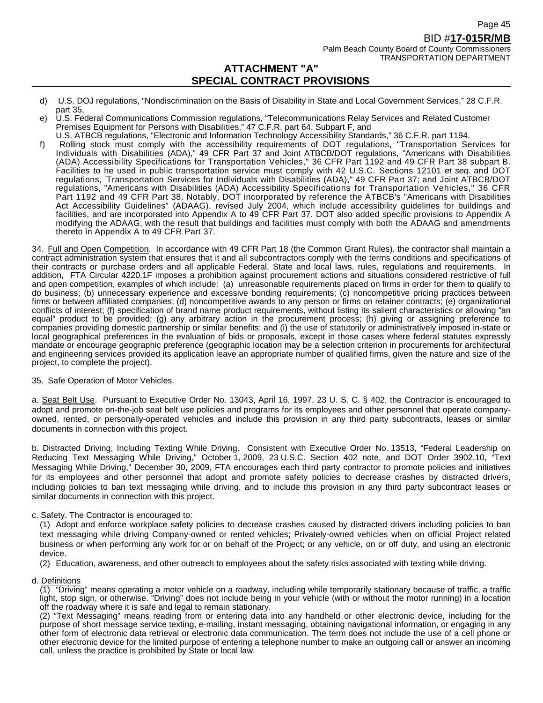TRANSPORTATION DEPARTMENT

# **ATTACHMENT "A" SPECIAL CONTRACT PROVISIONS**

- d) U.S. DOJ regulations, "Nondiscrimination on the Basis of Disability in State and Local Government Services," 28 C.F.R. part 35,
- e) U.S. Federal Communications Commission regulations, "Telecommunications Relay Services and Related Customer Premises Equipment for Persons with Disabilities," 47 C.F.R. part 64, Subpart F, and
- U.S. ATBCB regulations, "Electronic and Information Technology Accessibility Standards," 36 C.F.R. part 1194. f) Rolling stock must comply with the accessibility requirements of DOT regulations, "Transportation Services for Individuals with Disabilities (ADA)," 49 CFR Part 37 and Joint ATBCB/DOT regulations, "Americans with Disabilities (ADA) Accessibility Specifications for Transportation Vehicles," 36 CFR Part 1192 and 49 CFR Part 38 subpart B. Facilities to he used in public transportation service must comply with 42 U.S.C. Sections 12101 *et seq.* and DOT regulations, Transportation Services for Individuals with Disabilities (ADA)," 49 CFR Part 37; and Joint ATBCB/DOT regulations, "Americans with Disabilities (ADA) Accessibility Specifications for Transportation Vehicles," 36 CFR Part 1192 and 49 CFR Part 38. Notably, DOT incorporated by reference the ATBCB's "Americans with Disabilities Act Accessibility Guidelines" (ADAAG), revised July 2004, which include accessibility guidelines for buildings and facilities, and are incorporated into Appendix A to 49 CFR Part 37. DOT also added specific provisions to Appendix A modifying the ADAAG, with the result that buildings and facilities must comply with both the ADAAG and amendments thereto in Appendix A to 49 CFR Part 37.

34. Full and Open Competition. In accordance with 49 CFR Part 18 (the Common Grant Rules), the contractor shall maintain a contract administration system that ensures that it and all subcontractors comply with the terms conditions and specifications of their contracts or purchase orders and all applicable Federal, State and local laws, rules, regulations and requirements. In addition, FTA Circular 4220.1F imposes a prohibition against procurement actions and situations considered restrictive of full and open competition, examples of which include: (a) unreasonable requirements placed on firms in order for them to qualify to do business; (b) unnecessary experience and excessive bonding requirements; (c) noncompetitive pricing practices between firms or between affiliated companies; (d) noncompetitive awards to any person or firms on retainer contracts; (e) organizational conflicts of interest; (f) specification of brand name product requirements, without listing its salient characteristics or allowing "an equal" product to be provided; (g) any arbitrary action in the procurement process; (h) giving or assigning preference to companies providing domestic partnership or similar benefits; and (i) the use of statutorily or administratively imposed in-state or local geographical preferences in the evaluation of bids or proposals, except in those cases where federal statutes expressly mandate or encourage geographic preference (geographic location may be a selection criterion in procurements for architectural and engineering services provided its application leave an appropriate number of qualified firms, given the nature and size of the project, to complete the project).

#### 35. Safe Operation of Motor Vehicles.

a. Seat Belt Use. Pursuant to Executive Order No. 13043, April 16, 1997, 23 U. S. C. § 402, the Contractor is encouraged to adopt and promote on-the-job seat belt use policies and programs for its employees and other personnel that operate companyowned, rented, or personally-operated vehicles and include this provision in any third party subcontracts, leases or similar documents in connection with this project.

b. Distracted Driving, Including Texting While Driving. Consistent with Executive Order No. 13513, "Federal Leadership on Reducing Text Messaging While Driving," October 1, 2009, 23 U.S.C. Section 402 note, and DOT Order 3902.10, "Text Messaging While Driving," December 30, 2009, FTA encourages each third party contractor to promote policies and initiatives for its employees and other personnel that adopt and promote safety policies to decrease crashes by distracted drivers, including policies to ban text messaging while driving, and to include this provision in any third party subcontract leases or similar documents in connection with this project.

#### c. Safety. The Contractor is encouraged to:

(1) Adopt and enforce workplace safety policies to decrease crashes caused by distracted drivers including policies to ban text messaging while driving Company-owned or rented vehicles; Privately-owned vehicles when on official Project related business or when performing any work for or on behalf of the Project; or any vehicle, on or off duty, and using an electronic device.

- (2) Education, awareness, and other outreach to employees about the safety risks associated with texting while driving.
- d. Definitions

(1) "Driving" means operating a motor vehicle on a roadway, including while temporarily stationary because of traffic, a traffic light, stop sign, or otherwise. "Driving" does not include being in your vehicle (with or without the motor running) in a location off the roadway where it is safe and legal to remain stationary.

(2) "Text Messaging" means reading from or entering data into any handheld or other electronic device, including for the purpose of short message service texting, e-mailing, instant messaging, obtaining navigational information, or engaging in any other form of electronic data retrieval or electronic data communication. The term does not include the use of a cell phone or other electronic device for the limited purpose of entering a telephone number to make an outgoing call or answer an incoming call, unless the practice is prohibited by State or local law.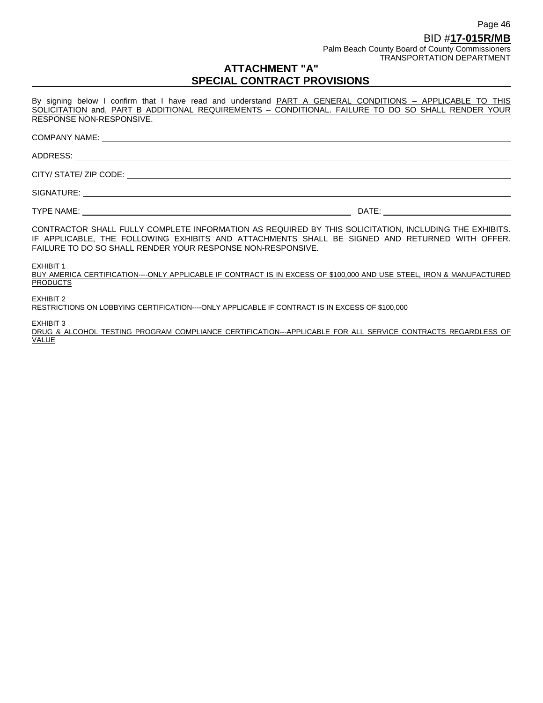By signing below I confirm that I have read and understand PART A GENERAL CONDITIONS - APPLICABLE TO THIS SOLICITATION and, PART B ADDITIONAL REQUIREMENTS - CONDITIONAL. FAILURE TO DO SO SHALL RENDER YOUR RESPONSE NON-RESPONSIVE.

| FAILURE TO DO SO SHALL RENDER YOUR RESPONSE NON-RESPONSIVE.                                                  | CONTRACTOR SHALL FULLY COMPLETE INFORMATION AS REQUIRED BY THIS SOLICITATION, INCLUDING THE EXHIBITS.<br>IF APPLICABLE, THE FOLLOWING EXHIBITS AND ATTACHMENTS SHALL BE SIGNED AND RETURNED WITH OFFER. |
|--------------------------------------------------------------------------------------------------------------|---------------------------------------------------------------------------------------------------------------------------------------------------------------------------------------------------------|
| EXHIBIT 1<br><b>PRODUCTS</b>                                                                                 | BUY AMERICA CERTIFICATION----ONLY APPLICABLE IF CONTRACT IS IN EXCESS OF \$100,000 AND USE STEEL, IRON & MANUFACTURED                                                                                   |
| EXHIBIT 2<br>RESTRICTIONS ON LOBBYING CERTIFICATION----ONLY APPLICABLE IF CONTRACT IS IN EXCESS OF \$100,000 |                                                                                                                                                                                                         |
| <b>EXHIBIT 3</b>                                                                                             |                                                                                                                                                                                                         |

DRUG & ALCOHOL TESTING PROGRAM COMPLIANCE CERTIFICATION---APPLICABLE FOR ALL SERVICE CONTRACTS REGARDLESS OF VALUE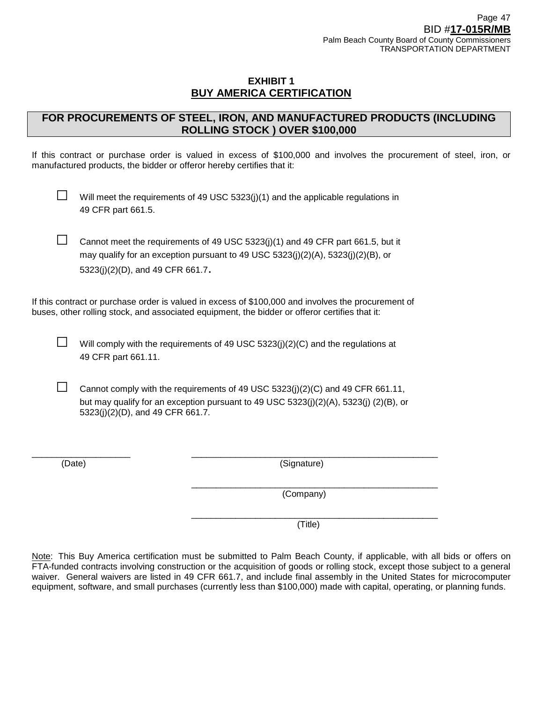# **EXHIBIT 1 BUY AMERICA CERTIFICATION**

# **FOR PROCUREMENTS OF STEEL, IRON, AND MANUFACTURED PRODUCTS (INCLUDING ROLLING STOCK ) OVER \$100,000**

If this contract or purchase order is valued in excess of \$100,000 and involves the procurement of steel, iron, or manufactured products, the bidder or offeror hereby certifies that it:

Will meet the requirements of 49 USC  $5323(j)(1)$  and the applicable regulations in 49 CFR part 661.5.

□ Cannot meet the requirements of 49 USC 5323(j)(1) and 49 CFR part 661.5, but it may qualify for an exception pursuant to 49 USC  $5323(j)(2)(A)$ ,  $5323(j)(2)(B)$ , or 5323(j)(2)(D), and 49 CFR 661.7.

If this contract or purchase order is valued in excess of \$100,000 and involves the procurement of buses, other rolling stock, and associated equipment, the bidder or offeror certifies that it:

 $\Box$  Will comply with the requirements of 49 USC 5323(j)(2)(C) and the regulations at 49 CFR part 661.11.

Cannot comply with the requirements of 49 USC 5323(j)(2)(C) and 49 CFR 661.11, but may qualify for an exception pursuant to 49 USC 5323(j)(2)(A), 5323(j) (2)(B), or 5323(j)(2)(D), and 49 CFR 661.7.

\_\_\_\_\_\_\_\_\_\_\_\_\_\_\_\_\_\_\_\_ \_\_\_\_\_\_\_\_\_\_\_\_\_\_\_\_\_\_\_\_\_\_\_\_\_\_\_\_\_\_\_\_\_\_\_\_\_\_\_\_\_\_\_\_\_\_\_\_\_\_

(Date) (Signature)

\_\_\_\_\_\_\_\_\_\_\_\_\_\_\_\_\_\_\_\_\_\_\_\_\_\_\_\_\_\_\_\_\_\_\_\_\_\_\_\_\_\_\_\_\_\_\_\_\_\_ (Company)

(Title)

\_\_\_\_\_\_\_\_\_\_\_\_\_\_\_\_\_\_\_\_\_\_\_\_\_\_\_\_\_\_\_\_\_\_\_\_\_\_\_\_\_\_\_\_\_\_\_\_\_\_

Note: This Buy America certification must be submitted to Palm Beach County, if applicable, with all bids or offers on FTA-funded contracts involving construction or the acquisition of goods or rolling stock, except those subject to a general waiver. General waivers are listed in 49 CFR 661.7, and include final assembly in the United States for microcomputer equipment, software, and small purchases (currently less than \$100,000) made with capital, operating, or planning funds.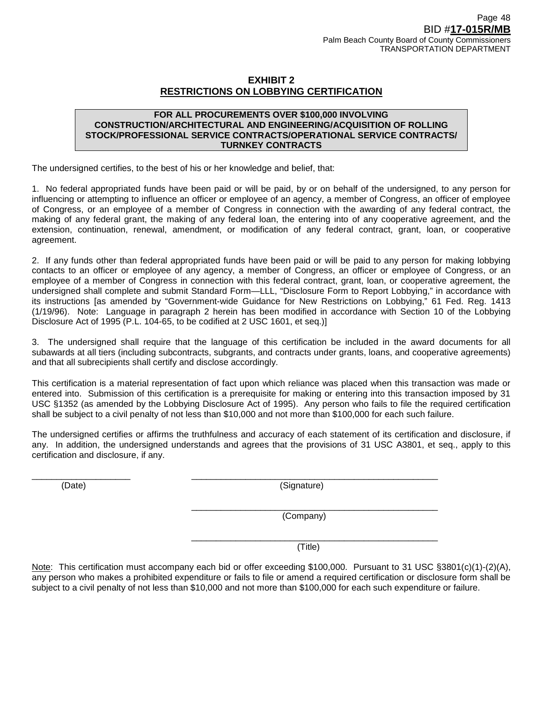# **EXHIBIT 2 RESTRICTIONS ON LOBBYING CERTIFICATION**

#### **FOR ALL PROCUREMENTS OVER \$100,000 INVOLVING CONSTRUCTION/ARCHITECTURAL AND ENGINEERING/ACQUISITION OF ROLLING STOCK/PROFESSIONAL SERVICE CONTRACTS/OPERATIONAL SERVICE CONTRACTS/ TURNKEY CONTRACTS**

The undersigned certifies, to the best of his or her knowledge and belief, that:

1. No federal appropriated funds have been paid or will be paid, by or on behalf of the undersigned, to any person for influencing or attempting to influence an officer or employee of an agency, a member of Congress, an officer of employee of Congress, or an employee of a member of Congress in connection with the awarding of any federal contract, the making of any federal grant, the making of any federal loan, the entering into of any cooperative agreement, and the extension, continuation, renewal, amendment, or modification of any federal contract, grant, loan, or cooperative agreement.

2. If any funds other than federal appropriated funds have been paid or will be paid to any person for making lobbying contacts to an officer or employee of any agency, a member of Congress, an officer or employee of Congress, or an employee of a member of Congress in connection with this federal contract, grant, loan, or cooperative agreement, the undersigned shall complete and submit Standard Form—LLL, "Disclosure Form to Report Lobbying," in accordance with its instructions [as amended by "Government-wide Guidance for New Restrictions on Lobbying," 61 Fed. Reg. 1413 (1/19/96). Note: Language in paragraph 2 herein has been modified in accordance with Section 10 of the Lobbying Disclosure Act of 1995 (P.L. 104-65, to be codified at 2 USC 1601, et seq.)]

3. The undersigned shall require that the language of this certification be included in the award documents for all subawards at all tiers (including subcontracts, subgrants, and contracts under grants, loans, and cooperative agreements) and that all subrecipients shall certify and disclose accordingly.

This certification is a material representation of fact upon which reliance was placed when this transaction was made or entered into. Submission of this certification is a prerequisite for making or entering into this transaction imposed by 31 USC §1352 (as amended by the Lobbying Disclosure Act of 1995). Any person who fails to file the required certification shall be subject to a civil penalty of not less than \$10,000 and not more than \$100,000 for each such failure.

The undersigned certifies or affirms the truthfulness and accuracy of each statement of its certification and disclosure, if any. In addition, the undersigned understands and agrees that the provisions of 31 USC A3801, et seq., apply to this certification and disclosure, if any.

\_\_\_\_\_\_\_\_\_\_\_\_\_\_\_\_\_\_\_\_ \_\_\_\_\_\_\_\_\_\_\_\_\_\_\_\_\_\_\_\_\_\_\_\_\_\_\_\_\_\_\_\_\_\_\_\_\_\_\_\_\_\_\_\_\_\_\_\_\_\_

(Date) (Signature)

\_\_\_\_\_\_\_\_\_\_\_\_\_\_\_\_\_\_\_\_\_\_\_\_\_\_\_\_\_\_\_\_\_\_\_\_\_\_\_\_\_\_\_\_\_\_\_\_\_\_ (Company)

\_\_\_\_\_\_\_\_\_\_\_\_\_\_\_\_\_\_\_\_\_\_\_\_\_\_\_\_\_\_\_\_\_\_\_\_\_\_\_\_\_\_\_\_\_\_\_\_\_\_ (Title)

Note: This certification must accompany each bid or offer exceeding \$100,000. Pursuant to 31 USC §3801(c)(1)-(2)(A), any person who makes a prohibited expenditure or fails to file or amend a required certification or disclosure form shall be subject to a civil penalty of not less than \$10,000 and not more than \$100,000 for each such expenditure or failure.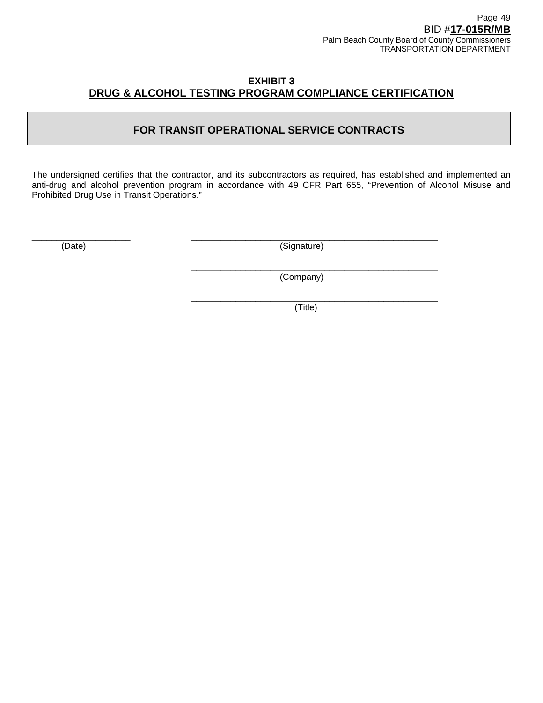# **EXHIBIT 3 DRUG & ALCOHOL TESTING PROGRAM COMPLIANCE CERTIFICATION**

# **FOR TRANSIT OPERATIONAL SERVICE CONTRACTS**

The undersigned certifies that the contractor, and its subcontractors as required, has established and implemented an anti-drug and alcohol prevention program in accordance with 49 CFR Part 655, "Prevention of Alcohol Misuse and Prohibited Drug Use in Transit Operations."

\_\_\_\_\_\_\_\_\_\_\_\_\_\_\_\_\_\_\_\_ \_\_\_\_\_\_\_\_\_\_\_\_\_\_\_\_\_\_\_\_\_\_\_\_\_\_\_\_\_\_\_\_\_\_\_\_\_\_\_\_\_\_\_\_\_\_\_\_\_\_ (Date) (Signature)

> \_\_\_\_\_\_\_\_\_\_\_\_\_\_\_\_\_\_\_\_\_\_\_\_\_\_\_\_\_\_\_\_\_\_\_\_\_\_\_\_\_\_\_\_\_\_\_\_\_\_ (Company)

> \_\_\_\_\_\_\_\_\_\_\_\_\_\_\_\_\_\_\_\_\_\_\_\_\_\_\_\_\_\_\_\_\_\_\_\_\_\_\_\_\_\_\_\_\_\_\_\_\_\_ (Title)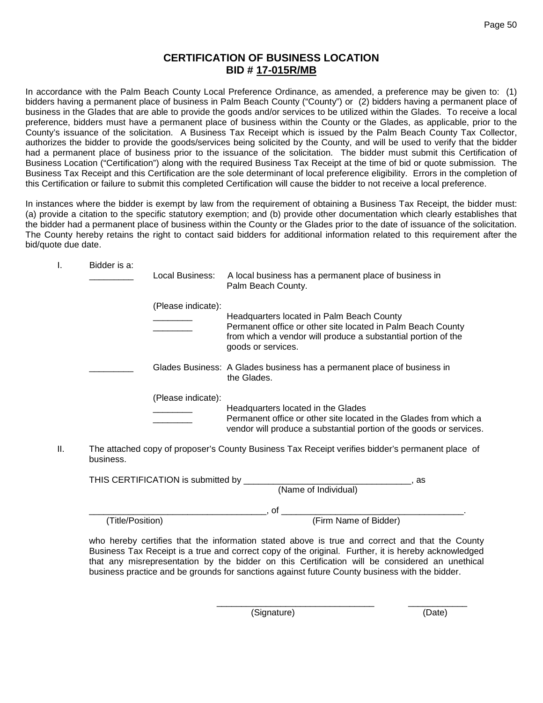# **CERTIFICATION OF BUSINESS LOCATION BID # 17-015R/MB**

In accordance with the Palm Beach County Local Preference Ordinance, as amended, a preference may be given to: (1) bidders having a permanent place of business in Palm Beach County ("County") or (2) bidders having a permanent place of business in the Glades that are able to provide the goods and/or services to be utilized within the Glades. To receive a local preference, bidders must have a permanent place of business within the County or the Glades, as applicable, prior to the County's issuance of the solicitation. A Business Tax Receipt which is issued by the Palm Beach County Tax Collector, authorizes the bidder to provide the goods/services being solicited by the County, and will be used to verify that the bidder had a permanent place of business prior to the issuance of the solicitation. The bidder must submit this Certification of Business Location ("Certification") along with the required Business Tax Receipt at the time of bid or quote submission. The Business Tax Receipt and this Certification are the sole determinant of local preference eligibility. Errors in the completion of this Certification or failure to submit this completed Certification will cause the bidder to not receive a local preference.

In instances where the bidder is exempt by law from the requirement of obtaining a Business Tax Receipt, the bidder must: (a) provide a citation to the specific statutory exemption; and (b) provide other documentation which clearly establishes that the bidder had a permanent place of business within the County or the Glades prior to the date of issuance of the solicitation. The County hereby retains the right to contact said bidders for additional information related to this requirement after the bid/quote due date.

| ۱. | Bidder is a: | Local Business:    | A local business has a permanent place of business in<br>Palm Beach County.                                                                                                                     |
|----|--------------|--------------------|-------------------------------------------------------------------------------------------------------------------------------------------------------------------------------------------------|
|    |              | (Please indicate): | Headquarters located in Palm Beach County<br>Permanent office or other site located in Palm Beach County<br>from which a vendor will produce a substantial portion of the<br>goods or services. |
|    |              |                    | Glades Business: A Glades business has a permanent place of business in<br>the Glades.                                                                                                          |
|    |              | (Please indicate): | Headquarters located in the Glades<br>Permanent office or other site located in the Glades from which a<br>vendor will produce a substantial portion of the goods or services.                  |

II. The attached copy of proposer's County Business Tax Receipt verifies bidder's permanent place of business.

| THIS CERTIFICATION is submitted by | as                    |
|------------------------------------|-----------------------|
|                                    | (Name of Individual)  |
|                                    | оt                    |
| (Title/Position)                   | (Firm Name of Bidder) |

who hereby certifies that the information stated above is true and correct and that the County Business Tax Receipt is a true and correct copy of the original. Further, it is hereby acknowledged that any misrepresentation by the bidder on this Certification will be considered an unethical business practice and be grounds for sanctions against future County business with the bidder.

\_\_\_\_\_\_\_\_\_\_\_\_\_\_\_\_\_\_\_\_\_\_\_\_\_\_\_\_\_\_\_\_ \_\_\_\_\_\_\_\_\_\_\_\_ (Signature) (Date)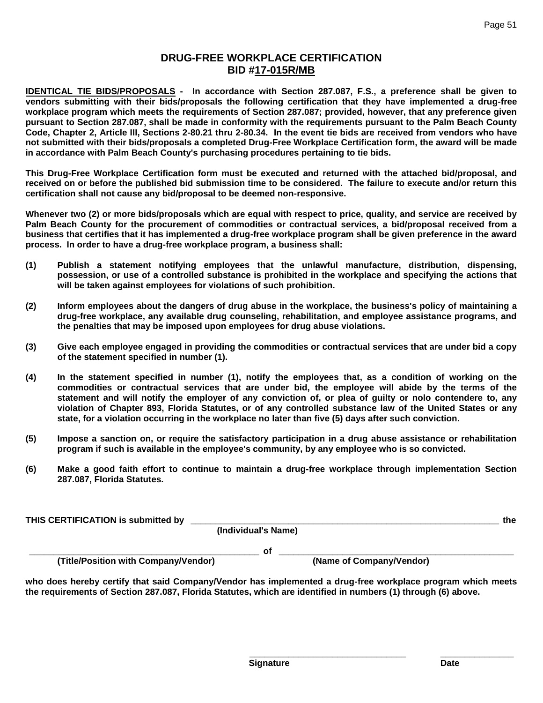# **DRUG-FREE WORKPLACE CERTIFICATION BID #17-015R/MB**

**IDENTICAL TIE BIDS/PROPOSALS - In accordance with Section 287.087, F.S., a preference shall be given to vendors submitting with their bids/proposals the following certification that they have implemented a drug-free workplace program which meets the requirements of Section 287.087; provided, however, that any preference given pursuant to Section 287.087, shall be made in conformity with the requirements pursuant to the Palm Beach County Code, Chapter 2, Article III, Sections 2-80.21 thru 2-80.34. In the event tie bids are received from vendors who have not submitted with their bids/proposals a completed Drug-Free Workplace Certification form, the award will be made in accordance with Palm Beach County's purchasing procedures pertaining to tie bids.**

**This Drug-Free Workplace Certification form must be executed and returned with the attached bid/proposal, and received on or before the published bid submission time to be considered. The failure to execute and/or return this certification shall not cause any bid/proposal to be deemed non-responsive.**

**Whenever two (2) or more bids/proposals which are equal with respect to price, quality, and service are received by Palm Beach County for the procurement of commodities or contractual services, a bid/proposal received from a business that certifies that it has implemented a drug-free workplace program shall be given preference in the award process. In order to have a drug-free workplace program, a business shall:**

- **(1) Publish a statement notifying employees that the unlawful manufacture, distribution, dispensing, possession, or use of a controlled substance is prohibited in the workplace and specifying the actions that will be taken against employees for violations of such prohibition.**
- **(2) Inform employees about the dangers of drug abuse in the workplace, the business's policy of maintaining a drug-free workplace, any available drug counseling, rehabilitation, and employee assistance programs, and the penalties that may be imposed upon employees for drug abuse violations.**
- **(3) Give each employee engaged in providing the commodities or contractual services that are under bid a copy of the statement specified in number (1).**
- **(4) In the statement specified in number (1), notify the employees that, as a condition of working on the commodities or contractual services that are under bid, the employee will abide by the terms of the statement and will notify the employer of any conviction of, or plea of guilty or nolo contendere to, any violation of Chapter 893, Florida Statutes, or of any controlled substance law of the United States or any state, for a violation occurring in the workplace no later than five (5) days after such conviction.**
- **(5) Impose a sanction on, or require the satisfactory participation in a drug abuse assistance or rehabilitation program if such is available in the employee's community, by any employee who is so convicted.**
- **(6) Make a good faith effort to continue to maintain a drug-free workplace through implementation Section 287.087, Florida Statutes.**

**THIS CERTIFICATION is submitted by \_\_\_\_\_\_\_\_\_\_\_\_\_\_\_\_\_\_\_\_\_\_\_\_\_\_\_\_\_\_\_\_\_\_\_\_\_\_\_\_\_\_\_\_\_\_\_\_\_\_\_\_\_\_\_\_\_\_\_\_\_\_\_ the**

**(Individual's Name)**

**(Title/Position with Company/Vendor)** 

**\_\_\_\_\_\_\_\_\_\_\_\_\_\_\_\_\_\_\_\_\_\_\_\_\_\_\_\_\_\_\_\_\_\_\_\_\_\_\_\_\_\_\_\_\_\_\_ of \_\_\_\_\_\_\_\_\_\_\_\_\_\_\_\_\_\_\_\_\_\_\_\_\_\_\_\_\_\_\_\_\_\_\_\_\_\_\_\_\_\_\_\_\_\_\_\_**

**who does hereby certify that said Company/Vendor has implemented a drug-free workplace program which meets the requirements of Section 287.087, Florida Statutes, which are identified in numbers (1) through (6) above.**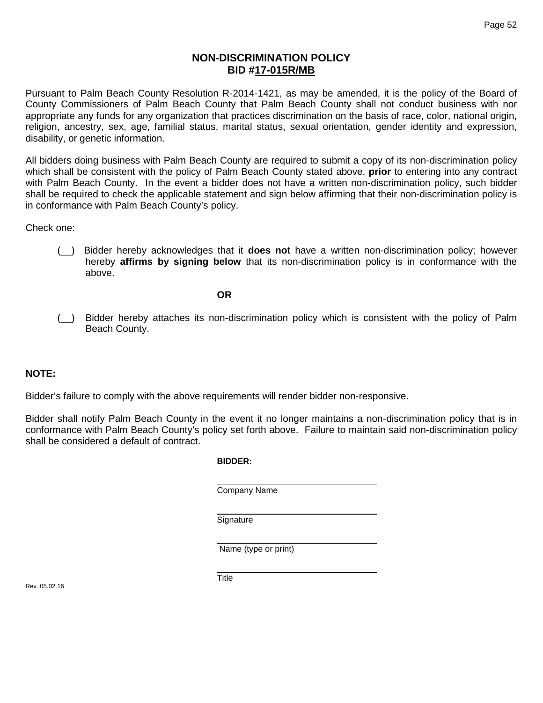# **NON-DISCRIMINATION POLICY BID #17-015R/MB**

Pursuant to Palm Beach County Resolution R-2014-1421, as may be amended, it is the policy of the Board of County Commissioners of Palm Beach County that Palm Beach County shall not conduct business with nor appropriate any funds for any organization that practices discrimination on the basis of race, color, national origin, religion, ancestry, sex, age, familial status, marital status, sexual orientation, gender identity and expression, disability, or genetic information.

All bidders doing business with Palm Beach County are required to submit a copy of its non-discrimination policy which shall be consistent with the policy of Palm Beach County stated above, **prior** to entering into any contract with Palm Beach County. In the event a bidder does not have a written non-discrimination policy, such bidder shall be required to check the applicable statement and sign below affirming that their non-discrimination policy is in conformance with Palm Beach County's policy.

Check one:

(\_\_) Bidder hereby acknowledges that it **does not** have a written non-discrimination policy; however hereby **affirms by signing below** that its non-discrimination policy is in conformance with the above.

### **OR**

(\_\_) Bidder hereby attaches its non-discrimination policy which is consistent with the policy of Palm Beach County.

# **NOTE:**

Bidder's failure to comply with the above requirements will render bidder non-responsive.

Bidder shall notify Palm Beach County in the event it no longer maintains a non-discrimination policy that is in conformance with Palm Beach County's policy set forth above. Failure to maintain said non-discrimination policy shall be considered a default of contract.

#### **BIDDER:**

Company Name

**Signature** 

Name (type or print)

Rev. 05.02.16

**Title**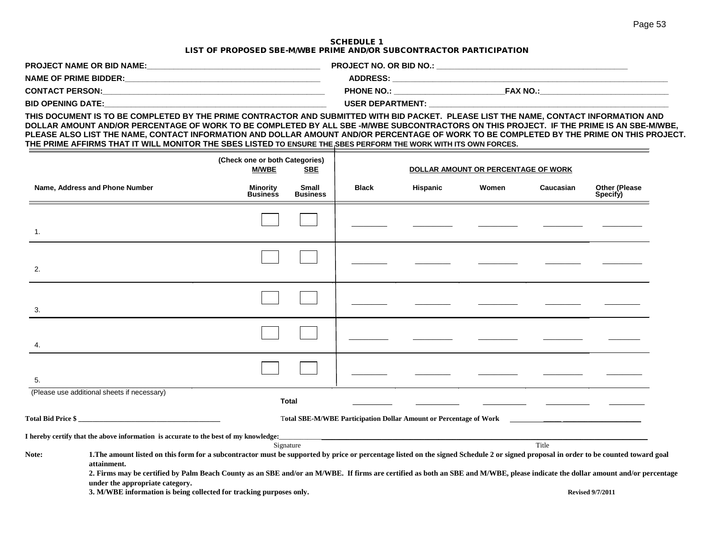#### SCHEDULE 1 LIST OF PROPOSED SBE-M/WBE PRIME AND/OR SUBCONTRACTOR PARTICIPATION

| <b>PROJECT NAME OR BID NAME:</b> | <b>PROJECT NO. OR BID NO.:</b>       |
|----------------------------------|--------------------------------------|
| <b>NAME OF PRIME BIDDER:</b>     | <b>ADDRESS:</b>                      |
| <b>CONTACT PERSON:</b>           | <b>FAX NO.:</b><br><b>PHONE NO.:</b> |
| <b>BID OPENING DATE:</b>         | <b>USER DEPARTMENT:</b>              |

**THIS DOCUMENT IS TO BE COMPLETED BY THE PRIME CONTRACTOR AND SUBMITTED WITH BID PACKET. PLEASE LIST THE NAME, CONTACT INFORMATION AND DOLLAR AMOUNT AND/OR PERCENTAGE OF WORK TO BE COMPLETED BY ALL SBE -M/WBE SUBCONTRACTORS ON THIS PROJECT. IF THE PRIME IS AN SBE-M/WBE, PLEASE ALSO LIST THE NAME, CONTACT INFORMATION AND DOLLAR AMOUNT AND/OR PERCENTAGE OF WORK TO BE COMPLETED BY THE PRIME ON THIS PROJECT. THE PRIME AFFIRMS THAT IT WILL MONITOR THE SBES LISTED TO ENSURE THE SBES PERFORM THE WORK WITH ITS OWN FORCES.**

|       |                                                                                                                                                                                                     | (Check one or both Categories)<br><b>M/WBE</b> | <b>SBE</b>               | DOLLAR AMOUNT OR PERCENTAGE OF WORK                               |          |       |           |                                  |
|-------|-----------------------------------------------------------------------------------------------------------------------------------------------------------------------------------------------------|------------------------------------------------|--------------------------|-------------------------------------------------------------------|----------|-------|-----------|----------------------------------|
|       | Name, Address and Phone Number                                                                                                                                                                      | Minority<br><b>Business</b>                    | Small<br><b>Business</b> | <b>Black</b>                                                      | Hispanic | Women | Caucasian | <b>Other (Please</b><br>Specify) |
|       |                                                                                                                                                                                                     |                                                |                          |                                                                   |          |       |           |                                  |
| 1.    |                                                                                                                                                                                                     |                                                |                          |                                                                   |          |       |           |                                  |
|       |                                                                                                                                                                                                     |                                                |                          |                                                                   |          |       |           |                                  |
| 2.    |                                                                                                                                                                                                     |                                                |                          |                                                                   |          |       |           |                                  |
|       |                                                                                                                                                                                                     |                                                |                          |                                                                   |          |       |           |                                  |
| 3.    |                                                                                                                                                                                                     |                                                |                          |                                                                   |          |       |           |                                  |
|       |                                                                                                                                                                                                     |                                                |                          |                                                                   |          |       |           |                                  |
| 4.    |                                                                                                                                                                                                     |                                                |                          |                                                                   |          |       |           |                                  |
|       |                                                                                                                                                                                                     |                                                |                          |                                                                   |          |       |           |                                  |
| 5.    |                                                                                                                                                                                                     |                                                |                          |                                                                   |          |       |           |                                  |
|       | (Please use additional sheets if necessary)                                                                                                                                                         |                                                | <b>Total</b>             |                                                                   |          |       |           |                                  |
|       | Total Bid Price \$                                                                                                                                                                                  |                                                |                          | Total SBE-M/WBE Participation Dollar Amount or Percentage of Work |          |       |           |                                  |
|       | I hereby certify that the above information is accurate to the best of my knowledge:                                                                                                                |                                                |                          |                                                                   |          |       |           |                                  |
|       |                                                                                                                                                                                                     |                                                | Signature                |                                                                   |          |       | Title     |                                  |
| Note: | 1. The amount listed on this form for a subcontractor must be supported by price or percentage listed on the signed Schedule 2 or signed proposal in order to be counted toward goal<br>attainment. |                                                |                          |                                                                   |          |       |           |                                  |
|       | 2. Firms may be certified by Palm Beach County as an SBE and/or an M/WBE. If firms are certified as both an SBE and M/WBE, please indicate the dollar amount and/or percentage                      |                                                |                          |                                                                   |          |       |           |                                  |
|       | under the appropriate category.<br>3. M/WBE information is being collected for tracking purposes only.                                                                                              |                                                |                          |                                                                   |          |       |           | <b>Revised 9/7/2011</b>          |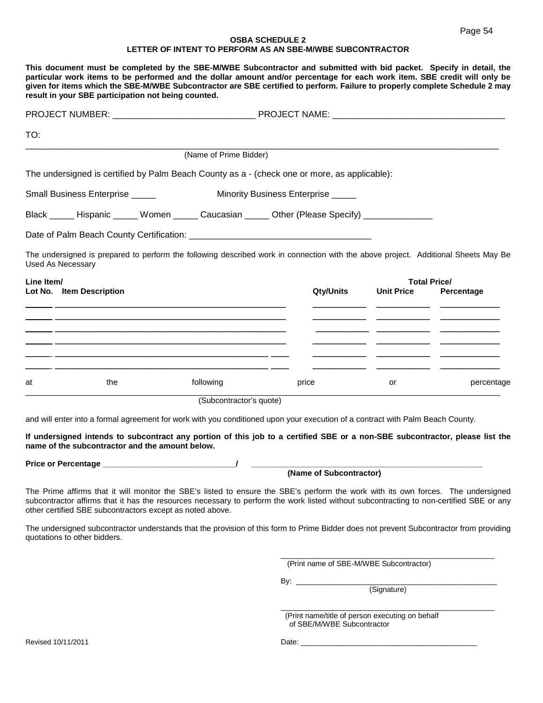#### **OSBA SCHEDULE 2 LETTER OF INTENT TO PERFORM AS AN SBE-M/WBE SUBCONTRACTOR**

| TO:                                                                                                                                                                                                      |                                                                                                                                                                                                                                               |                                    |                   |                     |
|----------------------------------------------------------------------------------------------------------------------------------------------------------------------------------------------------------|-----------------------------------------------------------------------------------------------------------------------------------------------------------------------------------------------------------------------------------------------|------------------------------------|-------------------|---------------------|
|                                                                                                                                                                                                          | (Name of Prime Bidder)                                                                                                                                                                                                                        |                                    |                   |                     |
| The undersigned is certified by Palm Beach County as a - (check one or more, as applicable):                                                                                                             |                                                                                                                                                                                                                                               |                                    |                   |                     |
| Small Business Enterprise _____                                                                                                                                                                          |                                                                                                                                                                                                                                               | Minority Business Enterprise _____ |                   |                     |
| Black ______ Hispanic ______ Women ______ Caucasian ______ Other (Please Specify) ________________                                                                                                       |                                                                                                                                                                                                                                               |                                    |                   |                     |
|                                                                                                                                                                                                          |                                                                                                                                                                                                                                               |                                    |                   |                     |
|                                                                                                                                                                                                          |                                                                                                                                                                                                                                               |                                    |                   |                     |
|                                                                                                                                                                                                          |                                                                                                                                                                                                                                               |                                    |                   |                     |
|                                                                                                                                                                                                          |                                                                                                                                                                                                                                               |                                    |                   | <b>Total Price/</b> |
|                                                                                                                                                                                                          |                                                                                                                                                                                                                                               | <b>Qty/Units</b>                   | <b>Unit Price</b> | Percentage          |
|                                                                                                                                                                                                          |                                                                                                                                                                                                                                               |                                    |                   |                     |
|                                                                                                                                                                                                          | <u> 1989 - Johann Stoff, deutscher Stoff, der Stoff, der Stoff, der Stoff, der Stoff, der Stoff, der Stoff, der S</u><br><u> 1989 - Johann John Stone, markin sanadi a shekara ta 1989 - An tsara tsara tsara tsara tsara tsara tsara tsa</u> |                                    |                   |                     |
| The undersigned is prepared to perform the following described work in connection with the above project. Additional Sheets May Be<br><b>Used As Necessary</b><br>Line Item/<br>Lot No. Item Description |                                                                                                                                                                                                                                               |                                    |                   |                     |
| the<br>at                                                                                                                                                                                                | following                                                                                                                                                                                                                                     | price                              | or                | percentage          |

**If undersigned intends to subcontract any portion of this job to a certified SBE or a non-SBE subcontractor, please list the name of the subcontractor and the amount below.**

**Price or Percentage \_\_\_\_\_\_\_\_\_\_\_\_\_\_\_\_\_\_\_\_\_\_\_\_\_\_\_\_\_\_/ \_\_\_\_\_\_\_\_\_\_\_\_\_\_\_\_\_\_\_\_\_\_\_\_\_\_\_\_\_\_\_\_\_\_\_\_\_\_\_\_\_\_\_\_\_\_\_\_\_\_\_\_**

 **(Name of Subcontractor)**

The Prime affirms that it will monitor the SBE's listed to ensure the SBE's perform the work with its own forces. The undersigned subcontractor affirms that it has the resources necessary to perform the work listed without subcontracting to non-certified SBE or any other certified SBE subcontractors except as noted above.

The undersigned subcontractor understands that the provision of this form to Prime Bidder does not prevent Subcontractor from providing quotations to other bidders.

(Print name of SBE-M/WBE Subcontractor)

By:  $\frac{1}{\sqrt{2}}$ 

(Signature)

\_\_\_\_\_\_\_\_\_\_\_\_\_\_\_\_\_\_\_\_\_\_\_\_\_\_\_\_\_\_\_\_\_\_\_\_\_\_\_\_\_\_\_\_\_\_\_\_\_\_\_

 $\frac{1}{2}$  ,  $\frac{1}{2}$  ,  $\frac{1}{2}$  ,  $\frac{1}{2}$  ,  $\frac{1}{2}$  ,  $\frac{1}{2}$  ,  $\frac{1}{2}$  ,  $\frac{1}{2}$  ,  $\frac{1}{2}$  ,  $\frac{1}{2}$  ,  $\frac{1}{2}$  ,  $\frac{1}{2}$  ,  $\frac{1}{2}$  ,  $\frac{1}{2}$  ,  $\frac{1}{2}$  ,  $\frac{1}{2}$  ,  $\frac{1}{2}$  ,  $\frac{1}{2}$  ,  $\frac{1$  (Print name/title of person executing on behalf of SBE/M/WBE Subcontractor

Revised 10/11/2011 Date: \_\_\_\_\_\_\_\_\_\_\_\_\_\_\_\_\_\_\_\_\_\_\_\_\_\_\_\_\_\_\_\_\_\_\_\_\_\_\_\_\_\_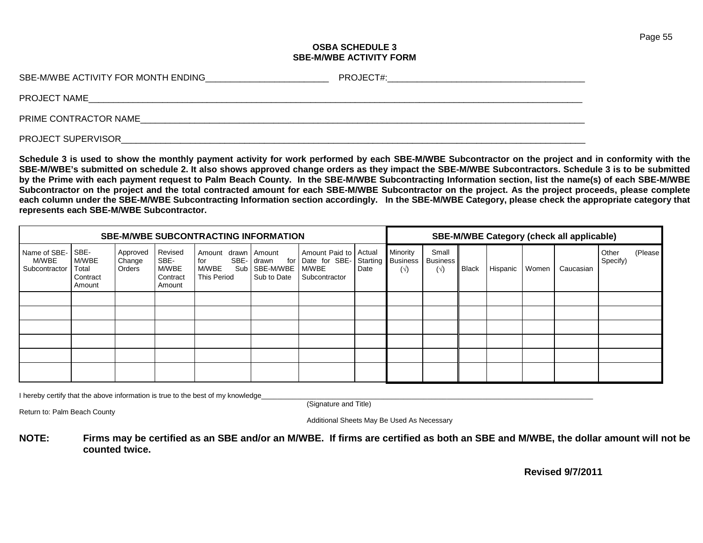#### **OSBA SCHEDULE 3 SBE-M/WBE ACTIVITY FORM**

| SBE-M/WBE ACTIVITY FOR MONTH ENDING | PROJECT#: |
|-------------------------------------|-----------|
| PROJECT NAME                        |           |
| PRIME CONTRACTOR NAME               |           |

PROJECT SUPERVISOR

**Schedule 3 is used to show the monthly payment activity for work performed by each SBE-M/WBE Subcontractor on the project and in conformity with the SBE-M/WBE's submitted on schedule 2. It also shows approved change orders as they impact the SBE-M/WBE Subcontractors. Schedule 3 is to be submitted by the Prime with each payment request to Palm Beach County. In the SBE-M/WBE Subcontracting Information section, list the name(s) of each SBE-M/WBE Subcontractor on the project and the total contracted amount for each SBE-M/WBE Subcontractor on the project. As the project proceeds, please complete each column under the SBE-M/WBE Subcontracting Information section accordingly. In the SBE-M/WBE Category, please check the appropriate category that represents each SBE-M/WBE Subcontractor.**

| <b>SBE-M/WBE SUBCONTRACTING INFORMATION</b> |                                              |                              |                                                |                                              |                                                                     |                                                                    | <b>SBE-M/WBE Category (check all applicable)</b> |                                           |                                      |              |          |       |           |                   |         |
|---------------------------------------------|----------------------------------------------|------------------------------|------------------------------------------------|----------------------------------------------|---------------------------------------------------------------------|--------------------------------------------------------------------|--------------------------------------------------|-------------------------------------------|--------------------------------------|--------------|----------|-------|-----------|-------------------|---------|
| Name of SBE-<br>M/WBE<br>Subcontractor      | SBE-<br>M/WBE<br>Total<br>Contract<br>Amount | Approved<br>Change<br>Orders | Revised<br>SBE-<br>M/WBE<br>Contract<br>Amount | Amount<br>for<br>M/WBE<br><b>This Period</b> | drawn Amount<br>SBE- drawn<br>for<br>Sub   SBE-M/WBE<br>Sub to Date | Amount Paid to   Actual<br>Date for SBE-<br>M/WBE<br>Subcontractor | Date                                             | Minority<br>Starting Business<br>$(\vee)$ | Small<br><b>Business</b><br>$(\vee)$ | <b>Black</b> | Hispanic | Women | Caucasian | Other<br>Specify) | (Please |
|                                             |                                              |                              |                                                |                                              |                                                                     |                                                                    |                                                  |                                           |                                      |              |          |       |           |                   |         |
|                                             |                                              |                              |                                                |                                              |                                                                     |                                                                    |                                                  |                                           |                                      |              |          |       |           |                   |         |
|                                             |                                              |                              |                                                |                                              |                                                                     |                                                                    |                                                  |                                           |                                      |              |          |       |           |                   |         |
|                                             |                                              |                              |                                                |                                              |                                                                     |                                                                    |                                                  |                                           |                                      |              |          |       |           |                   |         |
|                                             |                                              |                              |                                                |                                              |                                                                     |                                                                    |                                                  |                                           |                                      |              |          |       |           |                   |         |
|                                             |                                              |                              |                                                |                                              |                                                                     |                                                                    |                                                  |                                           |                                      |              |          |       |           |                   |         |

I hereby certify that the above information is true to the best of my knowledge

(Signature and Title)

Return to: Palm Beach County

Additional Sheets May Be Used As Necessary

**NOTE: Firms may be certified as an SBE and/or an M/WBE. If firms are certified as both an SBE and M/WBE, the dollar amount will not be counted twice.**

 **Revised 9/7/2011**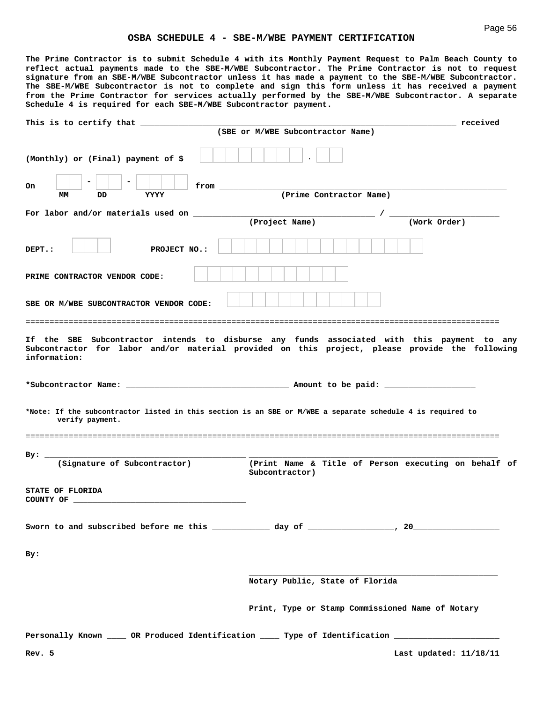**The Prime Contractor is to submit Schedule 4 with its Monthly Payment Request to Palm Beach County to reflect actual payments made to the SBE-M/WBE Subcontractor. The Prime Contractor is not to request signature from an SBE-M/WBE Subcontractor unless it has made a payment to the SBE-M/WBE Subcontractor. The SBE-M/WBE Subcontractor is not to complete and sign this form unless it has received a payment from the Prime Contractor for services actually performed by the SBE-M/WBE Subcontractor. A separate Schedule 4 is required for each SBE-M/WBE Subcontractor payment.**

| This is to certify that $\frac{1}{\sqrt{1-\frac{1}{2}}}\left\lfloor \frac{1}{2(1-\frac{1}{2})}\right\rfloor$                            |                                                  | received <b>received</b>                             |
|-----------------------------------------------------------------------------------------------------------------------------------------|--------------------------------------------------|------------------------------------------------------|
|                                                                                                                                         | (SBE or M/WBE Subcontractor Name)                |                                                      |
|                                                                                                                                         |                                                  |                                                      |
| (Monthly) or (Final) payment of \$                                                                                                      |                                                  |                                                      |
|                                                                                                                                         |                                                  |                                                      |
| On<br>from the contract of the second service of the series of the series of the series of the series of the series<br>YYYY<br>MМ<br>DD | (Prime Contractor Name)                          |                                                      |
|                                                                                                                                         |                                                  |                                                      |
|                                                                                                                                         | (Project Name)                                   | (Work Order)                                         |
|                                                                                                                                         |                                                  |                                                      |
| DEPT.:<br>PROJECT NO.:                                                                                                                  |                                                  |                                                      |
|                                                                                                                                         |                                                  |                                                      |
| PRIME CONTRACTOR VENDOR CODE:                                                                                                           |                                                  |                                                      |
|                                                                                                                                         |                                                  |                                                      |
| SBE OR M/WBE SUBCONTRACTOR VENDOR CODE:                                                                                                 |                                                  |                                                      |
|                                                                                                                                         |                                                  |                                                      |
| If the SBE Subcontractor intends to disburse any funds associated with this payment to any                                              |                                                  |                                                      |
| Subcontractor for labor and/or material provided on this project, please provide the following<br>information:                          |                                                  |                                                      |
|                                                                                                                                         |                                                  |                                                      |
|                                                                                                                                         |                                                  |                                                      |
|                                                                                                                                         |                                                  |                                                      |
| *Note: If the subcontractor listed in this section is an SBE or M/WBE a separate schedule 4 is required to<br>verify payment.           |                                                  |                                                      |
|                                                                                                                                         |                                                  |                                                      |
|                                                                                                                                         |                                                  |                                                      |
| $By:$ __<br>(Signature of Subcontractor)                                                                                                |                                                  | (Print Name & Title of Person executing on behalf of |
|                                                                                                                                         | Subcontractor)                                   |                                                      |
| STATE OF FLORIDA                                                                                                                        |                                                  |                                                      |
|                                                                                                                                         |                                                  |                                                      |
|                                                                                                                                         |                                                  |                                                      |
|                                                                                                                                         |                                                  |                                                      |
|                                                                                                                                         |                                                  |                                                      |
|                                                                                                                                         |                                                  |                                                      |
|                                                                                                                                         |                                                  |                                                      |
|                                                                                                                                         | Notary Public, State of Florida                  |                                                      |
|                                                                                                                                         | Print, Type or Stamp Commissioned Name of Notary |                                                      |
|                                                                                                                                         |                                                  |                                                      |
| Personally Known _____ OR Produced Identification _____ Type of Identification ____________________                                     |                                                  |                                                      |
| Rev. 5                                                                                                                                  |                                                  | Last updated: 11/18/11                               |
|                                                                                                                                         |                                                  |                                                      |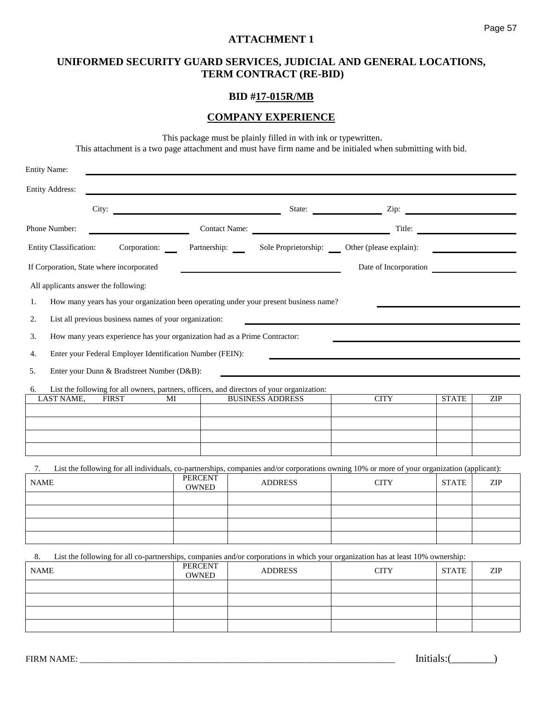# **UNIFORMED SECURITY GUARD SERVICES, JUDICIAL AND GENERAL LOCATIONS, TERM CONTRACT (RE-BID)**

# **BID #17-015R/MB**

# **COMPANY EXPERIENCE**

This package must be plainly filled in with ink or typewritten.

This attachment is a two page attachment and must have firm name and be initialed when submitting with bid.

| <b>Entity Name:</b>                      |                                                                            |                                |                                                                                                                                             |                         |              |     |
|------------------------------------------|----------------------------------------------------------------------------|--------------------------------|---------------------------------------------------------------------------------------------------------------------------------------------|-------------------------|--------------|-----|
| <b>Entity Address:</b>                   |                                                                            |                                |                                                                                                                                             |                         |              |     |
|                                          |                                                                            |                                |                                                                                                                                             | State: <u>Zip:</u> Zip: |              |     |
| Phone Number:                            |                                                                            |                                | Contact Name:                                                                                                                               |                         | Title:       |     |
| Entity Classification:                   | Corporation:                                                               |                                | Partnership: Sole Proprietorship: Other (please explain):                                                                                   |                         |              |     |
| If Corporation, State where incorporated |                                                                            |                                |                                                                                                                                             | Date of Incorporation   |              |     |
| All applicants answer the following:     |                                                                            |                                |                                                                                                                                             |                         |              |     |
| 1.                                       |                                                                            |                                | How many years has your organization been operating under your present business name?                                                       |                         |              |     |
| 2.                                       | List all previous business names of your organization:                     |                                |                                                                                                                                             |                         |              |     |
| 3.                                       | How many years experience has your organization had as a Prime Contractor: |                                |                                                                                                                                             |                         |              |     |
| 4.                                       | Enter your Federal Employer Identification Number (FEIN):                  |                                |                                                                                                                                             |                         |              |     |
| 5.                                       | Enter your Dunn & Bradstreet Number (D&B):                                 |                                |                                                                                                                                             |                         |              |     |
| 6.                                       |                                                                            |                                | List the following for all owners, partners, officers, and directors of your organization:                                                  |                         |              |     |
| <b>LAST NAME,</b>                        | <b>FIRST</b><br>MI                                                         |                                | <b>BUSINESS ADDRESS</b>                                                                                                                     | <b>CITY</b>             | <b>STATE</b> | ZIP |
|                                          |                                                                            |                                |                                                                                                                                             |                         |              |     |
|                                          |                                                                            |                                |                                                                                                                                             |                         |              |     |
|                                          |                                                                            |                                |                                                                                                                                             |                         |              |     |
| 7.                                       |                                                                            | <b>PERCENT</b>                 | List the following for all individuals, co-partnerships, companies and/or corporations owning 10% or more of your organization (applicant): |                         |              |     |
| <b>NAME</b>                              |                                                                            | <b>OWNED</b>                   | <b>ADDRESS</b>                                                                                                                              | <b>CITY</b>             | <b>STATE</b> | ZIP |
|                                          |                                                                            |                                |                                                                                                                                             |                         |              |     |
|                                          |                                                                            |                                |                                                                                                                                             |                         |              |     |
|                                          |                                                                            |                                |                                                                                                                                             |                         |              |     |
| 8.                                       |                                                                            |                                | List the following for all co-partnerships, companies and/or corporations in which your organization has at least 10% ownership:            |                         |              |     |
| <b>NAME</b>                              |                                                                            | <b>PERCENT</b><br><b>OWNED</b> | <b>ADDRESS</b>                                                                                                                              | <b>CITY</b>             | <b>STATE</b> | ZIP |
|                                          |                                                                            |                                |                                                                                                                                             |                         |              |     |

Page 57

FIRM NAME: \_\_\_\_\_\_\_\_\_\_\_\_\_\_\_\_\_\_\_\_\_\_\_\_\_\_\_\_\_\_\_\_\_\_\_\_\_\_\_\_\_\_\_\_\_\_\_\_\_\_\_\_\_\_\_\_\_\_\_\_\_\_\_\_\_\_\_\_\_\_\_ Initials:(\_\_\_\_\_\_\_\_)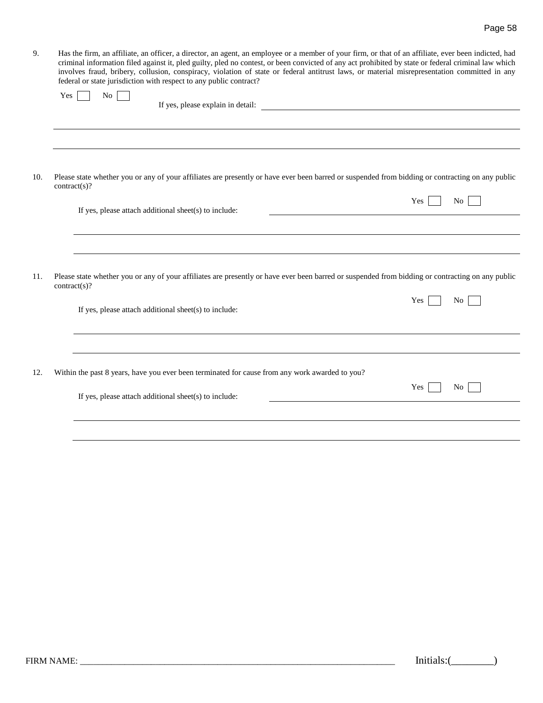| Has the firm, an affiliate, an officer, a director, an agent, an employee or a member of your firm, or that of an affiliate, ever been indicted, had |
|------------------------------------------------------------------------------------------------------------------------------------------------------|
| criminal information filed against it, pled guilty, pled no contest, or been convicted of any act prohibited by state or federal criminal law which  |
| involves fraud, bribery, collusion, conspiracy, violation of state or federal antitrust laws, or material misrepresentation committed in any         |
| federal or state jurisdiction with respect to any public contract?                                                                                   |
| $V_{\alpha\beta}$ $N_{\alpha}$ $\Box$                                                                                                                |

|     | Yes<br>No.                                                                                                                                                       | If yes, please explain in detail: |                |
|-----|------------------------------------------------------------------------------------------------------------------------------------------------------------------|-----------------------------------|----------------|
|     |                                                                                                                                                                  |                                   |                |
|     |                                                                                                                                                                  |                                   |                |
|     |                                                                                                                                                                  |                                   |                |
| 10. | Please state whether you or any of your affiliates are presently or have ever been barred or suspended from bidding or contracting on any public<br>contract(s)? |                                   |                |
|     | If yes, please attach additional sheet(s) to include:                                                                                                            | Yes                               | No             |
|     |                                                                                                                                                                  |                                   |                |
|     |                                                                                                                                                                  |                                   |                |
| 11. | Please state whether you or any of your affiliates are presently or have ever been barred or suspended from bidding or contracting on any public<br>contract(s)? |                                   |                |
|     | If yes, please attach additional sheet(s) to include:                                                                                                            | Yes                               | N <sub>o</sub> |
|     |                                                                                                                                                                  |                                   |                |
| 12. | Within the past 8 years, have you ever been terminated for cause from any work awarded to you?                                                                   |                                   |                |
|     | If yes, please attach additional sheet(s) to include:                                                                                                            | Yes                               | No.            |
|     |                                                                                                                                                                  |                                   |                |
|     |                                                                                                                                                                  |                                   |                |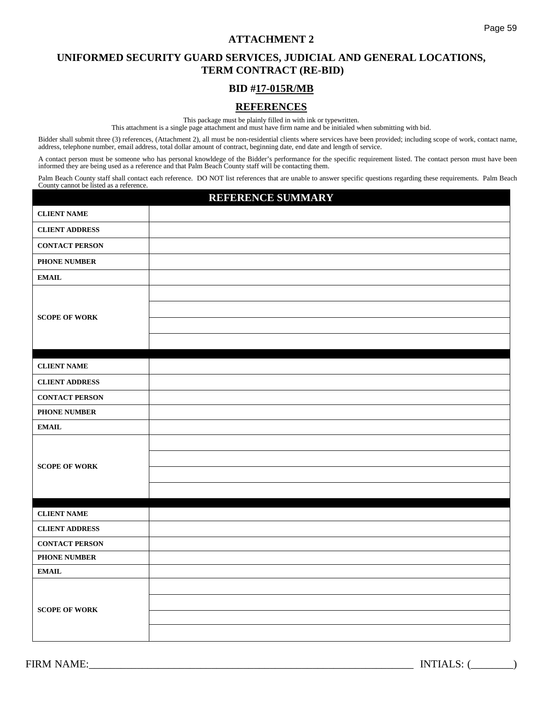# **UNIFORMED SECURITY GUARD SERVICES, JUDICIAL AND GENERAL LOCATIONS, TERM CONTRACT (RE-BID)**

# **BID #17-015R/MB**

# **REFERENCES**

This package must be plainly filled in with ink or typewritten.

This attachment is a single page attachment and must have firm name and be initialed when submitting with bid.

Bidder shall submit three (3) references, (Attachment 2), all must be non-residential clients where services have been provided; including scope of work, contact name, address, telephone number, email address, total dollar amount of contract, beginning date, end date and length of service.

A contact person must be someone who has personal knowldege of the Bidder's performance for the specific requirement listed. The contact person must have been informed they are being used as a reference and that Palm Beach County staff will be contacting them.

Palm Beach County staff shall contact each reference. DO NOT list references that are unable to answer specific questions regarding these requirements. Palm Beach County cannot be listed as a reference.

# **REFERENCE SUMMARY**

| <b>CLIENT NAME</b>    |  |
|-----------------------|--|
| <b>CLIENT ADDRESS</b> |  |
| <b>CONTACT PERSON</b> |  |
| PHONE NUMBER          |  |
| $\bf EMAIL$           |  |
|                       |  |
|                       |  |
| <b>SCOPE OF WORK</b>  |  |
|                       |  |
|                       |  |
| <b>CLIENT NAME</b>    |  |
| <b>CLIENT ADDRESS</b> |  |
| <b>CONTACT PERSON</b> |  |
| PHONE NUMBER          |  |
| <b>EMAIL</b>          |  |
|                       |  |
| <b>SCOPE OF WORK</b>  |  |
|                       |  |
|                       |  |
|                       |  |
| <b>CLIENT NAME</b>    |  |
| <b>CLIENT ADDRESS</b> |  |
| <b>CONTACT PERSON</b> |  |
| <b>PHONE NUMBER</b>   |  |
| <b>EMAIL</b>          |  |
|                       |  |
| <b>SCOPE OF WORK</b>  |  |
|                       |  |
|                       |  |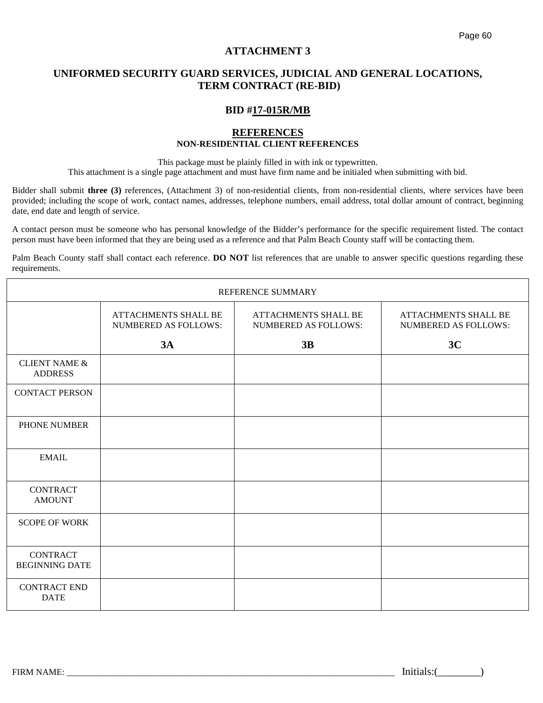# **UNIFORMED SECURITY GUARD SERVICES, JUDICIAL AND GENERAL LOCATIONS, TERM CONTRACT (RE-BID)**

#### **BID #17-015R/MB**

#### **REFERENCES NON-RESIDENTIAL CLIENT REFERENCES**

This package must be plainly filled in with ink or typewritten.

This attachment is a single page attachment and must have firm name and be initialed when submitting with bid.

Bidder shall submit **three (3)** references, (Attachment 3) of non-residential clients, from non-residential clients, where services have been provided; including the scope of work, contact names, addresses, telephone numbers, email address, total dollar amount of contract, beginning date, end date and length of service.

A contact person must be someone who has personal knowledge of the Bidder's performance for the specific requirement listed. The contact person must have been informed that they are being used as a reference and that Palm Beach County staff will be contacting them.

Palm Beach County staff shall contact each reference. **DO NOT** list references that are unable to answer specific questions regarding these requirements.

|                                            |                                                            | REFERENCE SUMMARY                                   |                                                     |
|--------------------------------------------|------------------------------------------------------------|-----------------------------------------------------|-----------------------------------------------------|
|                                            | <b>ATTACHMENTS SHALL BE</b><br><b>NUMBERED AS FOLLOWS:</b> | ATTACHMENTS SHALL BE<br><b>NUMBERED AS FOLLOWS:</b> | ATTACHMENTS SHALL BE<br><b>NUMBERED AS FOLLOWS:</b> |
|                                            | 3A                                                         | 3B                                                  | 3C                                                  |
| <b>CLIENT NAME &amp;</b><br><b>ADDRESS</b> |                                                            |                                                     |                                                     |
| <b>CONTACT PERSON</b>                      |                                                            |                                                     |                                                     |
| PHONE NUMBER                               |                                                            |                                                     |                                                     |
| <b>EMAIL</b>                               |                                                            |                                                     |                                                     |
| <b>CONTRACT</b><br><b>AMOUNT</b>           |                                                            |                                                     |                                                     |
| <b>SCOPE OF WORK</b>                       |                                                            |                                                     |                                                     |
| <b>CONTRACT</b><br><b>BEGINNING DATE</b>   |                                                            |                                                     |                                                     |
| <b>CONTRACT END</b><br><b>DATE</b>         |                                                            |                                                     |                                                     |

FIRM NAME: THE SUBSEX 1 and the set of the set of the set of the set of the set of the set of the set of the set of the set of the set of the set of the set of the set of the set of the set of the set of the set of the set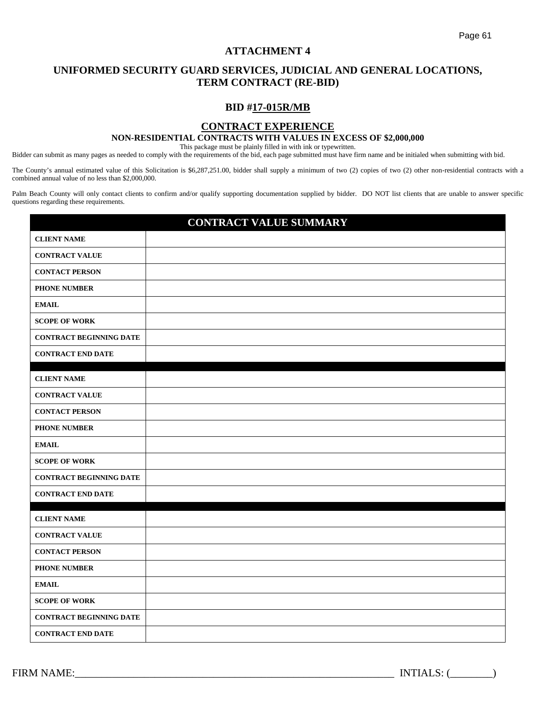# **UNIFORMED SECURITY GUARD SERVICES, JUDICIAL AND GENERAL LOCATIONS, TERM CONTRACT (RE-BID)**

## **BID #17-015R/MB**

### **CONTRACT EXPERIENCE**

#### **NON-RESIDENTIAL CONTRACTS WITH VALUES IN EXCESS OF \$2,000,000**

This package must be plainly filled in with ink or typewritten.

Bidder can submit as many pages as needed to comply with the requirements of the bid, each page submitted must have firm name and be initialed when submitting with bid.

The County's annual estimated value of this Solicitation is \$6,287,251.00, bidder shall supply a minimum of two (2) copies of two (2) other non-residential contracts with a combined annual value of no less than \$2,000,000.

Palm Beach County will only contact clients to confirm and/or qualify supporting documentation supplied by bidder. DO NOT list clients that are unable to answer specific questions regarding these requirements.

|                                | <b>CONTRACT VALUE SUMMARY</b> |
|--------------------------------|-------------------------------|
| <b>CLIENT NAME</b>             |                               |
| <b>CONTRACT VALUE</b>          |                               |
| <b>CONTACT PERSON</b>          |                               |
| <b>PHONE NUMBER</b>            |                               |
| <b>EMAIL</b>                   |                               |
| <b>SCOPE OF WORK</b>           |                               |
| <b>CONTRACT BEGINNING DATE</b> |                               |
| <b>CONTRACT END DATE</b>       |                               |
| <b>CLIENT NAME</b>             |                               |
| <b>CONTRACT VALUE</b>          |                               |
| <b>CONTACT PERSON</b>          |                               |
| <b>PHONE NUMBER</b>            |                               |
| <b>EMAIL</b>                   |                               |
| <b>SCOPE OF WORK</b>           |                               |
| <b>CONTRACT BEGINNING DATE</b> |                               |
| <b>CONTRACT END DATE</b>       |                               |
| <b>CLIENT NAME</b>             |                               |
| <b>CONTRACT VALUE</b>          |                               |
| <b>CONTACT PERSON</b>          |                               |
| <b>PHONE NUMBER</b>            |                               |
| <b>EMAIL</b>                   |                               |
| <b>SCOPE OF WORK</b>           |                               |
| <b>CONTRACT BEGINNING DATE</b> |                               |
| <b>CONTRACT END DATE</b>       |                               |

FIRM NAME:\_\_\_\_\_\_\_\_\_\_\_\_\_\_\_\_\_\_\_\_\_\_\_\_\_\_\_\_\_\_\_\_\_\_\_\_\_\_\_\_\_\_\_\_\_\_\_\_\_\_\_\_\_\_\_\_\_\_\_\_ INTIALS: (\_\_\_\_\_\_\_\_)